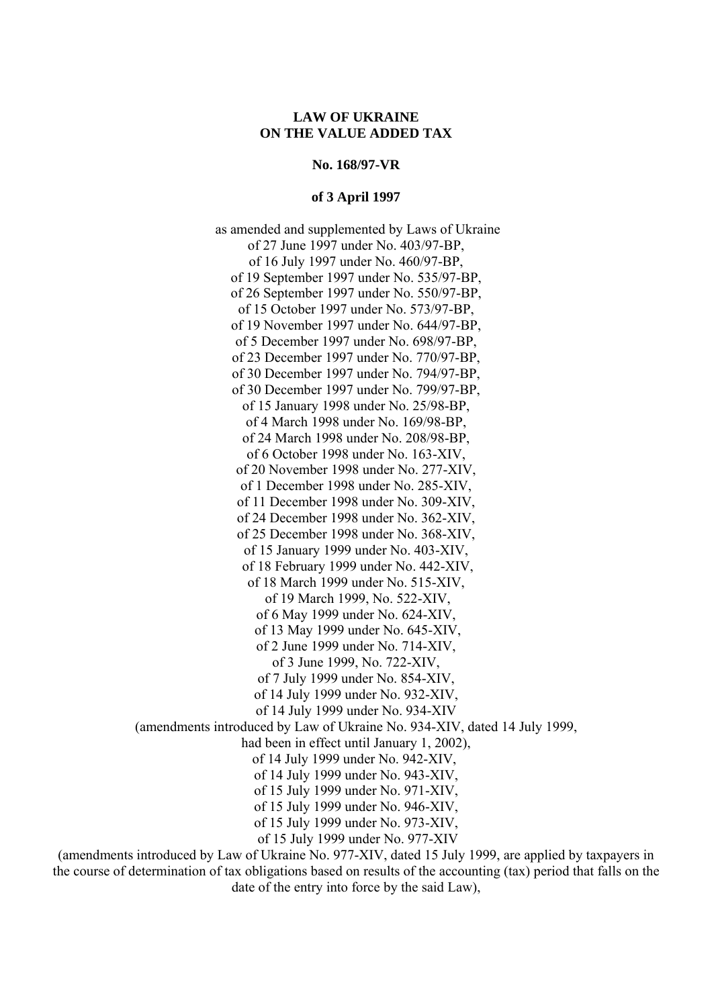**No. 168/97-VR** 

#### **of 3 April 1997**

 as amended and supplemented by Laws of Ukraine of 27 June 1997 under No. 403/97-ВР, of 16 July 1997 under No. 460/97-ВР, of 19 September 1997 under No. 535/97-ВР, of 26 September 1997 under No. 550/97-ВР, of 15 October 1997 under No. 573/97-ВР, of 19 November 1997 under No. 644/97-ВР, of 5 December 1997 under No. 698/97-ВР, of 23 December 1997 under No. 770/97-ВР, of 30 December 1997 under No. 794/97-ВР, of 30 December 1997 under No. 799/97-ВР, of 15 January 1998 under No. 25/98-ВР, of 4 March 1998 under No. 169/98-ВР, of 24 March 1998 under No. 208/98-ВР, of 6 October 1998 under No. 163-XIV, of 20 November 1998 under No. 277-XIV, of 1 December 1998 under No. 285-XIV, of 11 December 1998 under No. 309-XIV, of 24 December 1998 under No. 362-XIV, of 25 December 1998 under No. 368-XIV, of 15 January 1999 under No. 403-XIV, of 18 February 1999 under No. 442-XIV, of 18 March 1999 under No. 515-XIV, of 19 March 1999, No. 522-XIV, of 6 May 1999 under No. 624-XIV, of 13 May 1999 under No. 645-XIV, of 2 June 1999 under No. 714-XIV, of 3 June 1999, No. 722-XIV, of 7 July 1999 under No. 854-XIV, of 14 July 1999 under No. 932-XIV, of 14 July 1999 under No. 934-XIV (amendments introduced by Law of Ukraine No. 934-XIV, dated 14 July 1999, had been in effect until January 1, 2002), of 14 July 1999 under No. 942-XIV, of 14 July 1999 under No. 943-XIV, of 15 July 1999 under No. 971-XIV, of 15 July 1999 under No. 946-XIV, of 15 July 1999 under No. 973-XIV, of 15 July 1999 under No. 977-XIV

(amendments introduced by Law of Ukraine No. 977-XIV, dated 15 July 1999, are applied by taxpayers in the course of determination of tax obligations based on results of the accounting (tax) period that falls on the date of the entry into force by the said Law),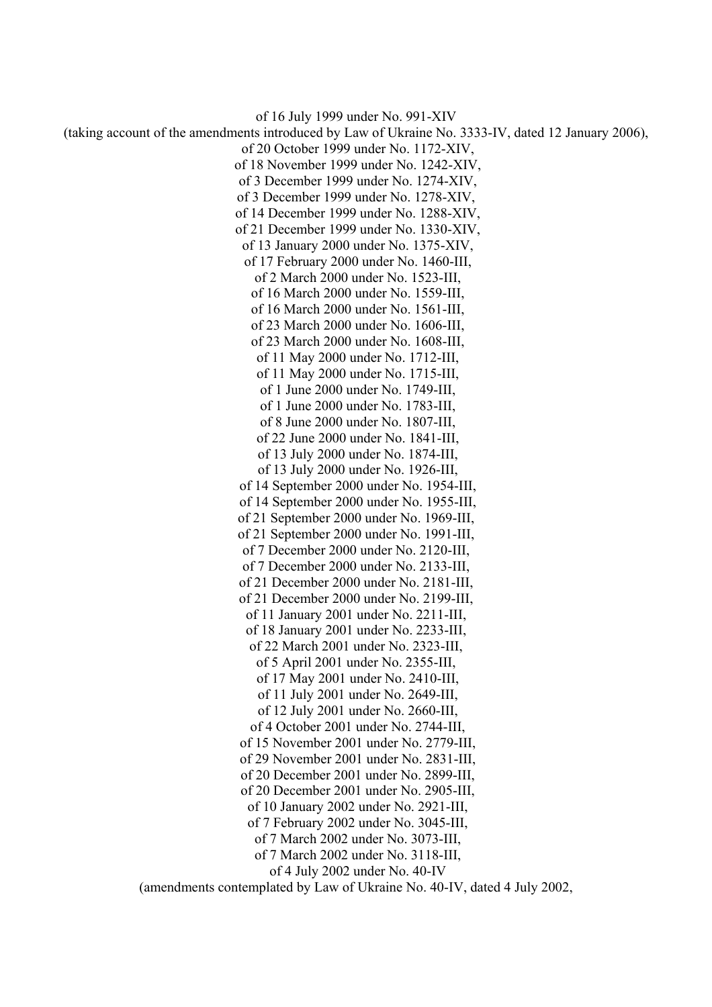of 16 July 1999 under No. 991-XIV (taking account of the amendments introduced by Law of Ukraine No. 3333-IV, dated 12 January 2006), of 20 October 1999 under No. 1172-XIV, of 18 November 1999 under No. 1242-XIV, of 3 December 1999 under No. 1274-XIV, of 3 December 1999 under No. 1278-XIV, of 14 December 1999 under No. 1288-XIV, of 21 December 1999 under No. 1330-XIV, of 13 January 2000 under No. 1375-XIV, of 17 February 2000 under No. 1460-III, of 2 March 2000 under No. 1523-III, of 16 March 2000 under No. 1559-III, of 16 March 2000 under No. 1561-III, of 23 March 2000 under No. 1606-III, of 23 March 2000 under No. 1608-III, of 11 May 2000 under No. 1712-III, of 11 May 2000 under No. 1715-III, of 1 June 2000 under No. 1749-III, of 1 June 2000 under No. 1783-III, of 8 June 2000 under No. 1807-III, of 22 June 2000 under No. 1841-III, of 13 July 2000 under No. 1874-III, of 13 July 2000 under No. 1926-III, of 14 September 2000 under No. 1954-III, of 14 September 2000 under No. 1955-III, of 21 September 2000 under No. 1969-III, of 21 September 2000 under No. 1991-III, of 7 December 2000 under No. 2120-III, of 7 December 2000 under No. 2133-III, of 21 December 2000 under No. 2181-III, of 21 December 2000 under No. 2199-III, of 11 January 2001 under No. 2211-III, of 18 January 2001 under No. 2233-III, of 22 March 2001 under No. 2323-III, of 5 April 2001 under No. 2355-III, of 17 May 2001 under No. 2410-III, of 11 July 2001 under No. 2649-III, of 12 July 2001 under No. 2660-III, of 4 October 2001 under No. 2744-III, of 15 November 2001 under No. 2779-III, of 29 November 2001 under No. 2831-III, of 20 December 2001 under No. 2899-III, of 20 December 2001 under No. 2905-III, of 10 January 2002 under No. 2921-III, of 7 February 2002 under No. 3045-III, of 7 March 2002 under No. 3073-III, of 7 March 2002 under No. 3118-III, of 4 July 2002 under No. 40-IV (amendments contemplated by Law of Ukraine No. 40-IV, dated 4 July 2002,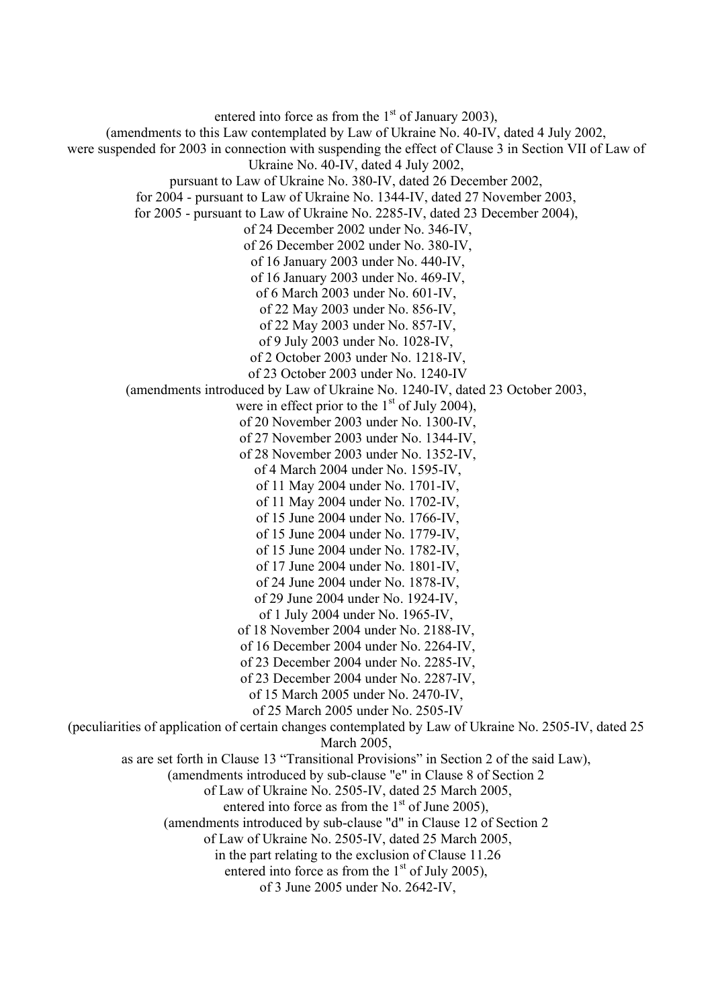entered into force as from the  $1<sup>st</sup>$  of January 2003). (amendments to this Law contemplated by Law of Ukraine No. 40-IV, dated 4 July 2002, were suspended for 2003 in connection with suspending the effect of Clause 3 in Section VII of Law of Ukraine No. 40-IV, dated 4 July 2002, pursuant to Law of Ukraine No. 380-IV, dated 26 December 2002, for 2004 - pursuant to Law of Ukraine No. 1344-IV, dated 27 November 2003, for 2005 - pursuant to Law of Ukraine No. 2285-IV, dated 23 December 2004), of 24 December 2002 under No. 346-IV, of 26 December 2002 under No. 380-IV, of 16 January 2003 under No. 440-IV, of 16 January 2003 under No. 469-IV, of 6 March 2003 under No. 601-IV, of 22 May 2003 under No. 856-IV, of 22 May 2003 under No. 857-IV, of 9 July 2003 under No. 1028-IV, of 2 October 2003 under No. 1218-IV, of 23 October 2003 under No. 1240-IV (amendments introduced by Law of Ukraine No. 1240-IV, dated 23 October 2003, were in effect prior to the  $1<sup>st</sup>$  of July 2004), of 20 November 2003 under No. 1300-IV, of 27 November 2003 under No. 1344-IV, of 28 November 2003 under No. 1352-IV, of 4 March 2004 under No. 1595-IV, of 11 May 2004 under No. 1701-IV, of 11 May 2004 under No. 1702-IV, of 15 June 2004 under No. 1766-IV, of 15 June 2004 under No. 1779-IV, of 15 June 2004 under No. 1782-IV, of 17 June 2004 under No. 1801-IV, of 24 June 2004 under No. 1878-IV, of 29 June 2004 under No. 1924-IV, of 1 July 2004 under No. 1965-IV, of 18 November 2004 under No. 2188-IV, of 16 December 2004 under No. 2264-IV, of 23 December 2004 under No. 2285-IV, of 23 December 2004 under No. 2287-IV, of 15 March 2005 under No. 2470-IV, of 25 March 2005 under No. 2505-IV (peculiarities of application of certain changes contemplated by Law of Ukraine No. 2505-IV, dated 25 March 2005, as are set forth in Clause 13 "Transitional Provisions" in Section 2 of the said Law), (amendments introduced by sub-clause "e" in Clause 8 of Section 2 of Law of Ukraine No. 2505-IV, dated 25 March 2005, entered into force as from the  $1<sup>st</sup>$  of June 2005), (amendments introduced by sub-clause "d" in Clause 12 of Section 2 of Law of Ukraine No. 2505-IV, dated 25 March 2005, in the part relating to the exclusion of Clause 11.26 entered into force as from the  $1<sup>st</sup>$  of July 2005), of 3 June 2005 under No. 2642-IV,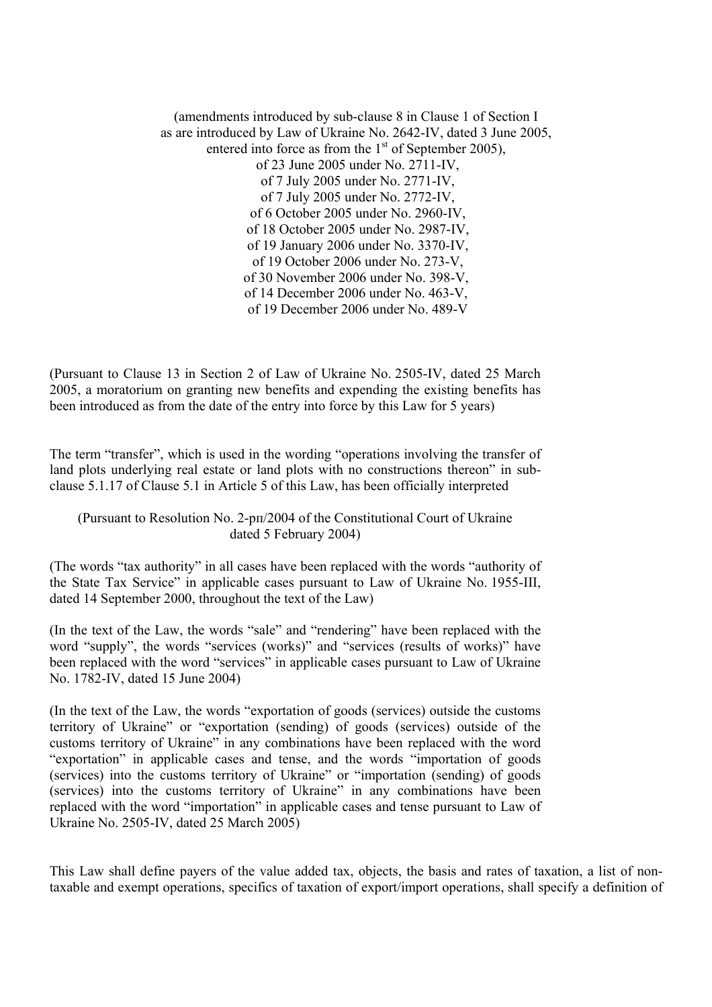(amendments introduced by sub-clause 8 in Clause 1 of Section I as are introduced by Law of Ukraine No. 2642-IV, dated 3 June 2005, entered into force as from the  $1<sup>st</sup>$  of September 2005), of 23 June 2005 under No. 2711-IV, of 7 July 2005 under No. 2771-IV, of 7 July 2005 under No. 2772-IV, of 6 October 2005 under No. 2960-IV, of 18 October 2005 under No. 2987-IV, of 19 January 2006 under No. 3370-IV, of 19 October 2006 under No. 273-V, of 30 November 2006 under No. 398-V, of 14 December 2006 under No. 463-V, of 19 December 2006 under No. 489-V

(Pursuant to Clause 13 in Section 2 of Law of Ukraine No. 2505-IV, dated 25 March 2005, a moratorium on granting new benefits and expending the existing benefits has been introduced as from the date of the entry into force by this Law for 5 years)

The term "transfer", which is used in the wording "operations involving the transfer of land plots underlying real estate or land plots with no constructions thereon" in subclause 5.1.17 of Clause 5.1 in Article 5 of this Law, has been officially interpreted

## (Pursuant to Resolution No. 2-рп/2004 of the Constitutional Court of Ukraine dated 5 February 2004)

(The words "tax authority" in all cases have been replaced with the words "authority of the State Tax Service" in applicable cases pursuant to Law of Ukraine No. 1955-III, dated 14 September 2000, throughout the text of the Law)

(In the text of the Law, the words "sale" and "rendering" have been replaced with the word "supply", the words "services (works)" and "services (results of works)" have been replaced with the word "services" in applicable cases pursuant to Law of Ukraine No. 1782-IV, dated 15 June 2004)

(In the text of the Law, the words "exportation of goods (services) outside the customs territory of Ukraine" or "exportation (sending) of goods (services) outside of the customs territory of Ukraine" in any combinations have been replaced with the word "exportation" in applicable cases and tense, and the words "importation of goods (services) into the customs territory of Ukraine" or "importation (sending) of goods (services) into the customs territory of Ukraine" in any combinations have been replaced with the word "importation" in applicable cases and tense pursuant to Law of Ukraine No. 2505-IV, dated 25 March 2005)

This Law shall define payers of the value added tax, objects, the basis and rates of taxation, a list of nontaxable and exempt operations, specifics of taxation of export/import operations, shall specify a definition of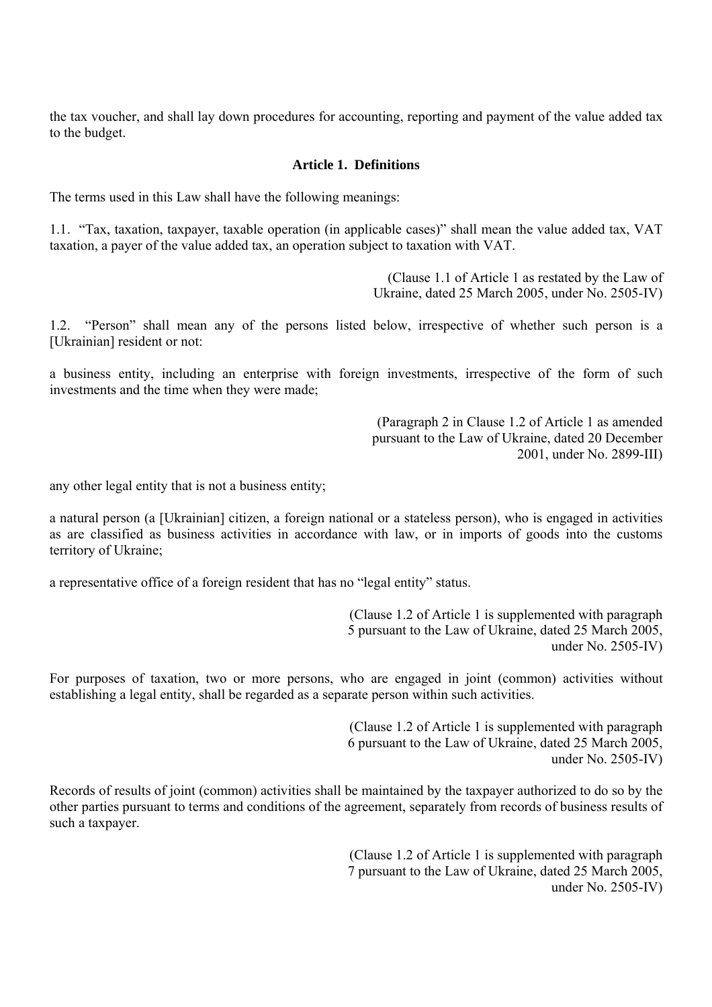the tax voucher, and shall lay down procedures for accounting, reporting and payment of the value added tax to the budget.

## **Article 1. Definitions**

The terms used in this Law shall have the following meanings:

1.1. "Tax, taxation, taxpayer, taxable operation (in applicable cases)" shall mean the value added tax, VAT taxation, a payer of the value added tax, an operation subject to taxation with VAT.

> (Clause 1.1 of Article 1 as restated by the Law of Ukraine, dated 25 March 2005, under No. 2505-IV)

1.2. "Person" shall mean any of the persons listed below, irrespective of whether such person is a [Ukrainian] resident or not:

a business entity, including an enterprise with foreign investments, irrespective of the form of such investments and the time when they were made;

> (Paragraph 2 in Clause 1.2 of Article 1 as amended pursuant to the Law of Ukraine, dated 20 December 2001, under No. 2899-III)

any other legal entity that is not a business entity;

a natural person (a [Ukrainian] citizen, a foreign national or a stateless person), who is engaged in activities as are classified as business activities in accordance with law, or in imports of goods into the customs territory of Ukraine;

a representative office of a foreign resident that has no "legal entity" status.

(Clause 1.2 of Article 1 is supplemented with paragraph 5 pursuant to the Law of Ukraine, dated 25 March 2005, under No. 2505-IV)

For purposes of taxation, two or more persons, who are engaged in joint (common) activities without establishing a legal entity, shall be regarded as a separate person within such activities.

> (Clause 1.2 of Article 1 is supplemented with paragraph 6 pursuant to the Law of Ukraine, dated 25 March 2005, under No. 2505-IV)

Records of results of joint (common) activities shall be maintained by the taxpayer authorized to do so by the other parties pursuant to terms and conditions of the agreement, separately from records of business results of such a taxpayer.

> (Clause 1.2 of Article 1 is supplemented with paragraph 7 pursuant to the Law of Ukraine, dated 25 March 2005, under No. 2505-IV)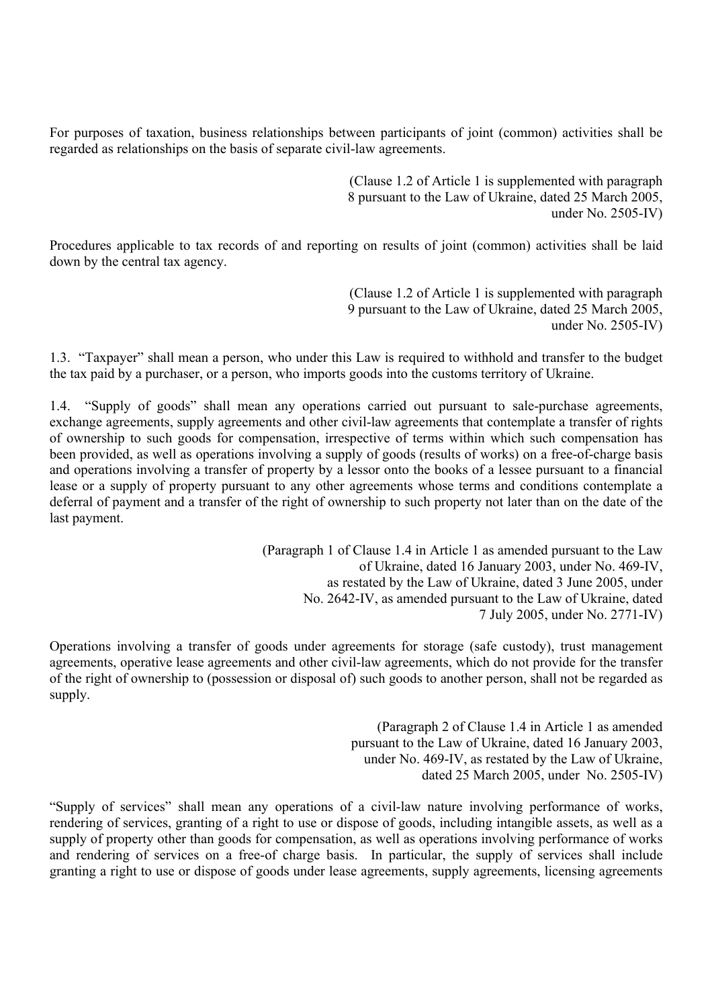For purposes of taxation, business relationships between participants of joint (common) activities shall be regarded as relationships on the basis of separate civil-law agreements.

> (Clause 1.2 of Article 1 is supplemented with paragraph 8 pursuant to the Law of Ukraine, dated 25 March 2005, under No. 2505-IV)

Procedures applicable to tax records of and reporting on results of joint (common) activities shall be laid down by the central tax agency.

> (Clause 1.2 of Article 1 is supplemented with paragraph 9 pursuant to the Law of Ukraine, dated 25 March 2005, under No. 2505-IV)

1.3. "Taxpayer" shall mean a person, who under this Law is required to withhold and transfer to the budget the tax paid by a purchaser, or a person, who imports goods into the customs territory of Ukraine.

1.4. "Supply of goods" shall mean any operations carried out pursuant to sale-purchase agreements, exchange agreements, supply agreements and other civil-law agreements that contemplate a transfer of rights of ownership to such goods for compensation, irrespective of terms within which such compensation has been provided, as well as operations involving a supply of goods (results of works) on a free-of-charge basis and operations involving a transfer of property by a lessor onto the books of a lessee pursuant to a financial lease or a supply of property pursuant to any other agreements whose terms and conditions contemplate a deferral of payment and a transfer of the right of ownership to such property not later than on the date of the last payment.

> (Paragraph 1 of Clause 1.4 in Article 1 as amended pursuant to the Law of Ukraine, dated 16 January 2003, under No. 469-IV, as restated by the Law of Ukraine, dated 3 June 2005, under No. 2642-IV, as amended pursuant to the Law of Ukraine, dated 7 July 2005, under No. 2771-IV)

Operations involving a transfer of goods under agreements for storage (safe custody), trust management agreements, operative lease agreements and other civil-law agreements, which do not provide for the transfer of the right of ownership to (possession or disposal of) such goods to another person, shall not be regarded as supply.

> (Paragraph 2 of Clause 1.4 in Article 1 as amended pursuant to the Law of Ukraine, dated 16 January 2003, under No. 469-IV, as restated by the Law of Ukraine, dated 25 March 2005, under No. 2505-IV)

"Supply of services" shall mean any operations of a civil-law nature involving performance of works, rendering of services, granting of a right to use or dispose of goods, including intangible assets, as well as a supply of property other than goods for compensation, as well as operations involving performance of works and rendering of services on a free-of charge basis. In particular, the supply of services shall include granting a right to use or dispose of goods under lease agreements, supply agreements, licensing agreements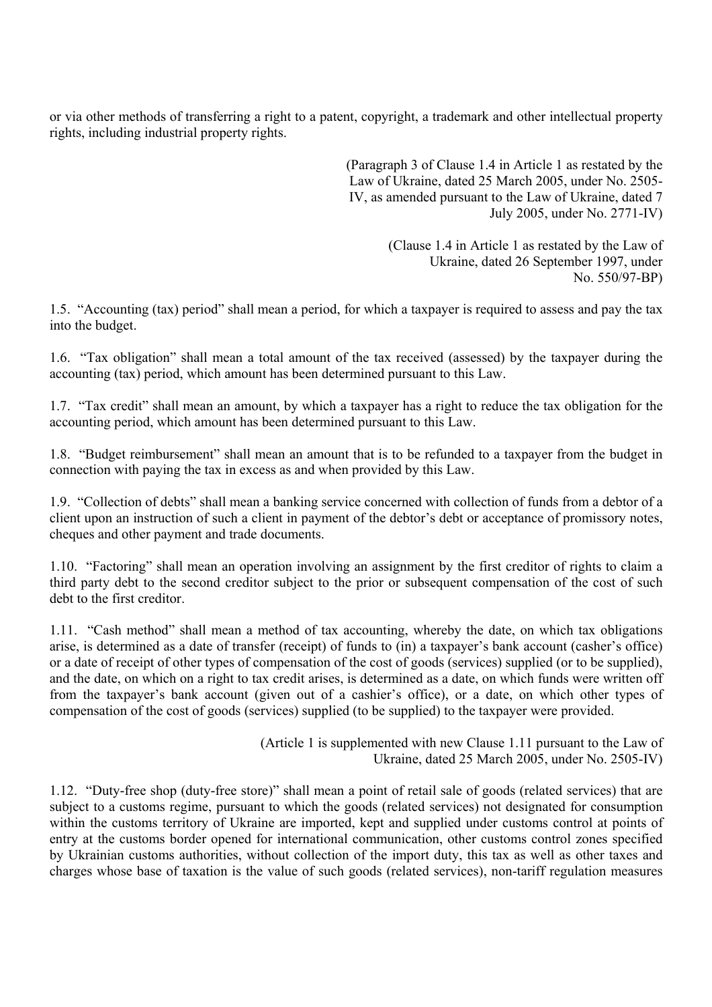or via other methods of transferring a right to a patent, copyright, a trademark and other intellectual property rights, including industrial property rights.

> (Paragraph 3 of Clause 1.4 in Article 1 as restated by the Law of Ukraine, dated 25 March 2005, under No. 2505- IV, as amended pursuant to the Law of Ukraine, dated 7 July 2005, under No. 2771-IV)

> > (Clause 1.4 in Article 1 as restated by the Law of Ukraine, dated 26 September 1997, under No. 550/97-ВР)

1.5. "Accounting (tax) period" shall mean a period, for which a taxpayer is required to assess and pay the tax into the budget.

1.6. "Tax obligation" shall mean a total amount of the tax received (assessed) by the taxpayer during the accounting (tax) period, which amount has been determined pursuant to this Law.

1.7. "Tax credit" shall mean an amount, by which a taxpayer has a right to reduce the tax obligation for the accounting period, which amount has been determined pursuant to this Law.

1.8. "Budget reimbursement" shall mean an amount that is to be refunded to a taxpayer from the budget in connection with paying the tax in excess as and when provided by this Law.

1.9. "Collection of debts" shall mean a banking service concerned with collection of funds from a debtor of a client upon an instruction of such a client in payment of the debtor's debt or acceptance of promissory notes, cheques and other payment and trade documents.

1.10. "Factoring" shall mean an operation involving an assignment by the first creditor of rights to claim a third party debt to the second creditor subject to the prior or subsequent compensation of the cost of such debt to the first creditor.

1.11. "Cash method" shall mean a method of tax accounting, whereby the date, on which tax obligations arise, is determined as a date of transfer (receipt) of funds to (in) a taxpayer's bank account (casher's office) or a date of receipt of other types of compensation of the cost of goods (services) supplied (or to be supplied), and the date, on which on a right to tax credit arises, is determined as a date, on which funds were written off from the taxpayer's bank account (given out of a cashier's office), or a date, on which other types of compensation of the cost of goods (services) supplied (to be supplied) to the taxpayer were provided.

> (Article 1 is supplemented with new Clause 1.11 pursuant to the Law of Ukraine, dated 25 March 2005, under No. 2505-IV)

1.12. "Duty-free shop (duty-free store)" shall mean a point of retail sale of goods (related services) that are subject to a customs regime, pursuant to which the goods (related services) not designated for consumption within the customs territory of Ukraine are imported, kept and supplied under customs control at points of entry at the customs border opened for international communication, other customs control zones specified by Ukrainian customs authorities, without collection of the import duty, this tax as well as other taxes and charges whose base of taxation is the value of such goods (related services), non-tariff regulation measures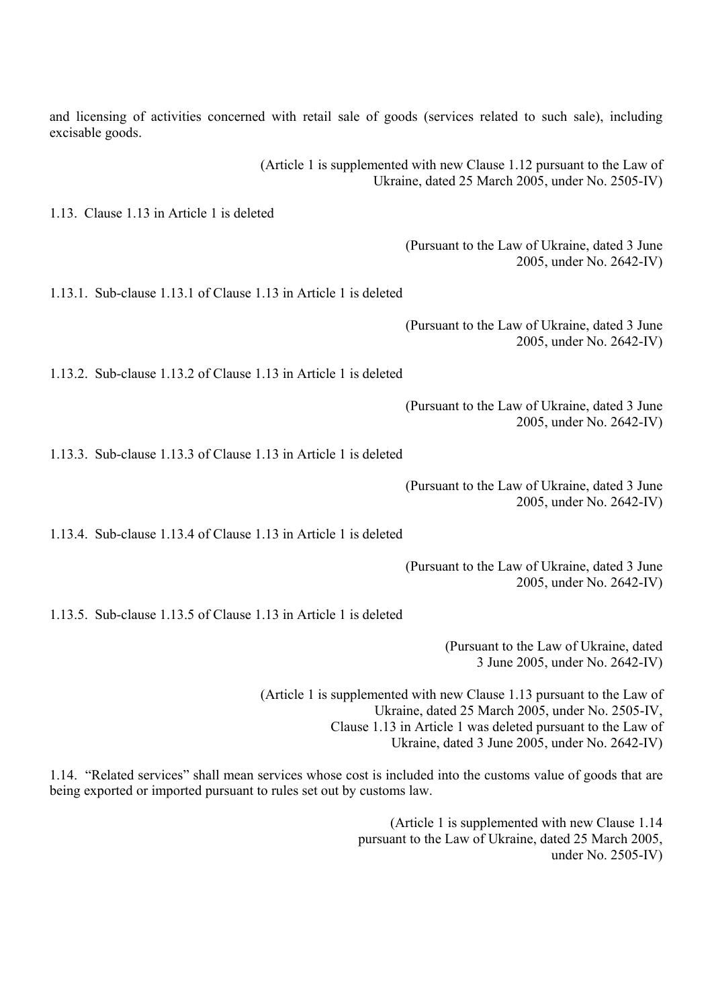and licensing of activities concerned with retail sale of goods (services related to such sale), including excisable goods.

> (Article 1 is supplemented with new Clause 1.12 pursuant to the Law of Ukraine, dated 25 March 2005, under No. 2505-IV)

1.13. Clause 1.13 in Article 1 is deleted

(Pursuant to the Law of Ukraine, dated 3 June 2005, under No. 2642-IV)

1.13.1. Sub-clause 1.13.1 of Clause 1.13 in Article 1 is deleted

(Pursuant to the Law of Ukraine, dated 3 June 2005, under No. 2642-IV)

1.13.2. Sub-clause 1.13.2 of Clause 1.13 in Article 1 is deleted

(Pursuant to the Law of Ukraine, dated 3 June 2005, under No. 2642-IV)

1.13.3. Sub-clause 1.13.3 of Clause 1.13 in Article 1 is deleted

(Pursuant to the Law of Ukraine, dated 3 June 2005, under No. 2642-IV)

1.13.4. Sub-clause 1.13.4 of Clause 1.13 in Article 1 is deleted

(Pursuant to the Law of Ukraine, dated 3 June 2005, under No. 2642-IV)

1.13.5. Sub-clause 1.13.5 of Clause 1.13 in Article 1 is deleted

(Pursuant to the Law of Ukraine, dated 3 June 2005, under No. 2642-IV)

(Article 1 is supplemented with new Clause 1.13 pursuant to the Law of Ukraine, dated 25 March 2005, under No. 2505-IV, Clause 1.13 in Article 1 was deleted pursuant to the Law of Ukraine, dated 3 June 2005, under No. 2642-IV)

1.14. "Related services" shall mean services whose cost is included into the customs value of goods that are being exported or imported pursuant to rules set out by customs law.

> (Article 1 is supplemented with new Clause 1.14 pursuant to the Law of Ukraine, dated 25 March 2005, under No. 2505-IV)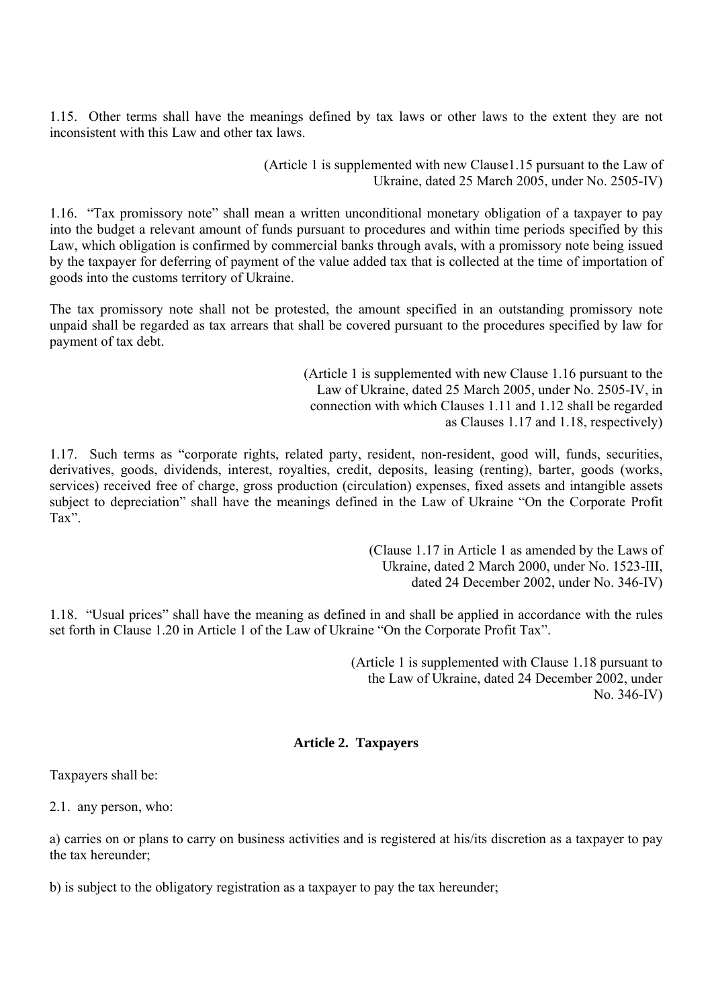1.15. Other terms shall have the meanings defined by tax laws or other laws to the extent they are not inconsistent with this Law and other tax laws.

> (Article 1 is supplemented with new Clause1.15 pursuant to the Law of Ukraine, dated 25 March 2005, under No. 2505-IV)

1.16. "Tax promissory note" shall mean a written unconditional monetary obligation of a taxpayer to pay into the budget a relevant amount of funds pursuant to procedures and within time periods specified by this Law, which obligation is confirmed by commercial banks through avals, with a promissory note being issued by the taxpayer for deferring of payment of the value added tax that is collected at the time of importation of goods into the customs territory of Ukraine.

The tax promissory note shall not be protested, the amount specified in an outstanding promissory note unpaid shall be regarded as tax arrears that shall be covered pursuant to the procedures specified by law for payment of tax debt.

> (Article 1 is supplemented with new Clause 1.16 pursuant to the Law of Ukraine, dated 25 March 2005, under No. 2505-IV, in connection with which Clauses 1.11 and 1.12 shall be regarded as Clauses 1.17 and 1.18, respectively)

1.17. Such terms as "corporate rights, related party, resident, non-resident, good will, funds, securities, derivatives, goods, dividends, interest, royalties, credit, deposits, leasing (renting), barter, goods (works, services) received free of charge, gross production (circulation) expenses, fixed assets and intangible assets subject to depreciation" shall have the meanings defined in the Law of Ukraine "On the Corporate Profit Tax".

> (Clause 1.17 in Article 1 as amended by the Laws of Ukraine, dated 2 March 2000, under No. 1523-III, dated 24 December 2002, under No. 346-IV)

1.18. "Usual prices" shall have the meaning as defined in and shall be applied in accordance with the rules set forth in Clause 1.20 in Article 1 of the Law of Ukraine "On the Corporate Profit Tax".

> (Article 1 is supplemented with Clause 1.18 pursuant to the Law of Ukraine, dated 24 December 2002, under No. 346-IV)

## **Article 2. Taxpayers**

Taxpayers shall be:

2.1. any person, who:

а) carries on or plans to carry on business activities and is registered at his/its discretion as a taxpayer to pay the tax hereunder;

b) is subject to the obligatory registration as a taxpayer to pay the tax hereunder;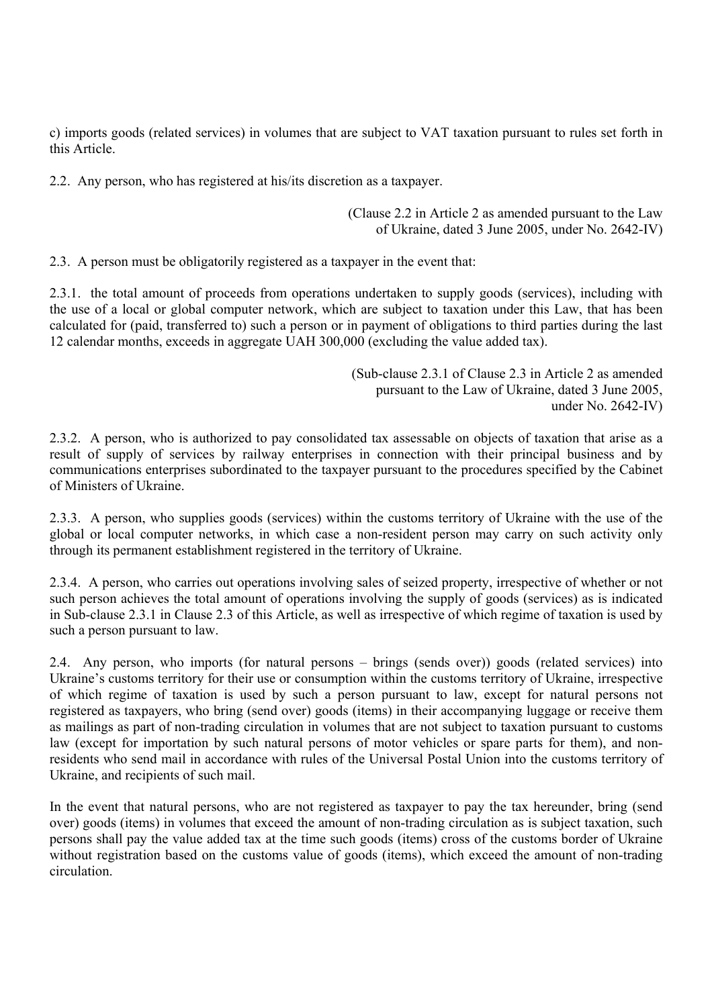c) imports goods (related services) in volumes that are subject to VAT taxation pursuant to rules set forth in this Article.

2.2. Any person, who has registered at his/its discretion as a taxpayer.

(Clause 2.2 in Article 2 as amended pursuant to the Law of Ukraine, dated 3 June 2005, under No. 2642-IV)

2.3. A person must be obligatorily registered as a taxpayer in the event that:

2.3.1. the total amount of proceeds from operations undertaken to supply goods (services), including with the use of a local or global computer network, which are subject to taxation under this Law, that has been calculated for (paid, transferred to) such a person or in payment of obligations to third parties during the last 12 calendar months, exceeds in aggregate UAH 300,000 (excluding the value added tax).

> (Sub-clause 2.3.1 of Clause 2.3 in Article 2 as amended pursuant to the Law of Ukraine, dated 3 June 2005, under No. 2642-IV)

2.3.2. A person, who is authorized to pay consolidated tax assessable on objects of taxation that arise as a result of supply of services by railway enterprises in connection with their principal business and by communications enterprises subordinated to the taxpayer pursuant to the procedures specified by the Cabinet of Ministers of Ukraine.

2.3.3. A person, who supplies goods (services) within the customs territory of Ukraine with the use of the global or local computer networks, in which case a non-resident person may carry on such activity only through its permanent establishment registered in the territory of Ukraine.

2.3.4. A person, who carries out operations involving sales of seized property, irrespective of whether or not such person achieves the total amount of operations involving the supply of goods (services) as is indicated in Sub-clause 2.3.1 in Clause 2.3 of this Article, as well as irrespective of which regime of taxation is used by such a person pursuant to law.

2.4. Any person, who imports (for natural persons – brings (sends over)) goods (related services) into Ukraine's customs territory for their use or consumption within the customs territory of Ukraine, irrespective of which regime of taxation is used by such a person pursuant to law, except for natural persons not registered as taxpayers, who bring (send over) goods (items) in their accompanying luggage or receive them as mailings as part of non-trading circulation in volumes that are not subject to taxation pursuant to customs law (except for importation by such natural persons of motor vehicles or spare parts for them), and nonresidents who send mail in accordance with rules of the Universal Postal Union into the customs territory of Ukraine, and recipients of such mail.

In the event that natural persons, who are not registered as taxpayer to pay the tax hereunder, bring (send over) goods (items) in volumes that exceed the amount of non-trading circulation as is subject taxation, such persons shall pay the value added tax at the time such goods (items) cross of the customs border of Ukraine without registration based on the customs value of goods (items), which exceed the amount of non-trading circulation.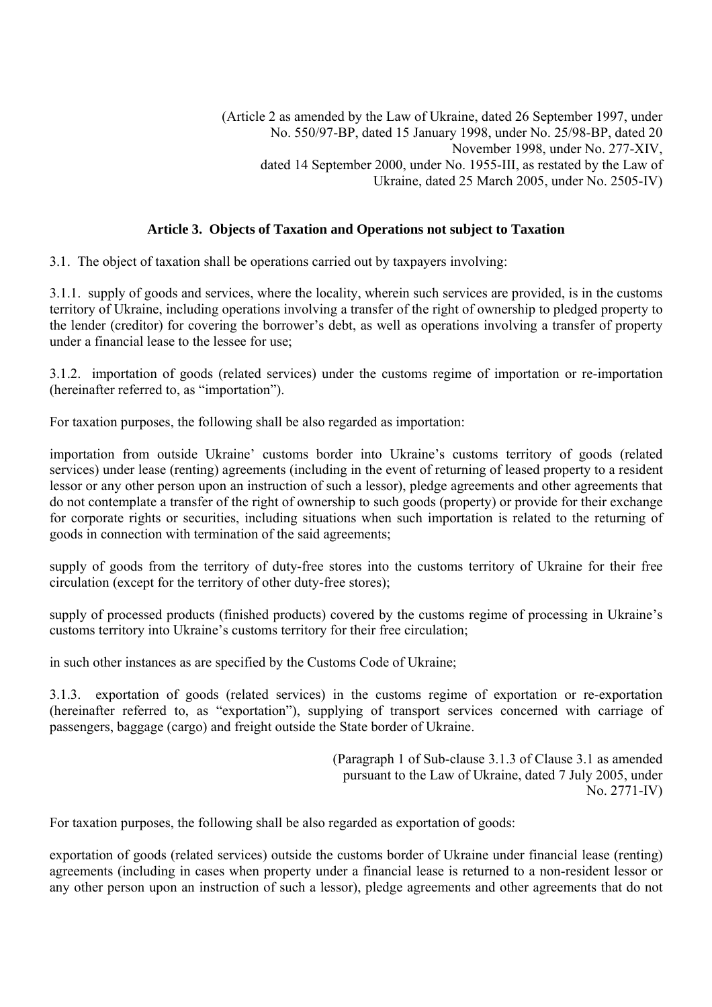# **Article 3. Objects of Taxation and Operations not subject to Taxation**

3.1. The object of taxation shall be operations carried out by taxpayers involving:

3.1.1. supply of goods and services, where the locality, wherein such services are provided, is in the customs territory of Ukraine, including operations involving a transfer of the right of ownership to pledged property to the lender (creditor) for covering the borrower's debt, as well as operations involving a transfer of property under a financial lease to the lessee for use;

3.1.2. importation of goods (related services) under the customs regime of importation or re-importation (hereinafter referred to, as "importation").

For taxation purposes, the following shall be also regarded as importation:

importation from outside Ukraine' customs border into Ukraine's customs territory of goods (related services) under lease (renting) agreements (including in the event of returning of leased property to a resident lessor or any other person upon an instruction of such a lessor), pledge agreements and other agreements that do not contemplate a transfer of the right of ownership to such goods (property) or provide for their exchange for corporate rights or securities, including situations when such importation is related to the returning of goods in connection with termination of the said agreements;

supply of goods from the territory of duty-free stores into the customs territory of Ukraine for their free circulation (except for the territory of other duty-free stores);

supply of processed products (finished products) covered by the customs regime of processing in Ukraine's customs territory into Ukraine's customs territory for their free circulation;

in such other instances as are specified by the Customs Code of Ukraine;

3.1.3. exportation of goods (related services) in the customs regime of exportation or re-exportation (hereinafter referred to, as "exportation"), supplying of transport services concerned with carriage of passengers, baggage (cargo) and freight outside the State border of Ukraine.

> (Paragraph 1 of Sub-clause 3.1.3 of Clause 3.1 as amended pursuant to the Law of Ukraine, dated 7 July 2005, under No. 2771-IV)

For taxation purposes, the following shall be also regarded as exportation of goods:

exportation of goods (related services) outside the customs border of Ukraine under financial lease (renting) agreements (including in cases when property under a financial lease is returned to a non-resident lessor or any other person upon an instruction of such a lessor), pledge agreements and other agreements that do not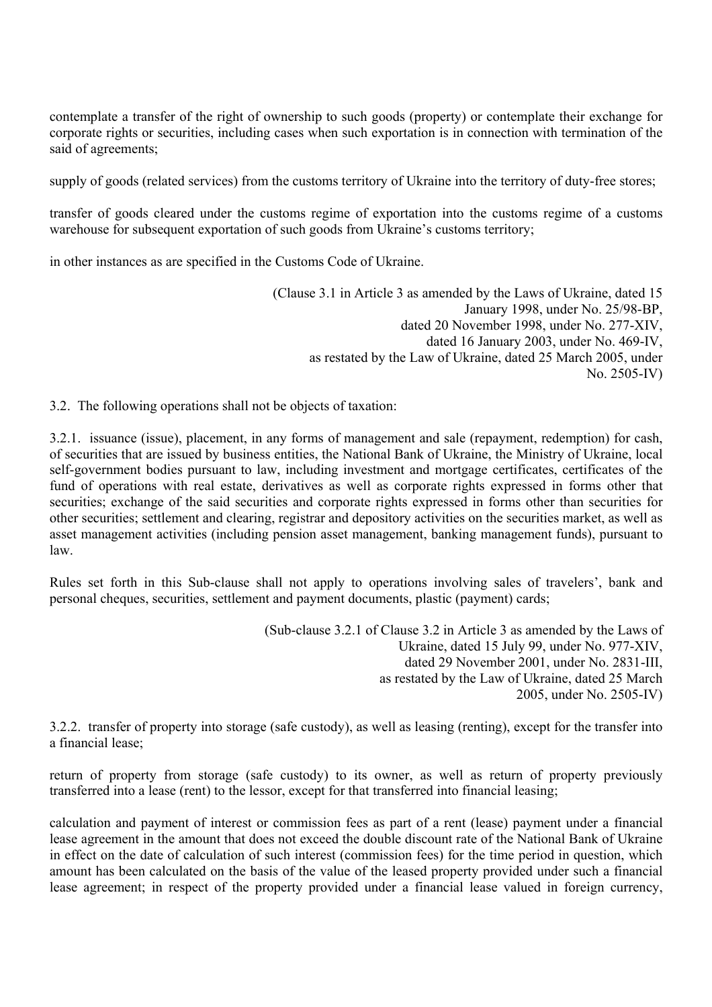contemplate a transfer of the right of ownership to such goods (property) or contemplate their exchange for corporate rights or securities, including cases when such exportation is in connection with termination of the said of agreements;

supply of goods (related services) from the customs territory of Ukraine into the territory of duty-free stores;

transfer of goods cleared under the customs regime of exportation into the customs regime of a customs warehouse for subsequent exportation of such goods from Ukraine's customs territory;

in other instances as are specified in the Customs Code of Ukraine.

(Clause 3.1 in Article 3 as amended by the Laws of Ukraine, dated 15 January 1998, under No. 25/98-ВР, dated 20 November 1998, under No. 277-XIV, dated 16 January 2003, under No. 469-IV, as restated by the Law of Ukraine, dated 25 March 2005, under No. 2505-IV)

3.2. The following operations shall not be objects of taxation:

3.2.1. issuance (issue), placement, in any forms of management and sale (repayment, redemption) for cash, of securities that are issued by business entities, the National Bank of Ukraine, the Ministry of Ukraine, local self-government bodies pursuant to law, including investment and mortgage certificates, certificates of the fund of operations with real estate, derivatives as well as corporate rights expressed in forms other that securities; exchange of the said securities and corporate rights expressed in forms other than securities for other securities; settlement and clearing, registrar and depository activities on the securities market, as well as asset management activities (including pension asset management, banking management funds), pursuant to law.

Rules set forth in this Sub-clause shall not apply to operations involving sales of travelers', bank and personal cheques, securities, settlement and payment documents, plastic (payment) cards;

> (Sub-clause 3.2.1 of Clause 3.2 in Article 3 as amended by the Laws of Ukraine, dated 15 July 99, under No. 977-XIV, dated 29 November 2001, under No. 2831-III, as restated by the Law of Ukraine, dated 25 March 2005, under No. 2505-IV)

3.2.2. transfer of property into storage (safe custody), as well as leasing (renting), except for the transfer into a financial lease;

return of property from storage (safe custody) to its owner, as well as return of property previously transferred into a lease (rent) to the lessor, except for that transferred into financial leasing;

calculation and payment of interest or commission fees as part of a rent (lease) payment under a financial lease agreement in the amount that does not exceed the double discount rate of the National Bank of Ukraine in effect on the date of calculation of such interest (commission fees) for the time period in question, which amount has been calculated on the basis of the value of the leased property provided under such a financial lease agreement; in respect of the property provided under a financial lease valued in foreign currency,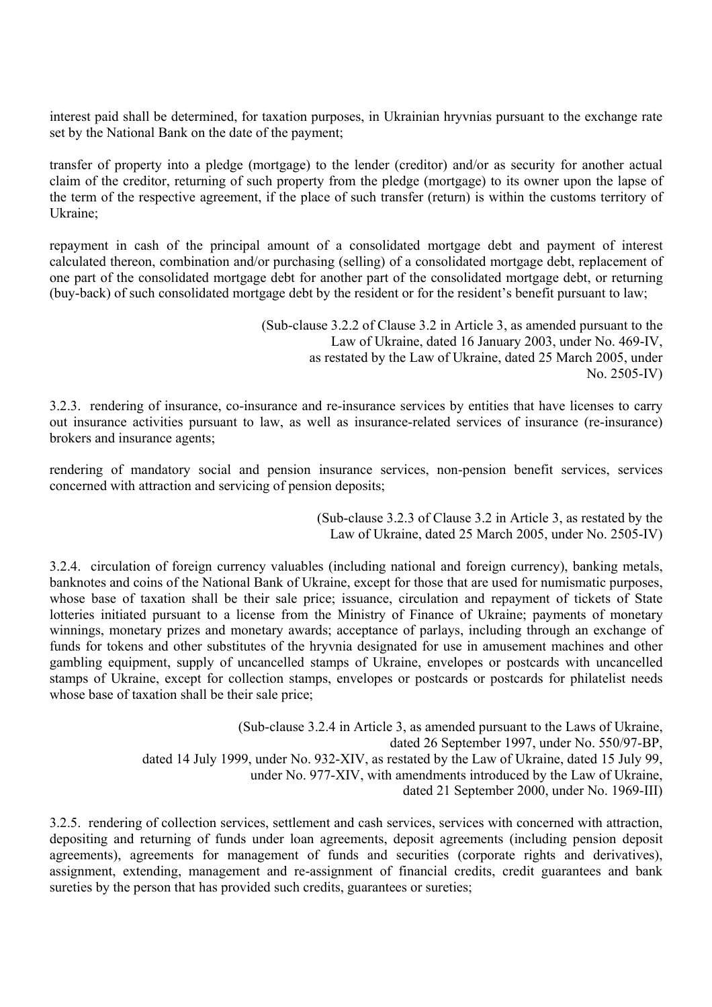interest paid shall be determined, for taxation purposes, in Ukrainian hryvnias pursuant to the exchange rate set by the National Bank on the date of the payment;

transfer of property into a pledge (mortgage) to the lender (creditor) and/or as security for another actual claim of the creditor, returning of such property from the pledge (mortgage) to its owner upon the lapse of the term of the respective agreement, if the place of such transfer (return) is within the customs territory of Ukraine;

repayment in cash of the principal amount of a consolidated mortgage debt and payment of interest calculated thereon, combination and/or purchasing (selling) of a consolidated mortgage debt, replacement of one part of the consolidated mortgage debt for another part of the consolidated mortgage debt, or returning (buy-back) of such consolidated mortgage debt by the resident or for the resident's benefit pursuant to law;

> (Sub-clause 3.2.2 of Clause 3.2 in Article 3, as amended pursuant to the Law of Ukraine, dated 16 January 2003, under No. 469-IV, as restated by the Law of Ukraine, dated 25 March 2005, under No. 2505-IV)

3.2.3. rendering of insurance, co-insurance and re-insurance services by entities that have licenses to carry out insurance activities pursuant to law, as well as insurance-related services of insurance (re-insurance) brokers and insurance agents;

rendering of mandatory social and pension insurance services, non-pension benefit services, services concerned with attraction and servicing of pension deposits;

> (Sub-clause 3.2.3 of Clause 3.2 in Article 3, as restated by the Law of Ukraine, dated 25 March 2005, under No. 2505-IV)

3.2.4. circulation of foreign currency valuables (including national and foreign currency), banking metals, banknotes and coins of the National Bank of Ukraine, except for those that are used for numismatic purposes, whose base of taxation shall be their sale price; issuance, circulation and repayment of tickets of State lotteries initiated pursuant to a license from the Ministry of Finance of Ukraine; payments of monetary winnings, monetary prizes and monetary awards; acceptance of parlays, including through an exchange of funds for tokens and other substitutes of the hryvnia designated for use in amusement machines and other gambling equipment, supply of uncancelled stamps of Ukraine, envelopes or postcards with uncancelled stamps of Ukraine, except for collection stamps, envelopes or postcards or postcards for philatelist needs whose base of taxation shall be their sale price;

> (Sub-clause 3.2.4 in Article 3, as amended pursuant to the Laws of Ukraine, dated 26 September 1997, under No. 550/97-ВР, dated 14 July 1999, under No. 932-XIV, as restated by the Law of Ukraine, dated 15 July 99, under No. 977-XIV, with amendments introduced by the Law of Ukraine, dated 21 September 2000, under No. 1969-III)

3.2.5. rendering of collection services, settlement and cash services, services with concerned with attraction, depositing and returning of funds under loan agreements, deposit agreements (including pension deposit agreements), agreements for management of funds and securities (corporate rights and derivatives), assignment, extending, management and re-assignment of financial credits, credit guarantees and bank sureties by the person that has provided such credits, guarantees or sureties;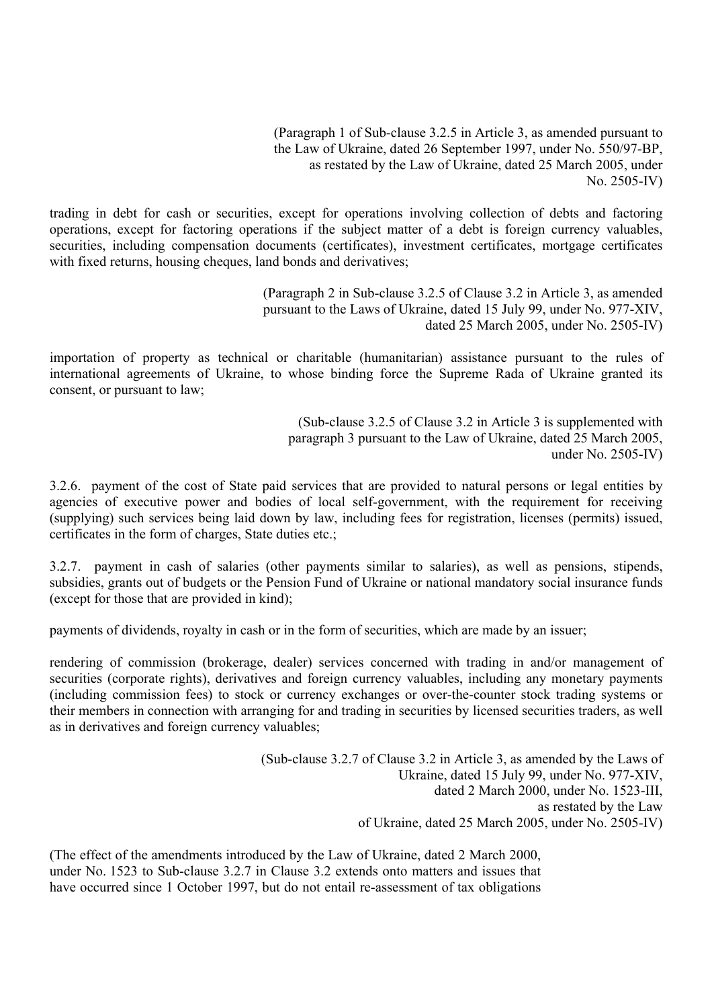(Paragraph 1 of Sub-clause 3.2.5 in Article 3, as amended pursuant to the Law of Ukraine, dated 26 September 1997, under No. 550/97-ВР, as restated by the Law of Ukraine, dated 25 March 2005, under No. 2505-IV)

trading in debt for cash or securities, except for operations involving collection of debts and factoring operations, except for factoring operations if the subject matter of a debt is foreign currency valuables, securities, including compensation documents (certificates), investment certificates, mortgage certificates with fixed returns, housing cheques, land bonds and derivatives;

> (Paragraph 2 in Sub-clause 3.2.5 of Clause 3.2 in Article 3, as amended pursuant to the Laws of Ukraine, dated 15 July 99, under No. 977-XIV, dated 25 March 2005, under No. 2505-IV)

importation of property as technical or charitable (humanitarian) assistance pursuant to the rules of international agreements of Ukraine, to whose binding force the Supreme Rada of Ukraine granted its consent, or pursuant to law;

> (Sub-clause 3.2.5 of Clause 3.2 in Article 3 is supplemented with paragraph 3 pursuant to the Law of Ukraine, dated 25 March 2005, under No. 2505-IV)

3.2.6. payment of the cost of State paid services that are provided to natural persons or legal entities by agencies of executive power and bodies of local self-government, with the requirement for receiving (supplying) such services being laid down by law, including fees for registration, licenses (permits) issued, certificates in the form of charges, State duties etc.;

3.2.7. payment in cash of salaries (other payments similar to salaries), as well as pensions, stipends, subsidies, grants out of budgets or the Pension Fund of Ukraine or national mandatory social insurance funds (except for those that are provided in kind);

payments of dividends, royalty in cash or in the form of securities, which are made by an issuer;

rendering of commission (brokerage, dealer) services concerned with trading in and/or management of securities (corporate rights), derivatives and foreign currency valuables, including any monetary payments (including commission fees) to stock or currency exchanges or over-the-counter stock trading systems or their members in connection with arranging for and trading in securities by licensed securities traders, as well as in derivatives and foreign currency valuables;

> (Sub-clause 3.2.7 of Clause 3.2 in Article 3, as amended by the Laws of Ukraine, dated 15 July 99, under No. 977-XIV, dated 2 March 2000, under No. 1523-III, as restated by the Law of Ukraine, dated 25 March 2005, under No. 2505-IV)

(The effect of the amendments introduced by the Law of Ukraine, dated 2 March 2000, under No. 1523 to Sub-clause 3.2.7 in Clause 3.2 extends onto matters and issues that have occurred since 1 October 1997, but do not entail re-assessment of tax obligations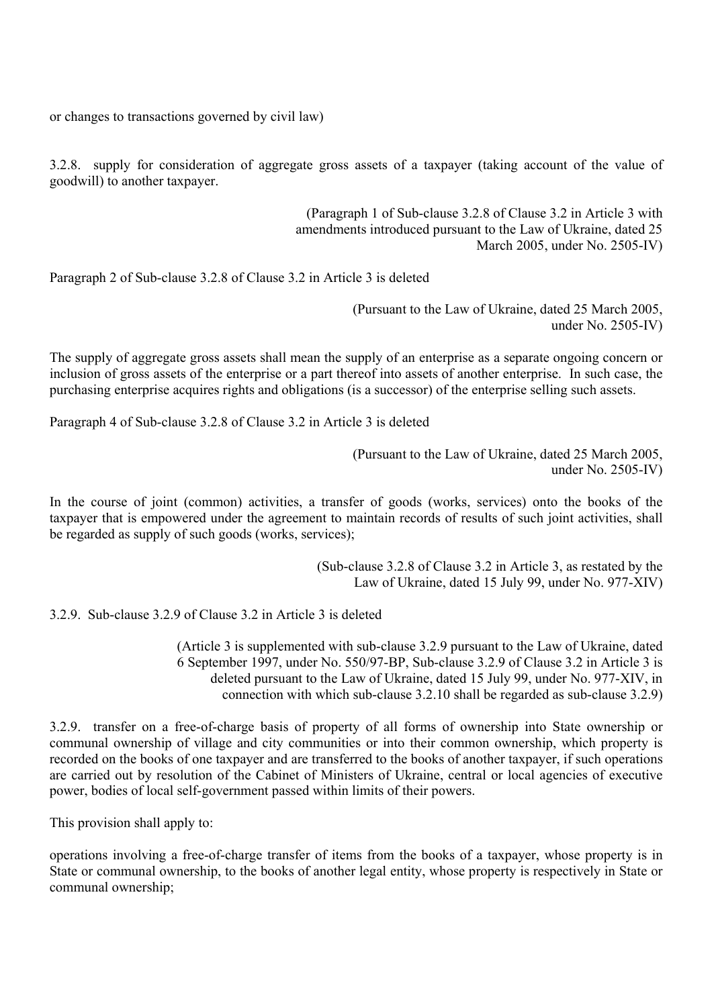or changes to transactions governed by civil law)

3.2.8. supply for consideration of aggregate gross assets of a taxpayer (taking account of the value of goodwill) to another taxpayer.

> (Paragraph 1 of Sub-clause 3.2.8 of Clause 3.2 in Article 3 with amendments introduced pursuant to the Law of Ukraine, dated 25 March 2005, under No. 2505-IV)

Paragraph 2 of Sub-clause 3.2.8 of Clause 3.2 in Article 3 is deleted

(Pursuant to the Law of Ukraine, dated 25 March 2005, under No. 2505-IV)

The supply of aggregate gross assets shall mean the supply of an enterprise as a separate ongoing concern or inclusion of gross assets of the enterprise or a part thereof into assets of another enterprise. In such case, the purchasing enterprise acquires rights and obligations (is a successor) of the enterprise selling such assets.

Paragraph 4 of Sub-clause 3.2.8 of Clause 3.2 in Article 3 is deleted

(Pursuant to the Law of Ukraine, dated 25 March 2005, under No. 2505-IV)

In the course of joint (common) activities, a transfer of goods (works, services) onto the books of the taxpayer that is empowered under the agreement to maintain records of results of such joint activities, shall be regarded as supply of such goods (works, services);

> (Sub-clause 3.2.8 of Clause 3.2 in Article 3, as restated by the Law of Ukraine, dated 15 July 99, under No. 977-XIV)

3.2.9. Sub-clause 3.2.9 of Clause 3.2 in Article 3 is deleted

(Article 3 is supplemented with sub-clause 3.2.9 pursuant to the Law of Ukraine, dated 6 September 1997, under No. 550/97-ВР, Sub-clause 3.2.9 of Clause 3.2 in Article 3 is deleted pursuant to the Law of Ukraine, dated 15 July 99, under No. 977-XIV, in connection with which sub-clause 3.2.10 shall be regarded as sub-clause 3.2.9)

3.2.9. transfer on a free-of-charge basis of property of all forms of ownership into State ownership or communal ownership of village and city communities or into their common ownership, which property is recorded on the books of one taxpayer and are transferred to the books of another taxpayer, if such operations are carried out by resolution of the Cabinet of Ministers of Ukraine, central or local agencies of executive power, bodies of local self-government passed within limits of their powers.

This provision shall apply to:

operations involving a free-of-charge transfer of items from the books of a taxpayer, whose property is in State or communal ownership, to the books of another legal entity, whose property is respectively in State or communal ownership;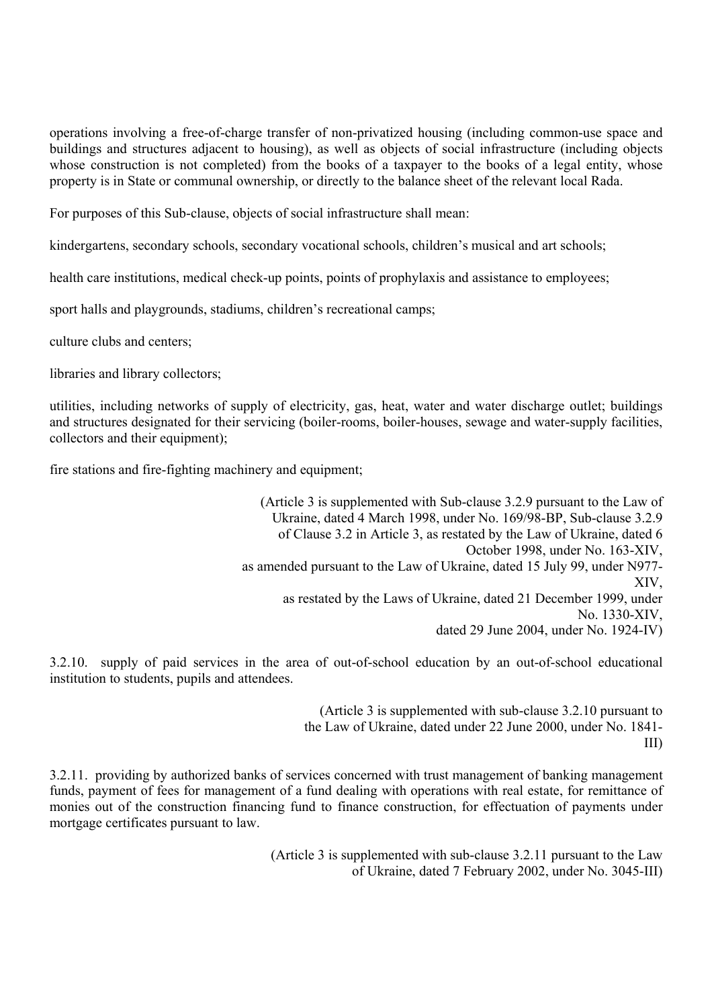operations involving a free-of-charge transfer of non-privatized housing (including common-use space and buildings and structures adjacent to housing), as well as objects of social infrastructure (including objects whose construction is not completed) from the books of a taxpayer to the books of a legal entity, whose property is in State or communal ownership, or directly to the balance sheet of the relevant local Rada.

For purposes of this Sub-clause, objects of social infrastructure shall mean:

kindergartens, secondary schools, secondary vocational schools, children's musical and art schools;

health care institutions, medical check-up points, points of prophylaxis and assistance to employees;

sport halls and playgrounds, stadiums, children's recreational camps;

culture clubs and centers;

libraries and library collectors;

utilities, including networks of supply of electricity, gas, heat, water and water discharge outlet; buildings and structures designated for their servicing (boiler-rooms, boiler-houses, sewage and water-supply facilities, collectors and their equipment);

fire stations and fire-fighting machinery and equipment;

(Article 3 is supplemented with Sub-clause 3.2.9 pursuant to the Law of Ukraine, dated 4 March 1998, under No. 169/98-ВР, Sub-clause 3.2.9 of Clause 3.2 in Article 3, as restated by the Law of Ukraine, dated 6 October 1998, under No. 163-XIV, as amended pursuant to the Law of Ukraine, dated 15 July 99, under N977- XIV, as restated by the Laws of Ukraine, dated 21 December 1999, under No. 1330-XIV, dated 29 June 2004, under No. 1924-IV)

3.2.10. supply of paid services in the area of out-of-school education by an out-of-school educational institution to students, pupils and attendees.

> (Article 3 is supplemented with sub-clause 3.2.10 pursuant to the Law of Ukraine, dated under 22 June 2000, under No. 1841- III)

3.2.11. providing by authorized banks of services concerned with trust management of banking management funds, payment of fees for management of a fund dealing with operations with real estate, for remittance of monies out of the construction financing fund to finance construction, for effectuation of payments under mortgage certificates pursuant to law.

> (Article 3 is supplemented with sub-clause 3.2.11 pursuant to the Law of Ukraine, dated 7 February 2002, under No. 3045-III)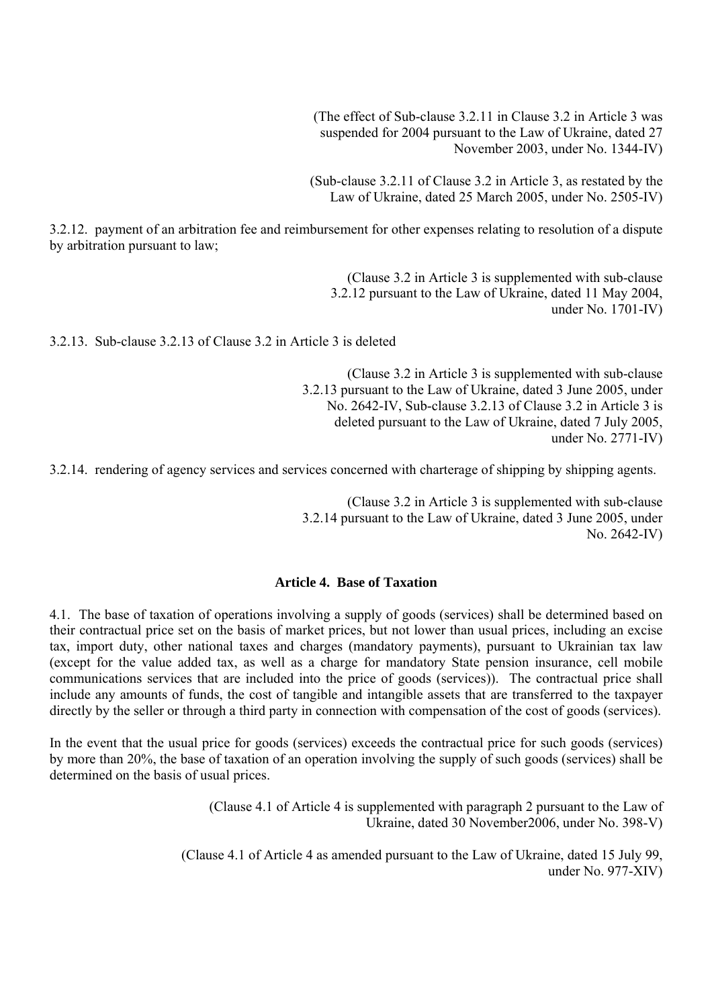(The effect of Sub-clause 3.2.11 in Clause 3.2 in Article 3 was suspended for 2004 pursuant to the Law of Ukraine, dated 27 November 2003, under No. 1344-IV)

(Sub-clause 3.2.11 of Clause 3.2 in Article 3, as restated by the Law of Ukraine, dated 25 March 2005, under No. 2505-IV)

3.2.12. payment of an arbitration fee and reimbursement for other expenses relating to resolution of a dispute by arbitration pursuant to law;

> (Clause 3.2 in Article 3 is supplemented with sub-clause 3.2.12 pursuant to the Law of Ukraine, dated 11 May 2004, under No. 1701-IV)

3.2.13. Sub-clause 3.2.13 of Clause 3.2 in Article 3 is deleted

(Clause 3.2 in Article 3 is supplemented with sub-clause 3.2.13 pursuant to the Law of Ukraine, dated 3 June 2005, under No. 2642-IV, Sub-clause 3.2.13 of Clause 3.2 in Article 3 is deleted pursuant to the Law of Ukraine, dated 7 July 2005, under No. 2771-IV)

3.2.14. rendering of agency services and services concerned with charterage of shipping by shipping agents.

(Clause 3.2 in Article 3 is supplemented with sub-clause 3.2.14 pursuant to the Law of Ukraine, dated 3 June 2005, under No. 2642-IV)

## **Article 4. Base of Taxation**

4.1. The base of taxation of operations involving a supply of goods (services) shall be determined based on their contractual price set on the basis of market prices, but not lower than usual prices, including an excise tax, import duty, other national taxes and charges (mandatory payments), pursuant to Ukrainian tax law (except for the value added tax, as well as a charge for mandatory State pension insurance, cell mobile communications services that are included into the price of goods (services)). The contractual price shall include any amounts of funds, the cost of tangible and intangible assets that are transferred to the taxpayer directly by the seller or through a third party in connection with compensation of the cost of goods (services).

In the event that the usual price for goods (services) exceeds the contractual price for such goods (services) by more than 20%, the base of taxation of an operation involving the supply of such goods (services) shall be determined on the basis of usual prices.

> (Clause 4.1 of Article 4 is supplemented with paragraph 2 pursuant to the Law of Ukraine, dated 30 November2006, under No. 398-V)

(Clause 4.1 of Article 4 as amended pursuant to the Law of Ukraine, dated 15 July 99, under No. 977-XIV)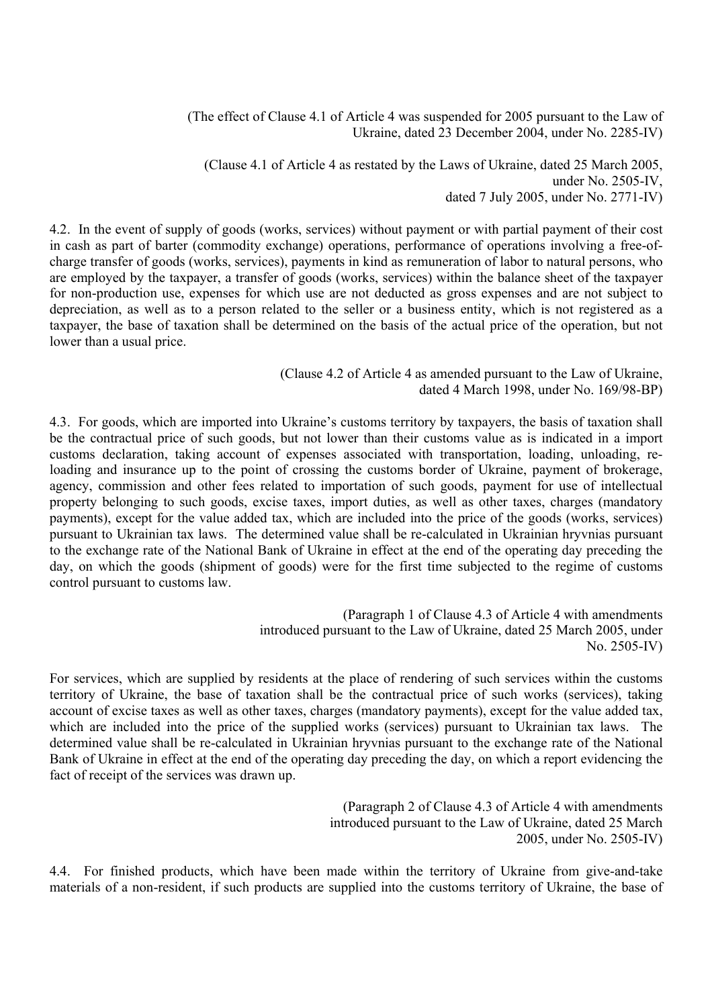(The effect of Clause 4.1 of Article 4 was suspended for 2005 pursuant to the Law of Ukraine, dated 23 December 2004, under No. 2285-IV)

(Clause 4.1 of Article 4 as restated by the Laws of Ukraine, dated 25 March 2005, under No. 2505-IV, dated 7 July 2005, under No. 2771-IV)

4.2. In the event of supply of goods (works, services) without payment or with partial payment of their cost in cash as part of barter (commodity exchange) operations, performance of operations involving a free-ofcharge transfer of goods (works, services), payments in kind as remuneration of labor to natural persons, who are employed by the taxpayer, a transfer of goods (works, services) within the balance sheet of the taxpayer for non-production use, expenses for which use are not deducted as gross expenses and are not subject to depreciation, as well as to a person related to the seller or a business entity, which is not registered as a taxpayer, the base of taxation shall be determined on the basis of the actual price of the operation, but not lower than a usual price.

### (Clause 4.2 of Article 4 as amended pursuant to the Law of Ukraine, dated 4 March 1998, under No. 169/98-ВР)

4.3. For goods, which are imported into Ukraine's customs territory by taxpayers, the basis of taxation shall be the contractual price of such goods, but not lower than their customs value as is indicated in a import customs declaration, taking account of expenses associated with transportation, loading, unloading, reloading and insurance up to the point of crossing the customs border of Ukraine, payment of brokerage, agency, commission and other fees related to importation of such goods, payment for use of intellectual property belonging to such goods, excise taxes, import duties, as well as other taxes, charges (mandatory payments), except for the value added tax, which are included into the price of the goods (works, services) pursuant to Ukrainian tax laws. The determined value shall be re-calculated in Ukrainian hryvnias pursuant to the exchange rate of the National Bank of Ukraine in effect at the end of the operating day preceding the day, on which the goods (shipment of goods) were for the first time subjected to the regime of customs control pursuant to customs law.

> (Paragraph 1 of Clause 4.3 of Article 4 with amendments introduced pursuant to the Law of Ukraine, dated 25 March 2005, under No. 2505-IV)

For services, which are supplied by residents at the place of rendering of such services within the customs territory of Ukraine, the base of taxation shall be the contractual price of such works (services), taking account of excise taxes as well as other taxes, charges (mandatory payments), except for the value added tax, which are included into the price of the supplied works (services) pursuant to Ukrainian tax laws. The determined value shall be re-calculated in Ukrainian hryvnias pursuant to the exchange rate of the National Bank of Ukraine in effect at the end of the operating day preceding the day, on which a report evidencing the fact of receipt of the services was drawn up.

> (Paragraph 2 of Clause 4.3 of Article 4 with amendments introduced pursuant to the Law of Ukraine, dated 25 March 2005, under No. 2505-IV)

4.4. For finished products, which have been made within the territory of Ukraine from give-and-take materials of a non-resident, if such products are supplied into the customs territory of Ukraine, the base of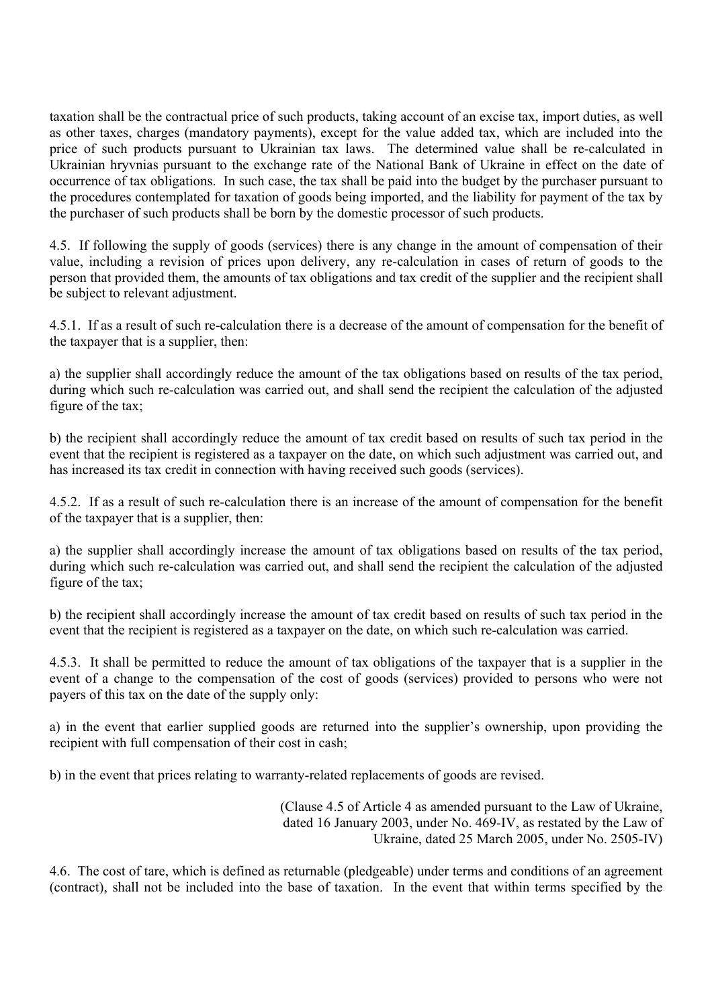taxation shall be the contractual price of such products, taking account of an excise tax, import duties, as well as other taxes, charges (mandatory payments), except for the value added tax, which are included into the price of such products pursuant to Ukrainian tax laws. The determined value shall be re-calculated in Ukrainian hryvnias pursuant to the exchange rate of the National Bank of Ukraine in effect on the date of occurrence of tax obligations. In such case, the tax shall be paid into the budget by the purchaser pursuant to the procedures contemplated for taxation of goods being imported, and the liability for payment of the tax by the purchaser of such products shall be born by the domestic processor of such products.

4.5. If following the supply of goods (services) there is any change in the amount of compensation of their value, including a revision of prices upon delivery, any re-calculation in cases of return of goods to the person that provided them, the amounts of tax obligations and tax credit of the supplier and the recipient shall be subject to relevant adjustment.

4.5.1. If as a result of such re-calculation there is a decrease of the amount of compensation for the benefit of the taxpayer that is a supplier, then:

a) the supplier shall accordingly reduce the amount of the tax obligations based on results of the tax period, during which such re-calculation was carried out, and shall send the recipient the calculation of the adjusted figure of the tax;

b) the recipient shall accordingly reduce the amount of tax credit based on results of such tax period in the event that the recipient is registered as a taxpayer on the date, on which such adjustment was carried out, and has increased its tax credit in connection with having received such goods (services).

4.5.2. If as a result of such re-calculation there is an increase of the amount of compensation for the benefit of the taxpayer that is a supplier, then:

a) the supplier shall accordingly increase the amount of tax obligations based on results of the tax period, during which such re-calculation was carried out, and shall send the recipient the calculation of the adjusted figure of the tax;

b) the recipient shall accordingly increase the amount of tax credit based on results of such tax period in the event that the recipient is registered as a taxpayer on the date, on which such re-calculation was carried.

4.5.3. It shall be permitted to reduce the amount of tax obligations of the taxpayer that is a supplier in the event of a change to the compensation of the cost of goods (services) provided to persons who were not payers of this tax on the date of the supply only:

а) in the event that earlier supplied goods are returned into the supplier's ownership, upon providing the recipient with full compensation of their cost in cash;

b) in the event that prices relating to warranty-related replacements of goods are revised.

(Clause 4.5 of Article 4 as amended pursuant to the Law of Ukraine, dated 16 January 2003, under No. 469-IV, as restated by the Law of Ukraine, dated 25 March 2005, under No. 2505-IV)

4.6. The cost of tare, which is defined as returnable (pledgeable) under terms and conditions of an agreement (contract), shall not be included into the base of taxation. In the event that within terms specified by the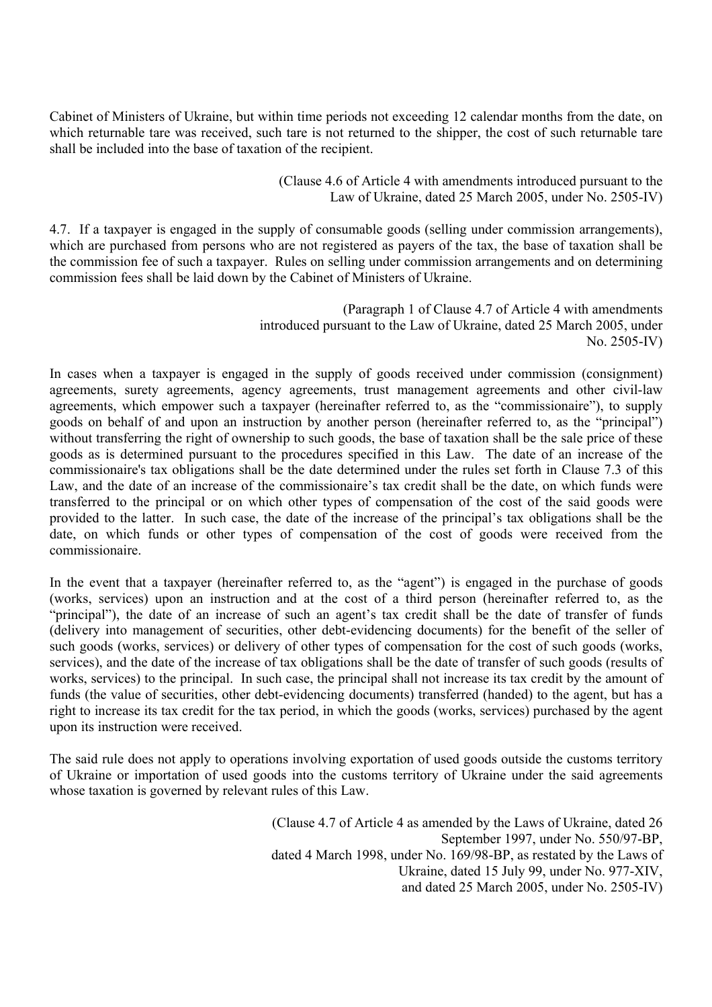Cabinet of Ministers of Ukraine, but within time periods not exceeding 12 calendar months from the date, on which returnable tare was received, such tare is not returned to the shipper, the cost of such returnable tare shall be included into the base of taxation of the recipient.

> (Clause 4.6 of Article 4 with amendments introduced pursuant to the Law of Ukraine, dated 25 March 2005, under No. 2505-IV)

4.7. If a taxpayer is engaged in the supply of consumable goods (selling under commission arrangements), which are purchased from persons who are not registered as payers of the tax, the base of taxation shall be the commission fee of such a taxpayer. Rules on selling under commission arrangements and on determining commission fees shall be laid down by the Cabinet of Ministers of Ukraine.

> (Paragraph 1 of Clause 4.7 of Article 4 with amendments introduced pursuant to the Law of Ukraine, dated 25 March 2005, under No. 2505-IV)

In cases when a taxpayer is engaged in the supply of goods received under commission (consignment) agreements, surety agreements, agency agreements, trust management agreements and other civil-law agreements, which empower such a taxpayer (hereinafter referred to, as the "commissionaire"), to supply goods on behalf of and upon an instruction by another person (hereinafter referred to, as the "principal") without transferring the right of ownership to such goods, the base of taxation shall be the sale price of these goods as is determined pursuant to the procedures specified in this Law. The date of an increase of the commissionaire's tax obligations shall be the date determined under the rules set forth in Clause 7.3 of this Law, and the date of an increase of the commissionaire's tax credit shall be the date, on which funds were transferred to the principal or on which other types of compensation of the cost of the said goods were provided to the latter. In such case, the date of the increase of the principal's tax obligations shall be the date, on which funds or other types of compensation of the cost of goods were received from the commissionaire.

In the event that a taxpayer (hereinafter referred to, as the "agent") is engaged in the purchase of goods (works, services) upon an instruction and at the cost of a third person (hereinafter referred to, as the "principal"), the date of an increase of such an agent's tax credit shall be the date of transfer of funds (delivery into management of securities, other debt-evidencing documents) for the benefit of the seller of such goods (works, services) or delivery of other types of compensation for the cost of such goods (works, services), and the date of the increase of tax obligations shall be the date of transfer of such goods (results of works, services) to the principal. In such case, the principal shall not increase its tax credit by the amount of funds (the value of securities, other debt-evidencing documents) transferred (handed) to the agent, but has a right to increase its tax credit for the tax period, in which the goods (works, services) purchased by the agent upon its instruction were received.

The said rule does not apply to operations involving exportation of used goods outside the customs territory of Ukraine or importation of used goods into the customs territory of Ukraine under the said agreements whose taxation is governed by relevant rules of this Law.

> (Clause 4.7 of Article 4 as amended by the Laws of Ukraine, dated 26 September 1997, under No. 550/97-ВР, dated 4 March 1998, under No. 169/98-ВР, as restated by the Laws of Ukraine, dated 15 July 99, under No. 977-XIV, and dated 25 March 2005, under No. 2505-IV)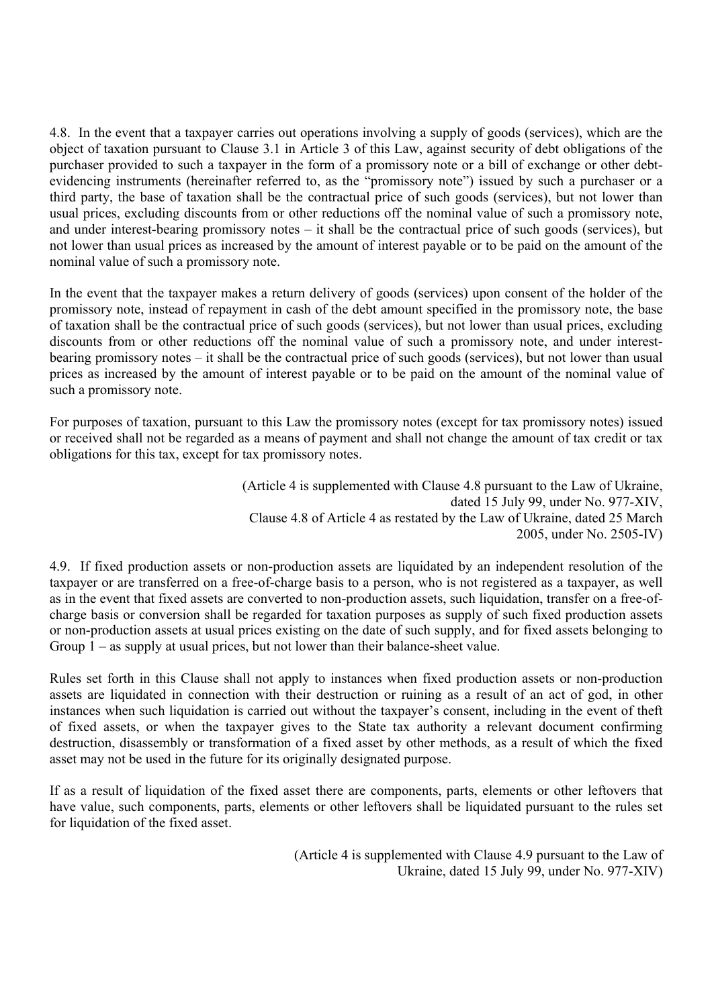4.8. In the event that a taxpayer carries out operations involving a supply of goods (services), which are the object of taxation pursuant to Clause 3.1 in Article 3 of this Law, against security of debt obligations of the purchaser provided to such a taxpayer in the form of a promissory note or a bill of exchange or other debtevidencing instruments (hereinafter referred to, as the "promissory note") issued by such a purchaser or a third party, the base of taxation shall be the contractual price of such goods (services), but not lower than usual prices, excluding discounts from or other reductions off the nominal value of such a promissory note, and under interest-bearing promissory notes – it shall be the contractual price of such goods (services), but not lower than usual prices as increased by the amount of interest payable or to be paid on the amount of the nominal value of such a promissory note.

In the event that the taxpayer makes a return delivery of goods (services) upon consent of the holder of the promissory note, instead of repayment in cash of the debt amount specified in the promissory note, the base of taxation shall be the contractual price of such goods (services), but not lower than usual prices, excluding discounts from or other reductions off the nominal value of such a promissory note, and under interestbearing promissory notes – it shall be the contractual price of such goods (services), but not lower than usual prices as increased by the amount of interest payable or to be paid on the amount of the nominal value of such a promissory note.

For purposes of taxation, pursuant to this Law the promissory notes (except for tax promissory notes) issued or received shall not be regarded as a means of payment and shall not change the amount of tax credit or tax obligations for this tax, except for tax promissory notes.

> (Article 4 is supplemented with Clause 4.8 pursuant to the Law of Ukraine, dated 15 July 99, under No. 977-XIV, Clause 4.8 of Article 4 as restated by the Law of Ukraine, dated 25 March 2005, under No. 2505-IV)

4.9. If fixed production assets or non-production assets are liquidated by an independent resolution of the taxpayer or are transferred on a free-of-charge basis to a person, who is not registered as a taxpayer, as well as in the event that fixed assets are converted to non-production assets, such liquidation, transfer on a free-ofcharge basis or conversion shall be regarded for taxation purposes as supply of such fixed production assets or non-production assets at usual prices existing on the date of such supply, and for fixed assets belonging to Group 1 – as supply at usual prices, but not lower than their balance-sheet value.

Rules set forth in this Clause shall not apply to instances when fixed production assets or non-production assets are liquidated in connection with their destruction or ruining as a result of an act of god, in other instances when such liquidation is carried out without the taxpayer's consent, including in the event of theft of fixed assets, or when the taxpayer gives to the State tax authority a relevant document confirming destruction, disassembly or transformation of a fixed asset by other methods, as a result of which the fixed asset may not be used in the future for its originally designated purpose.

If as a result of liquidation of the fixed asset there are components, parts, elements or other leftovers that have value, such components, parts, elements or other leftovers shall be liquidated pursuant to the rules set for liquidation of the fixed asset.

> (Article 4 is supplemented with Clause 4.9 pursuant to the Law of Ukraine, dated 15 July 99, under No. 977-XIV)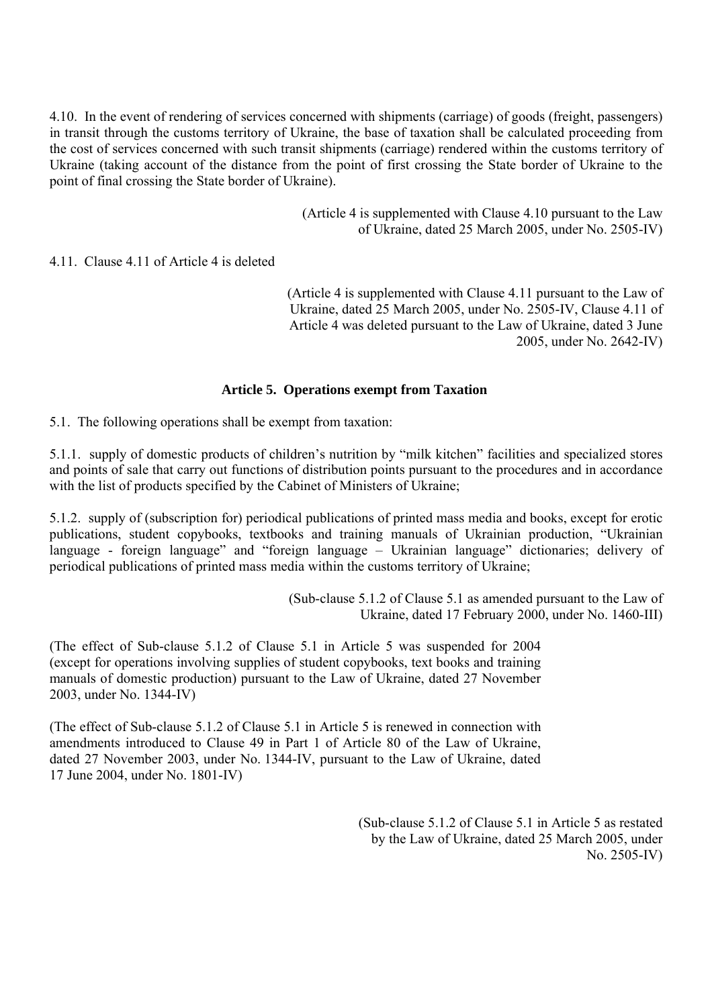4.10. In the event of rendering of services concerned with shipments (carriage) of goods (freight, passengers) in transit through the customs territory of Ukraine, the base of taxation shall be calculated proceeding from the cost of services concerned with such transit shipments (carriage) rendered within the customs territory of Ukraine (taking account of the distance from the point of first crossing the State border of Ukraine to the point of final crossing the State border of Ukraine).

> (Article 4 is supplemented with Clause 4.10 pursuant to the Law of Ukraine, dated 25 March 2005, under No. 2505-IV)

4.11. Clause 4.11 of Article 4 is deleted

(Article 4 is supplemented with Clause 4.11 pursuant to the Law of Ukraine, dated 25 March 2005, under No. 2505-IV, Clause 4.11 of Article 4 was deleted pursuant to the Law of Ukraine, dated 3 June 2005, under No. 2642-IV)

### **Article 5. Operations exempt from Taxation**

5.1. The following operations shall be exempt from taxation:

5.1.1. supply of domestic products of children's nutrition by "milk kitchen" facilities and specialized stores and points of sale that carry out functions of distribution points pursuant to the procedures and in accordance with the list of products specified by the Cabinet of Ministers of Ukraine;

5.1.2. supply of (subscription for) periodical publications of printed mass media and books, except for erotic publications, student copybooks, textbooks and training manuals of Ukrainian production, "Ukrainian language - foreign language" and "foreign language – Ukrainian language" dictionaries; delivery of periodical publications of printed mass media within the customs territory of Ukraine;

> (Sub-clause 5.1.2 of Clause 5.1 as amended pursuant to the Law of Ukraine, dated 17 February 2000, under No. 1460-III)

(The effect of Sub-clause 5.1.2 of Clause 5.1 in Article 5 was suspended for 2004 (except for operations involving supplies of student copybooks, text books and training manuals of domestic production) pursuant to the Law of Ukraine, dated 27 November 2003, under No. 1344-IV)

(The effect of Sub-clause 5.1.2 of Clause 5.1 in Article 5 is renewed in connection with amendments introduced to Clause 49 in Part 1 of Article 80 of the Law of Ukraine, dated 27 November 2003, under No. 1344-IV, pursuant to the Law of Ukraine, dated 17 June 2004, under No. 1801-IV)

> (Sub-clause 5.1.2 of Clause 5.1 in Article 5 as restated by the Law of Ukraine, dated 25 March 2005, under No. 2505-IV)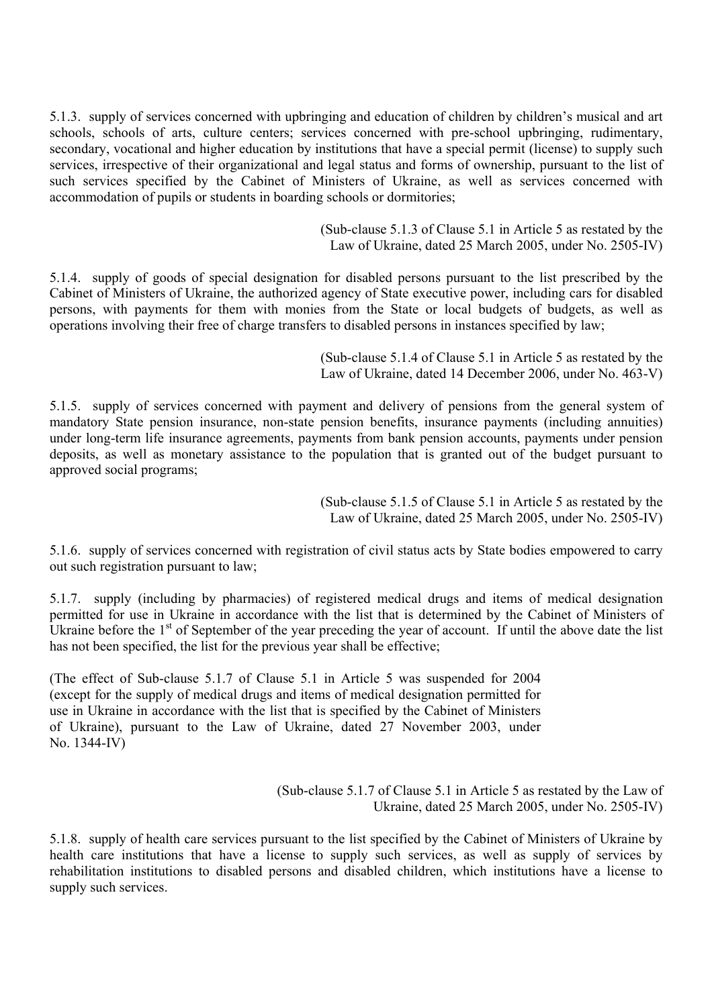5.1.3. supply of services concerned with upbringing and education of children by children's musical and art schools, schools of arts, culture centers; services concerned with pre-school upbringing, rudimentary, secondary, vocational and higher education by institutions that have a special permit (license) to supply such services, irrespective of their organizational and legal status and forms of ownership, pursuant to the list of such services specified by the Cabinet of Ministers of Ukraine, as well as services concerned with accommodation of pupils or students in boarding schools or dormitories;

> (Sub-clause 5.1.3 of Clause 5.1 in Article 5 as restated by the Law of Ukraine, dated 25 March 2005, under No. 2505-IV)

5.1.4. supply of goods of special designation for disabled persons pursuant to the list prescribed by the Cabinet of Ministers of Ukraine, the authorized agency of State executive power, including cars for disabled persons, with payments for them with monies from the State or local budgets of budgets, as well as operations involving their free of charge transfers to disabled persons in instances specified by law;

> (Sub-clause 5.1.4 of Clause 5.1 in Article 5 as restated by the Law of Ukraine, dated 14 December 2006, under No. 463-V)

5.1.5. supply of services concerned with payment and delivery of pensions from the general system of mandatory State pension insurance, non-state pension benefits, insurance payments (including annuities) under long-term life insurance agreements, payments from bank pension accounts, payments under pension deposits, as well as monetary assistance to the population that is granted out of the budget pursuant to approved social programs;

> (Sub-clause 5.1.5 of Clause 5.1 in Article 5 as restated by the Law of Ukraine, dated 25 March 2005, under No. 2505-IV)

5.1.6. supply of services concerned with registration of civil status acts by State bodies empowered to carry out such registration pursuant to law;

5.1.7. supply (including by pharmacies) of registered medical drugs and items of medical designation permitted for use in Ukraine in accordance with the list that is determined by the Cabinet of Ministers of Ukraine before the  $1<sup>st</sup>$  of September of the year preceding the year of account. If until the above date the list has not been specified, the list for the previous year shall be effective;

(The effect of Sub-clause 5.1.7 of Clause 5.1 in Article 5 was suspended for 2004 (except for the supply of medical drugs and items of medical designation permitted for use in Ukraine in accordance with the list that is specified by the Cabinet of Ministers of Ukraine), pursuant to the Law of Ukraine, dated 27 November 2003, under No. 1344-IV)

> (Sub-clause 5.1.7 of Clause 5.1 in Article 5 as restated by the Law of Ukraine, dated 25 March 2005, under No. 2505-IV)

5.1.8. supply of health care services pursuant to the list specified by the Cabinet of Ministers of Ukraine by health care institutions that have a license to supply such services, as well as supply of services by rehabilitation institutions to disabled persons and disabled children, which institutions have a license to supply such services.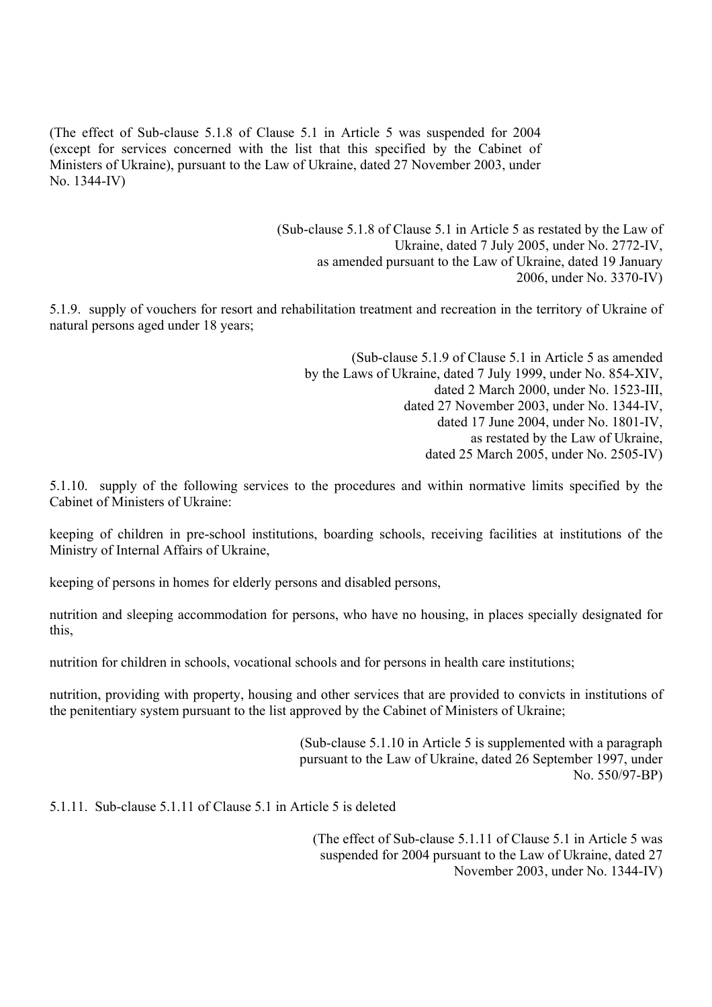(The effect of Sub-clause 5.1.8 of Clause 5.1 in Article 5 was suspended for 2004 (except for services concerned with the list that this specified by the Cabinet of Ministers of Ukraine), pursuant to the Law of Ukraine, dated 27 November 2003, under No. 1344-IV)

> (Sub-clause 5.1.8 of Clause 5.1 in Article 5 as restated by the Law of Ukraine, dated 7 July 2005, under No. 2772-IV, as amended pursuant to the Law of Ukraine, dated 19 January 2006, under No. 3370-IV)

5.1.9. supply of vouchers for resort and rehabilitation treatment and recreation in the territory of Ukraine of natural persons aged under 18 years;

> (Sub-clause 5.1.9 of Clause 5.1 in Article 5 as amended by the Laws of Ukraine, dated 7 July 1999, under No. 854-XIV, dated 2 March 2000, under No. 1523-III, dated 27 November 2003, under No. 1344-IV, dated 17 June 2004, under No. 1801-IV, as restated by the Law of Ukraine, dated 25 March 2005, under No. 2505-IV)

5.1.10. supply of the following services to the procedures and within normative limits specified by the Cabinet of Ministers of Ukraine:

keeping of children in pre-school institutions, boarding schools, receiving facilities at institutions of the Ministry of Internal Affairs of Ukraine,

keeping of persons in homes for elderly persons and disabled persons,

nutrition and sleeping accommodation for persons, who have no housing, in places specially designated for this,

nutrition for children in schools, vocational schools and for persons in health care institutions;

nutrition, providing with property, housing and other services that are provided to convicts in institutions of the penitentiary system pursuant to the list approved by the Cabinet of Ministers of Ukraine;

> (Sub-clause 5.1.10 in Article 5 is supplemented with a paragraph pursuant to the Law of Ukraine, dated 26 September 1997, under No. 550/97-ВР)

5.1.11. Sub-clause 5.1.11 of Clause 5.1 in Article 5 is deleted

(The effect of Sub-clause 5.1.11 of Clause 5.1 in Article 5 was suspended for 2004 pursuant to the Law of Ukraine, dated 27 November 2003, under No. 1344-IV)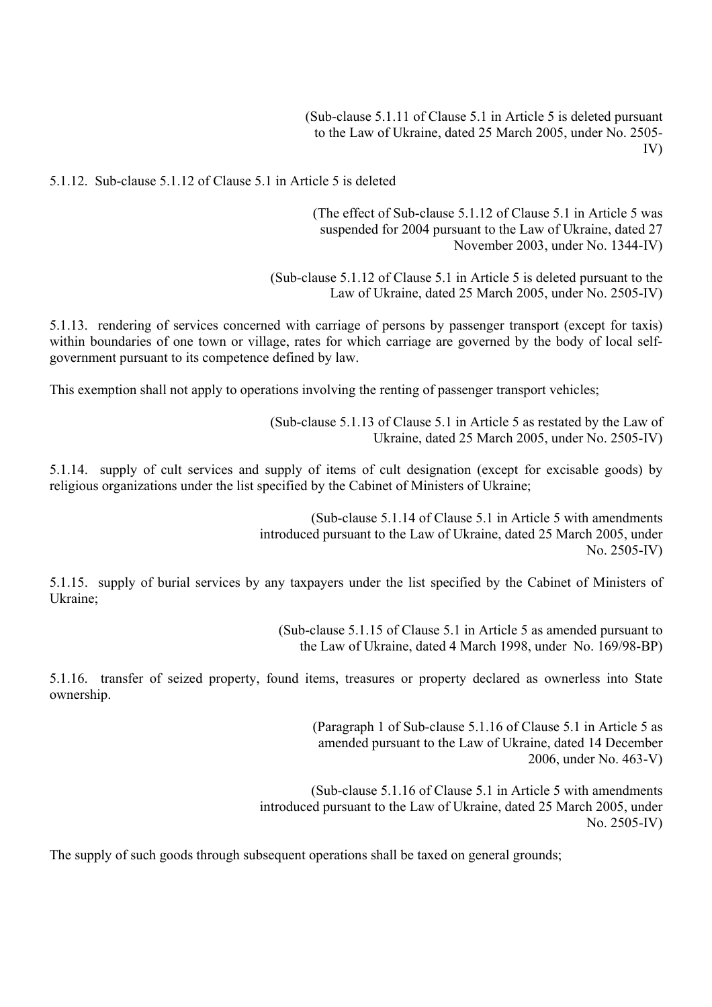(Sub-clause 5.1.11 of Clause 5.1 in Article 5 is deleted pursuant to the Law of Ukraine, dated 25 March 2005, under No. 2505- IV)

5.1.12. Sub-clause 5.1.12 of Clause 5.1 in Article 5 is deleted

(The effect of Sub-clause 5.1.12 of Clause 5.1 in Article 5 was suspended for 2004 pursuant to the Law of Ukraine, dated 27 November 2003, under No. 1344-IV)

(Sub-clause 5.1.12 of Clause 5.1 in Article 5 is deleted pursuant to the Law of Ukraine, dated 25 March 2005, under No. 2505-IV)

5.1.13. rendering of services concerned with carriage of persons by passenger transport (except for taxis) within boundaries of one town or village, rates for which carriage are governed by the body of local selfgovernment pursuant to its competence defined by law.

This exemption shall not apply to operations involving the renting of passenger transport vehicles;

(Sub-clause 5.1.13 of Clause 5.1 in Article 5 as restated by the Law of Ukraine, dated 25 March 2005, under No. 2505-IV)

5.1.14. supply of cult services and supply of items of cult designation (except for excisable goods) by religious organizations under the list specified by the Cabinet of Ministers of Ukraine;

> (Sub-clause 5.1.14 of Clause 5.1 in Article 5 with amendments introduced pursuant to the Law of Ukraine, dated 25 March 2005, under No. 2505-IV)

5.1.15. supply of burial services by any taxpayers under the list specified by the Cabinet of Ministers of Ukraine;

> (Sub-clause 5.1.15 of Clause 5.1 in Article 5 as amended pursuant to the Law of Ukraine, dated 4 March 1998, under No. 169/98-ВР)

5.1.16. transfer of seized property, found items, treasures or property declared as ownerless into State ownership.

> (Paragraph 1 of Sub-clause 5.1.16 of Clause 5.1 in Article 5 as amended pursuant to the Law of Ukraine, dated 14 December 2006, under No. 463-V)

(Sub-clause 5.1.16 of Clause 5.1 in Article 5 with amendments introduced pursuant to the Law of Ukraine, dated 25 March 2005, under No. 2505-IV)

The supply of such goods through subsequent operations shall be taxed on general grounds;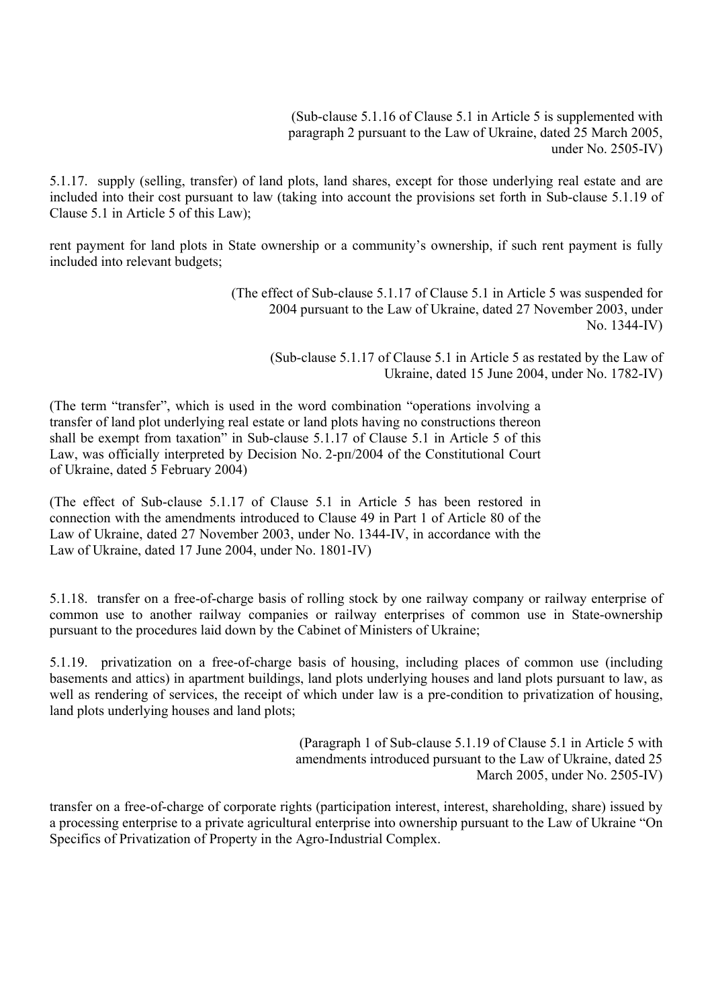(Sub-clause 5.1.16 of Clause 5.1 in Article 5 is supplemented with paragraph 2 pursuant to the Law of Ukraine, dated 25 March 2005, under No. 2505-IV)

5.1.17. supply (selling, transfer) of land plots, land shares, except for those underlying real estate and are included into their cost pursuant to law (taking into account the provisions set forth in Sub-clause 5.1.19 of Clause 5.1 in Article 5 of this Law);

rent payment for land plots in State ownership or a community's ownership, if such rent payment is fully included into relevant budgets;

> (The effect of Sub-clause 5.1.17 of Clause 5.1 in Article 5 was suspended for 2004 pursuant to the Law of Ukraine, dated 27 November 2003, under No. 1344-IV)

(Sub-clause 5.1.17 of Clause 5.1 in Article 5 as restated by the Law of Ukraine, dated 15 June 2004, under No. 1782-IV)

(The term "transfer", which is used in the word combination "operations involving a transfer of land plot underlying real estate or land plots having no constructions thereon shall be exempt from taxation" in Sub-clause 5.1.17 of Clause 5.1 in Article 5 of this Law, was officially interpreted by Decision No. 2-рп/2004 of the Constitutional Court of Ukraine, dated 5 February 2004)

(The effect of Sub-clause 5.1.17 of Clause 5.1 in Article 5 has been restored in connection with the amendments introduced to Clause 49 in Part 1 of Article 80 of the Law of Ukraine, dated 27 November 2003, under No. 1344-IV, in accordance with the Law of Ukraine, dated 17 June 2004, under No. 1801-IV)

5.1.18. transfer on a free-of-charge basis of rolling stock by one railway company or railway enterprise of common use to another railway companies or railway enterprises of common use in State-ownership pursuant to the procedures laid down by the Cabinet of Ministers of Ukraine;

5.1.19. privatization on a free-of-charge basis of housing, including places of common use (including basements and attics) in apartment buildings, land plots underlying houses and land plots pursuant to law, as well as rendering of services, the receipt of which under law is a pre-condition to privatization of housing, land plots underlying houses and land plots;

> (Paragraph 1 of Sub-clause 5.1.19 of Clause 5.1 in Article 5 with amendments introduced pursuant to the Law of Ukraine, dated 25 March 2005, under No. 2505-IV)

transfer on a free-of-charge of corporate rights (participation interest, interest, shareholding, share) issued by a processing enterprise to a private agricultural enterprise into ownership pursuant to the Law of Ukraine "On Specifics of Privatization of Property in the Agro-Industrial Complex.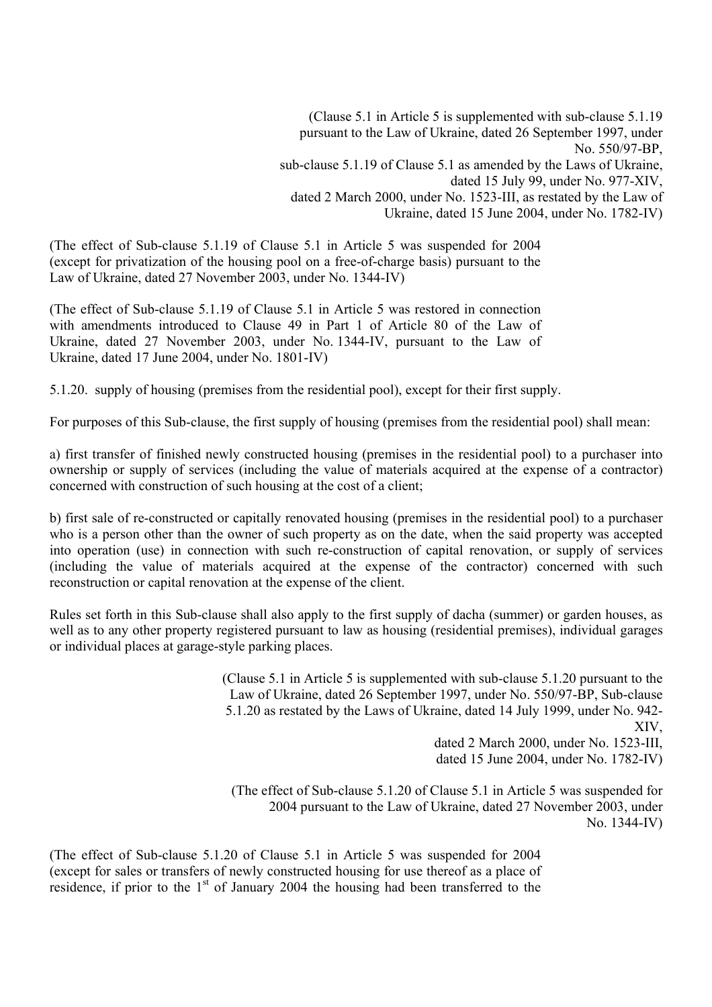(Clause 5.1 in Article 5 is supplemented with sub-clause 5.1.19 pursuant to the Law of Ukraine, dated 26 September 1997, under No. 550/97-ВР, sub-clause 5.1.19 of Clause 5.1 as amended by the Laws of Ukraine, dated 15 July 99, under No. 977-XIV, dated 2 March 2000, under No. 1523-III, as restated by the Law of Ukraine, dated 15 June 2004, under No. 1782-IV)

(The effect of Sub-clause 5.1.19 of Clause 5.1 in Article 5 was suspended for 2004 (except for privatization of the housing pool on a free-of-charge basis) pursuant to the Law of Ukraine, dated 27 November 2003, under No. 1344-IV)

(The effect of Sub-clause 5.1.19 of Clause 5.1 in Article 5 was restored in connection with amendments introduced to Clause 49 in Part 1 of Article 80 of the Law of Ukraine, dated 27 November 2003, under No. 1344-IV, pursuant to the Law of Ukraine, dated 17 June 2004, under No. 1801-IV)

5.1.20. supply of housing (premises from the residential pool), except for their first supply.

For purposes of this Sub-clause, the first supply of housing (premises from the residential pool) shall mean:

a) first transfer of finished newly constructed housing (premises in the residential pool) to a purchaser into ownership or supply of services (including the value of materials acquired at the expense of a contractor) concerned with construction of such housing at the cost of a client;

b) first sale of re-constructed or capitally renovated housing (premises in the residential pool) to a purchaser who is a person other than the owner of such property as on the date, when the said property was accepted into operation (use) in connection with such re-construction of capital renovation, or supply of services (including the value of materials acquired at the expense of the contractor) concerned with such reconstruction or capital renovation at the expense of the client.

Rules set forth in this Sub-clause shall also apply to the first supply of dacha (summer) or garden houses, as well as to any other property registered pursuant to law as housing (residential premises), individual garages or individual places at garage-style parking places.

> (Clause 5.1 in Article 5 is supplemented with sub-clause 5.1.20 pursuant to the Law of Ukraine, dated 26 September 1997, under No. 550/97-ВР, Sub-clause 5.1.20 as restated by the Laws of Ukraine, dated 14 July 1999, under No. 942- XIV, dated 2 March 2000, under No. 1523-III, dated 15 June 2004, under No. 1782-IV)

(The effect of Sub-clause 5.1.20 of Clause 5.1 in Article 5 was suspended for 2004 pursuant to the Law of Ukraine, dated 27 November 2003, under No. 1344-IV)

(The effect of Sub-clause 5.1.20 of Clause 5.1 in Article 5 was suspended for 2004 (except for sales or transfers of newly constructed housing for use thereof as a place of residence, if prior to the  $1<sup>st</sup>$  of January 2004 the housing had been transferred to the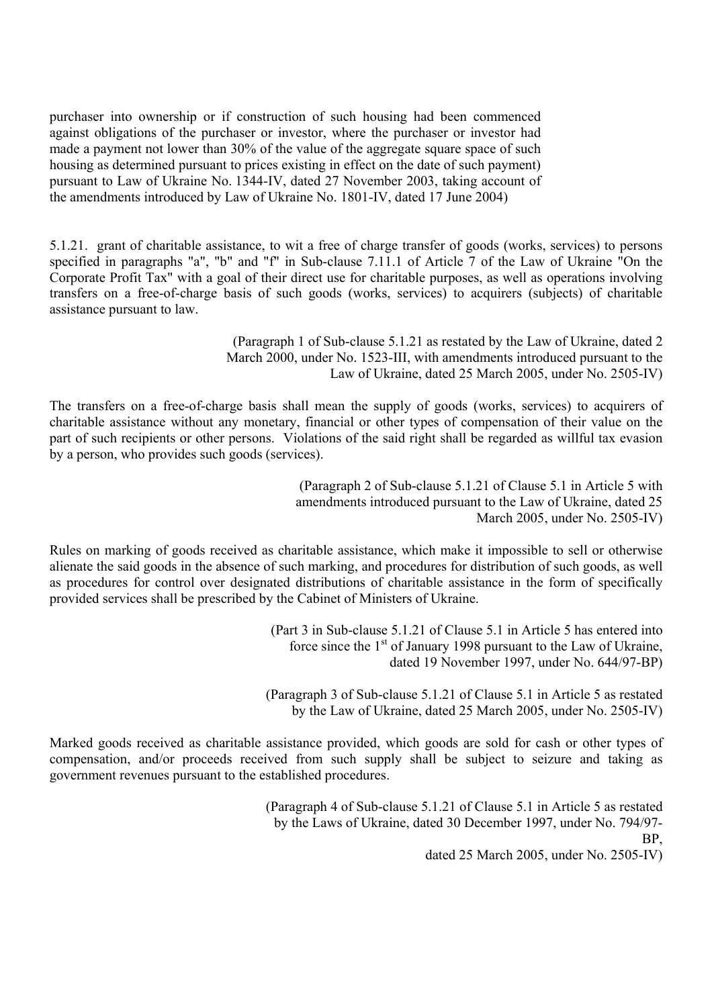purchaser into ownership or if construction of such housing had been commenced against obligations of the purchaser or investor, where the purchaser or investor had made a payment not lower than 30% of the value of the aggregate square space of such housing as determined pursuant to prices existing in effect on the date of such payment) pursuant to Law of Ukraine No. 1344-IV, dated 27 November 2003, taking account of the amendments introduced by Law of Ukraine No. 1801-IV, dated 17 June 2004)

5.1.21. grant of charitable assistance, to wit a free of charge transfer of goods (works, services) to persons specified in paragraphs "a", "b" and "f" in Sub-clause 7.11.1 of Article 7 of the Law of Ukraine "On the Corporate Profit Tax" with a goal of their direct use for charitable purposes, as well as operations involving transfers on a free-of-charge basis of such goods (works, services) to acquirers (subjects) of charitable assistance pursuant to law.

> (Paragraph 1 of Sub-clause 5.1.21 as restated by the Law of Ukraine, dated 2 March 2000, under No. 1523-III, with amendments introduced pursuant to the Law of Ukraine, dated 25 March 2005, under No. 2505-IV)

The transfers on a free-of-charge basis shall mean the supply of goods (works, services) to acquirers of charitable assistance without any monetary, financial or other types of compensation of their value on the part of such recipients or other persons. Violations of the said right shall be regarded as willful tax evasion by a person, who provides such goods (services).

> (Paragraph 2 of Sub-clause 5.1.21 of Clause 5.1 in Article 5 with amendments introduced pursuant to the Law of Ukraine, dated 25 March 2005, under No. 2505-IV)

Rules on marking of goods received as charitable assistance, which make it impossible to sell or otherwise alienate the said goods in the absence of such marking, and procedures for distribution of such goods, as well as procedures for control over designated distributions of charitable assistance in the form of specifically provided services shall be prescribed by the Cabinet of Ministers of Ukraine.

> (Part 3 in Sub-clause 5.1.21 of Clause 5.1 in Article 5 has entered into force since the  $1<sup>st</sup>$  of January 1998 pursuant to the Law of Ukraine, dated 19 November 1997, under No. 644/97-ВР)

(Paragraph 3 of Sub-clause 5.1.21 of Clause 5.1 in Article 5 as restated by the Law of Ukraine, dated 25 March 2005, under No. 2505-IV)

Marked goods received as charitable assistance provided, which goods are sold for cash or other types of compensation, and/or proceeds received from such supply shall be subject to seizure and taking as government revenues pursuant to the established procedures.

> (Paragraph 4 of Sub-clause 5.1.21 of Clause 5.1 in Article 5 as restated by the Laws of Ukraine, dated 30 December 1997, under No. 794/97- ВР, dated 25 March 2005, under No. 2505-IV)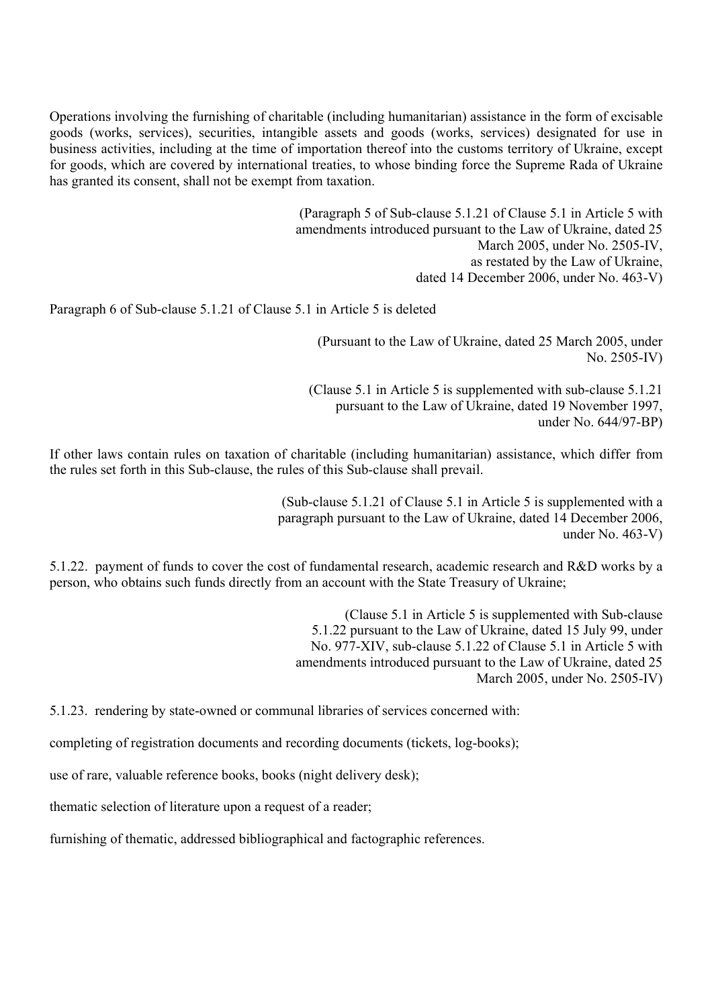Operations involving the furnishing of charitable (including humanitarian) assistance in the form of excisable goods (works, services), securities, intangible assets and goods (works, services) designated for use in business activities, including at the time of importation thereof into the customs territory of Ukraine, except for goods, which are covered by international treaties, to whose binding force the Supreme Rada of Ukraine has granted its consent, shall not be exempt from taxation.

> (Paragraph 5 of Sub-clause 5.1.21 of Clause 5.1 in Article 5 with amendments introduced pursuant to the Law of Ukraine, dated 25 March 2005, under No. 2505-IV, as restated by the Law of Ukraine, dated 14 December 2006, under No. 463-V)

Paragraph 6 of Sub-clause 5.1.21 of Clause 5.1 in Article 5 is deleted

(Pursuant to the Law of Ukraine, dated 25 March 2005, under No. 2505-IV)

(Clause 5.1 in Article 5 is supplemented with sub-clause 5.1.21 pursuant to the Law of Ukraine, dated 19 November 1997, under No. 644/97-ВР)

If other laws contain rules on taxation of charitable (including humanitarian) assistance, which differ from the rules set forth in this Sub-clause, the rules of this Sub-clause shall prevail.

> (Sub-clause 5.1.21 of Clause 5.1 in Article 5 is supplemented with a paragraph pursuant to the Law of Ukraine, dated 14 December 2006, under No. 463-V)

5.1.22. payment of funds to cover the cost of fundamental research, academic research and R&D works by a person, who obtains such funds directly from an account with the State Treasury of Ukraine;

> (Clause 5.1 in Article 5 is supplemented with Sub-clause 5.1.22 pursuant to the Law of Ukraine, dated 15 July 99, under No. 977-XIV, sub-clause 5.1.22 of Clause 5.1 in Article 5 with amendments introduced pursuant to the Law of Ukraine, dated 25 March 2005, under No. 2505-IV)

5.1.23. rendering by state-owned or communal libraries of services concerned with:

completing of registration documents and recording documents (tickets, log-books);

use of rare, valuable reference books, books (night delivery desk);

thematic selection of literature upon a request of a reader;

furnishing of thematic, addressed bibliographical and factographic references.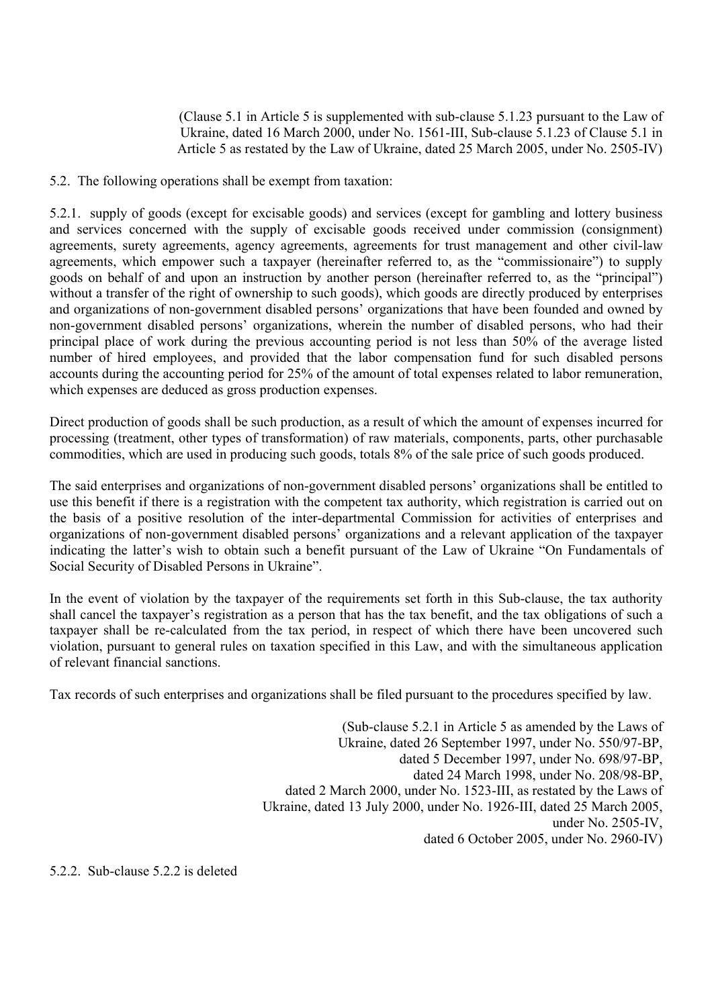(Clause 5.1 in Article 5 is supplemented with sub-clause 5.1.23 pursuant to the Law of Ukraine, dated 16 March 2000, under No. 1561-III, Sub-clause 5.1.23 of Clause 5.1 in Article 5 as restated by the Law of Ukraine, dated 25 March 2005, under No. 2505-IV)

5.2. The following operations shall be exempt from taxation:

5.2.1. supply of goods (except for excisable goods) and services (except for gambling and lottery business and services concerned with the supply of excisable goods received under commission (consignment) agreements, surety agreements, agency agreements, agreements for trust management and other civil-law agreements, which empower such a taxpayer (hereinafter referred to, as the "commissionaire") to supply goods on behalf of and upon an instruction by another person (hereinafter referred to, as the "principal") without a transfer of the right of ownership to such goods), which goods are directly produced by enterprises and organizations of non-government disabled persons' organizations that have been founded and owned by non-government disabled persons' organizations, wherein the number of disabled persons, who had their principal place of work during the previous accounting period is not less than 50% of the average listed number of hired employees, and provided that the labor compensation fund for such disabled persons accounts during the accounting period for 25% of the amount of total expenses related to labor remuneration, which expenses are deduced as gross production expenses.

Direct production of goods shall be such production, as a result of which the amount of expenses incurred for processing (treatment, other types of transformation) of raw materials, components, parts, other purchasable commodities, which are used in producing such goods, totals 8% of the sale price of such goods produced.

The said enterprises and organizations of non-government disabled persons' organizations shall be entitled to use this benefit if there is a registration with the competent tax authority, which registration is carried out on the basis of a positive resolution of the inter-departmental Commission for activities of enterprises and organizations of non-government disabled persons' organizations and a relevant application of the taxpayer indicating the latter's wish to obtain such a benefit pursuant of the Law of Ukraine "On Fundamentals of Social Security of Disabled Persons in Ukraine".

In the event of violation by the taxpayer of the requirements set forth in this Sub-clause, the tax authority shall cancel the taxpayer's registration as a person that has the tax benefit, and the tax obligations of such a taxpayer shall be re-calculated from the tax period, in respect of which there have been uncovered such violation, pursuant to general rules on taxation specified in this Law, and with the simultaneous application of relevant financial sanctions.

Tax records of such enterprises and organizations shall be filed pursuant to the procedures specified by law.

(Sub-clause 5.2.1 in Article 5 as amended by the Laws of Ukraine, dated 26 September 1997, under No. 550/97-ВР, dated 5 December 1997, under No. 698/97-ВР, dated 24 March 1998, under No. 208/98-ВР, dated 2 March 2000, under No. 1523-III, as restated by the Laws of Ukraine, dated 13 July 2000, under No. 1926-III, dated 25 March 2005, under No. 2505-IV, dated 6 October 2005, under No. 2960-IV)

5.2.2. Sub-clause 5.2.2 is deleted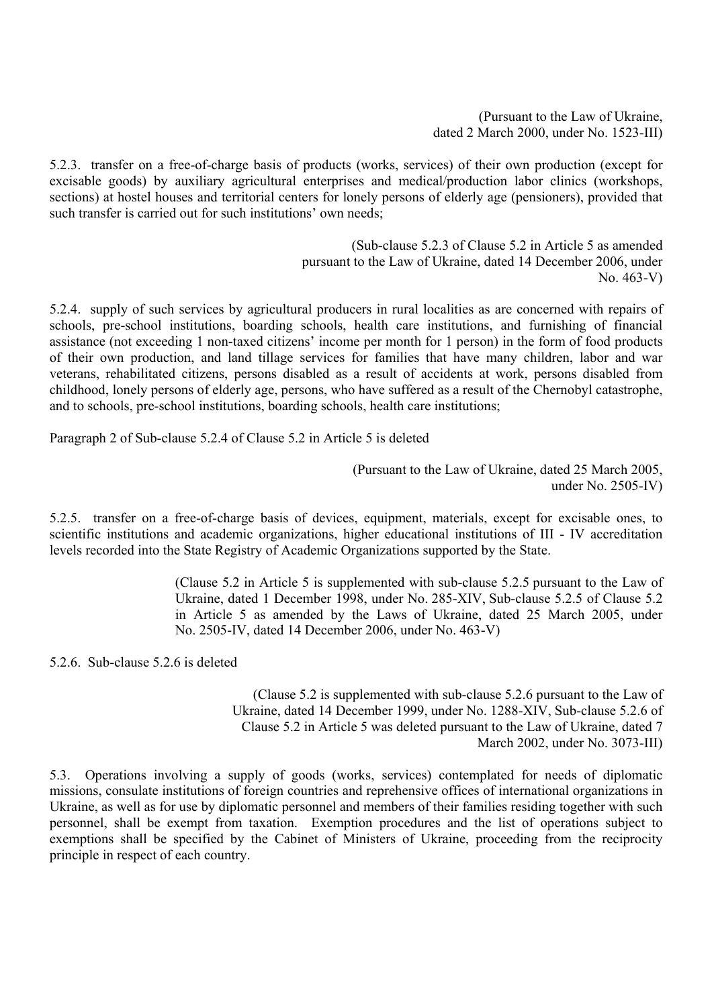(Pursuant to the Law of Ukraine, dated 2 March 2000, under No. 1523-III)

5.2.3. transfer on a free-of-charge basis of products (works, services) of their own production (except for excisable goods) by auxiliary agricultural enterprises and medical/production labor clinics (workshops, sections) at hostel houses and territorial centers for lonely persons of elderly age (pensioners), provided that such transfer is carried out for such institutions' own needs;

> (Sub-clause 5.2.3 of Clause 5.2 in Article 5 as amended pursuant to the Law of Ukraine, dated 14 December 2006, under No. 463-V)

5.2.4. supply of such services by agricultural producers in rural localities as are concerned with repairs of schools, pre-school institutions, boarding schools, health care institutions, and furnishing of financial assistance (not exceeding 1 non-taxed citizens' income per month for 1 person) in the form of food products of their own production, and land tillage services for families that have many children, labor and war veterans, rehabilitated citizens, persons disabled as a result of accidents at work, persons disabled from childhood, lonely persons of elderly age, persons, who have suffered as a result of the Chernobyl catastrophe, and to schools, pre-school institutions, boarding schools, health care institutions;

Paragraph 2 of Sub-clause 5.2.4 of Clause 5.2 in Article 5 is deleted

(Pursuant to the Law of Ukraine, dated 25 March 2005, under No. 2505-IV)

5.2.5. transfer on a free-of-charge basis of devices, equipment, materials, except for excisable ones, to scientific institutions and academic organizations, higher educational institutions of III - IV accreditation levels recorded into the State Registry of Academic Organizations supported by the State.

> (Clause 5.2 in Article 5 is supplemented with sub-clause 5.2.5 pursuant to the Law of Ukraine, dated 1 December 1998, under No. 285-XIV, Sub-clause 5.2.5 of Clause 5.2 in Article 5 as amended by the Laws of Ukraine, dated 25 March 2005, under No. 2505-IV, dated 14 December 2006, under No. 463-V)

5.2.6. Sub-clause 5.2.6 is deleted

(Clause 5.2 is supplemented with sub-clause 5.2.6 pursuant to the Law of Ukraine, dated 14 December 1999, under No. 1288-XIV, Sub-clause 5.2.6 of Clause 5.2 in Article 5 was deleted pursuant to the Law of Ukraine, dated 7 March 2002, under No. 3073-III)

5.3. Operations involving a supply of goods (works, services) contemplated for needs of diplomatic missions, consulate institutions of foreign countries and reprehensive offices of international organizations in Ukraine, as well as for use by diplomatic personnel and members of their families residing together with such personnel, shall be exempt from taxation. Exemption procedures and the list of operations subject to exemptions shall be specified by the Cabinet of Ministers of Ukraine, proceeding from the reciprocity principle in respect of each country.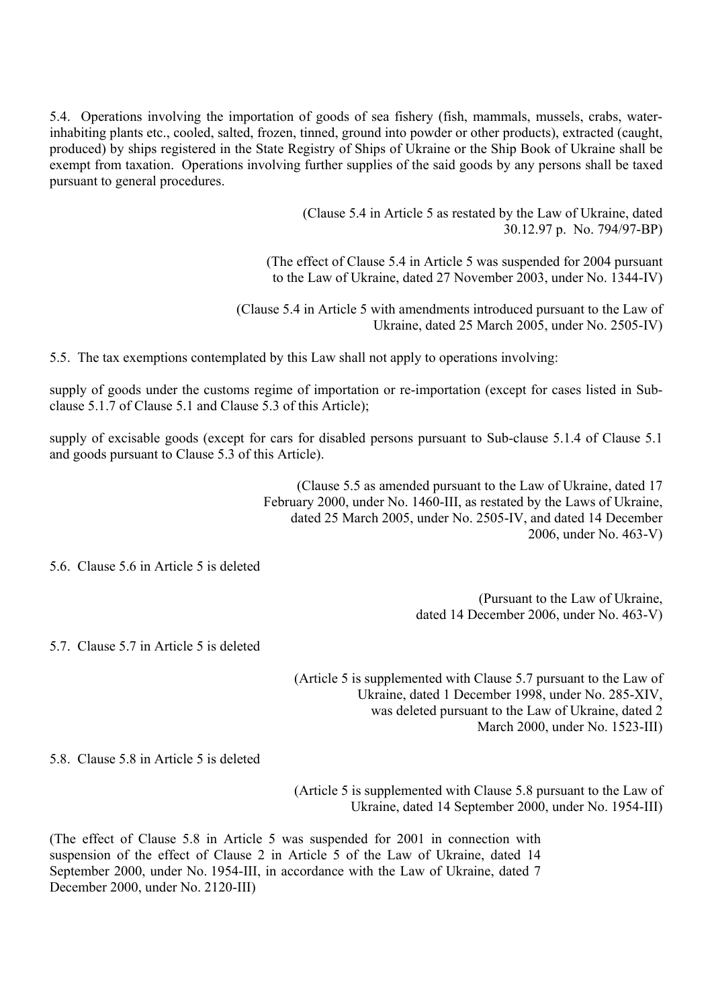5.4. Operations involving the importation of goods of sea fishery (fish, mammals, mussels, crabs, waterinhabiting plants etc., cooled, salted, frozen, tinned, ground into powder or other products), extracted (caught, produced) by ships registered in the State Registry of Ships of Ukraine or the Ship Book of Ukraine shall be exempt from taxation. Operations involving further supplies of the said goods by any persons shall be taxed pursuant to general procedures.

> (Clause 5.4 in Article 5 as restated by the Law of Ukraine, dated 30.12.97 р. No. 794/97-ВР)

(The effect of Clause 5.4 in Article 5 was suspended for 2004 pursuant to the Law of Ukraine, dated 27 November 2003, under No. 1344-IV)

(Clause 5.4 in Article 5 with amendments introduced pursuant to the Law of Ukraine, dated 25 March 2005, under No. 2505-IV)

5.5. The tax exemptions contemplated by this Law shall not apply to operations involving:

supply of goods under the customs regime of importation or re-importation (except for cases listed in Subclause 5.1.7 of Clause 5.1 and Clause 5.3 of this Article);

supply of excisable goods (except for cars for disabled persons pursuant to Sub-clause 5.1.4 of Clause 5.1 and goods pursuant to Clause 5.3 of this Article).

> (Clause 5.5 as amended pursuant to the Law of Ukraine, dated 17 February 2000, under No. 1460-III, as restated by the Laws of Ukraine, dated 25 March 2005, under No. 2505-IV, and dated 14 December 2006, under No. 463-V)

5.6. Clause 5.6 in Article 5 is deleted

(Pursuant to the Law of Ukraine, dated 14 December 2006, under No. 463-V)

5.7. Clause 5.7 in Article 5 is deleted

(Article 5 is supplemented with Clause 5.7 pursuant to the Law of Ukraine, dated 1 December 1998, under No. 285-XIV, was deleted pursuant to the Law of Ukraine, dated 2 March 2000, under No. 1523-III)

5.8. Clause 5.8 in Article 5 is deleted

(Article 5 is supplemented with Clause 5.8 pursuant to the Law of Ukraine, dated 14 September 2000, under No. 1954-III)

(The effect of Clause 5.8 in Article 5 was suspended for 2001 in connection with suspension of the effect of Clause 2 in Article 5 of the Law of Ukraine, dated 14 September 2000, under No. 1954-III, in accordance with the Law of Ukraine, dated 7 December 2000, under No. 2120-III)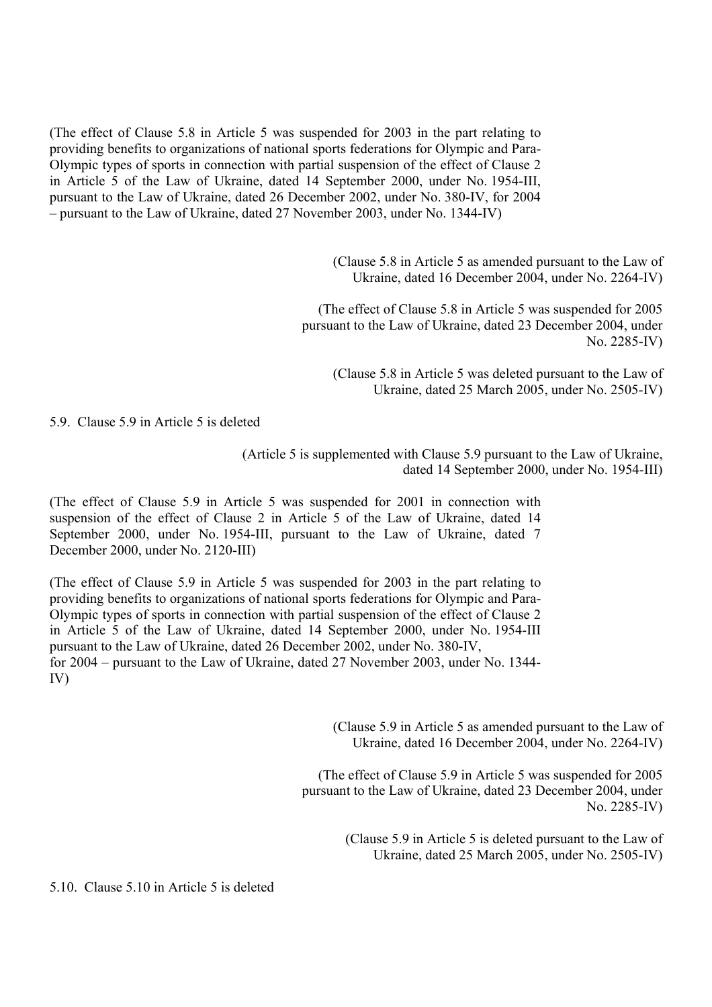(The effect of Clause 5.8 in Article 5 was suspended for 2003 in the part relating to providing benefits to organizations of national sports federations for Olympic and Para-Olympic types of sports in connection with partial suspension of the effect of Clause 2 in Article 5 of the Law of Ukraine, dated 14 September 2000, under No. 1954-III, pursuant to the Law of Ukraine, dated 26 December 2002, under No. 380-IV, for 2004 – pursuant to the Law of Ukraine, dated 27 November 2003, under No. 1344-IV)

> (Clause 5.8 in Article 5 as amended pursuant to the Law of Ukraine, dated 16 December 2004, under No. 2264-IV)

(The effect of Clause 5.8 in Article 5 was suspended for 2005 pursuant to the Law of Ukraine, dated 23 December 2004, under No. 2285-IV)

(Clause 5.8 in Article 5 was deleted pursuant to the Law of Ukraine, dated 25 March 2005, under No. 2505-IV)

5.9. Clause 5.9 in Article 5 is deleted

(Article 5 is supplemented with Clause 5.9 pursuant to the Law of Ukraine, dated 14 September 2000, under No. 1954-III)

(The effect of Clause 5.9 in Article 5 was suspended for 2001 in connection with suspension of the effect of Clause 2 in Article 5 of the Law of Ukraine, dated 14 September 2000, under No. 1954-III, pursuant to the Law of Ukraine, dated 7 December 2000, under No. 2120-III)

(The effect of Clause 5.9 in Article 5 was suspended for 2003 in the part relating to providing benefits to organizations of national sports federations for Olympic and Para-Olympic types of sports in connection with partial suspension of the effect of Clause 2 in Article 5 of the Law of Ukraine, dated 14 September 2000, under No. 1954-III pursuant to the Law of Ukraine, dated 26 December 2002, under No. 380-IV, for 2004 – pursuant to the Law of Ukraine, dated 27 November 2003, under No. 1344- IV)

> (Clause 5.9 in Article 5 as amended pursuant to the Law of Ukraine, dated 16 December 2004, under No. 2264-IV)

(The effect of Clause 5.9 in Article 5 was suspended for 2005 pursuant to the Law of Ukraine, dated 23 December 2004, under No. 2285-IV)

> (Clause 5.9 in Article 5 is deleted pursuant to the Law of Ukraine, dated 25 March 2005, under No. 2505-IV)

5.10. Clause 5.10 in Article 5 is deleted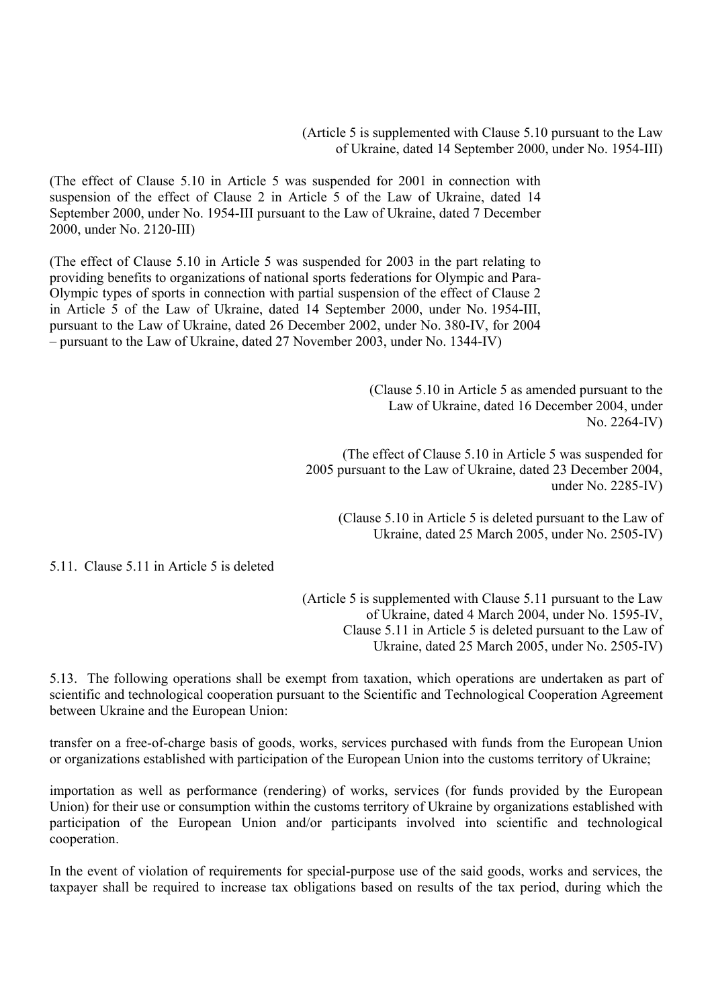(Article 5 is supplemented with Clause 5.10 pursuant to the Law of Ukraine, dated 14 September 2000, under No. 1954-III)

(The effect of Clause 5.10 in Article 5 was suspended for 2001 in connection with suspension of the effect of Clause 2 in Article 5 of the Law of Ukraine, dated 14 September 2000, under No. 1954-III pursuant to the Law of Ukraine, dated 7 December 2000, under No. 2120-III)

(The effect of Clause 5.10 in Article 5 was suspended for 2003 in the part relating to providing benefits to organizations of national sports federations for Olympic and Para-Olympic types of sports in connection with partial suspension of the effect of Clause 2 in Article 5 of the Law of Ukraine, dated 14 September 2000, under No. 1954-III, pursuant to the Law of Ukraine, dated 26 December 2002, under No. 380-IV, for 2004 – pursuant to the Law of Ukraine, dated 27 November 2003, under No. 1344-IV)

> (Clause 5.10 in Article 5 as amended pursuant to the Law of Ukraine, dated 16 December 2004, under No. 2264-IV)

(The effect of Clause 5.10 in Article 5 was suspended for 2005 pursuant to the Law of Ukraine, dated 23 December 2004, under No. 2285-IV)

(Clause 5.10 in Article 5 is deleted pursuant to the Law of Ukraine, dated 25 March 2005, under No. 2505-IV)

5.11. Clause 5.11 in Article 5 is deleted

(Article 5 is supplemented with Clause 5.11 pursuant to the Law of Ukraine, dated 4 March 2004, under No. 1595-IV, Clause 5.11 in Article 5 is deleted pursuant to the Law of Ukraine, dated 25 March 2005, under No. 2505-IV)

5.13. The following operations shall be exempt from taxation, which operations are undertaken as part of scientific and technological cooperation pursuant to the Scientific and Technological Cooperation Agreement between Ukraine and the European Union:

transfer on a free-of-charge basis of goods, works, services purchased with funds from the European Union or organizations established with participation of the European Union into the customs territory of Ukraine;

importation as well as performance (rendering) of works, services (for funds provided by the European Union) for their use or consumption within the customs territory of Ukraine by organizations established with participation of the European Union and/or participants involved into scientific and technological cooperation.

In the event of violation of requirements for special-purpose use of the said goods, works and services, the taxpayer shall be required to increase tax obligations based on results of the tax period, during which the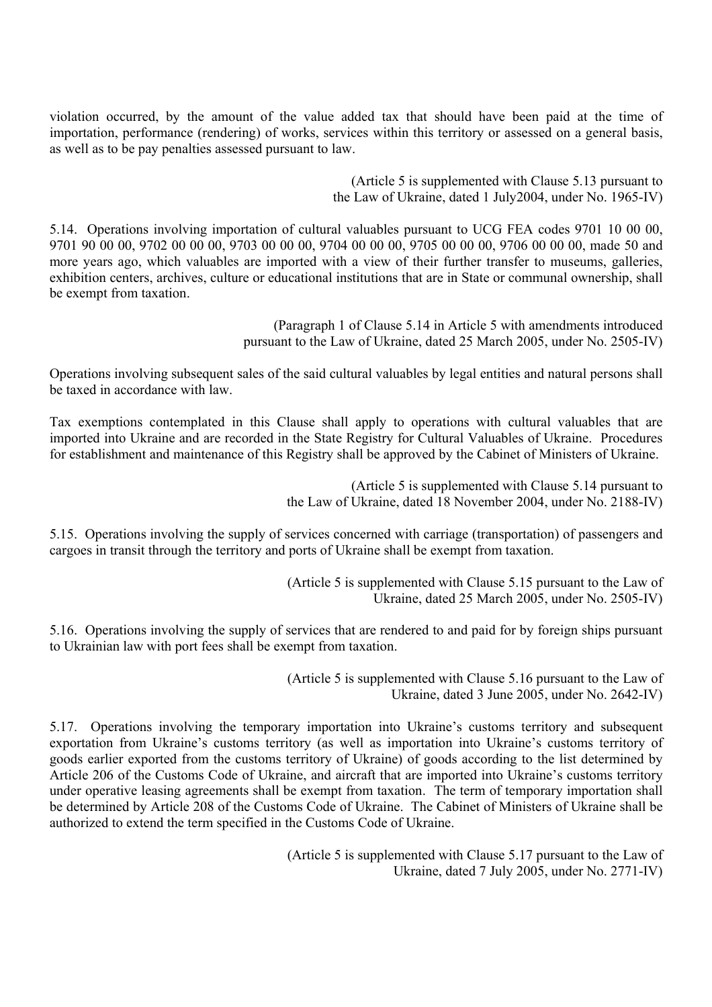violation occurred, by the amount of the value added tax that should have been paid at the time of importation, performance (rendering) of works, services within this territory or assessed on a general basis, as well as to be pay penalties assessed pursuant to law.

> (Article 5 is supplemented with Clause 5.13 pursuant to the Law of Ukraine, dated 1 July2004, under No. 1965-IV)

5.14. Operations involving importation of cultural valuables pursuant to UCG FEA codes 9701 10 00 00, 9701 90 00 00, 9702 00 00 00, 9703 00 00 00, 9704 00 00 00, 9705 00 00 00, 9706 00 00 00, made 50 and more years ago, which valuables are imported with a view of their further transfer to museums, galleries, exhibition centers, archives, culture or educational institutions that are in State or communal ownership, shall be exempt from taxation.

> (Paragraph 1 of Clause 5.14 in Article 5 with amendments introduced pursuant to the Law of Ukraine, dated 25 March 2005, under No. 2505-IV)

Operations involving subsequent sales of the said cultural valuables by legal entities and natural persons shall be taxed in accordance with law.

Tax exemptions contemplated in this Clause shall apply to operations with cultural valuables that are imported into Ukraine and are recorded in the State Registry for Cultural Valuables of Ukraine. Procedures for establishment and maintenance of this Registry shall be approved by the Cabinet of Ministers of Ukraine.

> (Article 5 is supplemented with Clause 5.14 pursuant to the Law of Ukraine, dated 18 November 2004, under No. 2188-IV)

5.15. Operations involving the supply of services concerned with carriage (transportation) of passengers and cargoes in transit through the territory and ports of Ukraine shall be exempt from taxation.

> (Article 5 is supplemented with Clause 5.15 pursuant to the Law of Ukraine, dated 25 March 2005, under No. 2505-IV)

5.16. Operations involving the supply of services that are rendered to and paid for by foreign ships pursuant to Ukrainian law with port fees shall be exempt from taxation.

> (Article 5 is supplemented with Clause 5.16 pursuant to the Law of Ukraine, dated 3 June 2005, under No. 2642-IV)

5.17. Operations involving the temporary importation into Ukraine's customs territory and subsequent exportation from Ukraine's customs territory (as well as importation into Ukraine's customs territory of goods earlier exported from the customs territory of Ukraine) of goods according to the list determined by Article 206 of the Customs Code of Ukraine, and aircraft that are imported into Ukraine's customs territory under operative leasing agreements shall be exempt from taxation. The term of temporary importation shall be determined by Article 208 of the Customs Code of Ukraine. The Cabinet of Ministers of Ukraine shall be authorized to extend the term specified in the Customs Code of Ukraine.

> (Article 5 is supplemented with Clause 5.17 pursuant to the Law of Ukraine, dated 7 July 2005, under No. 2771-IV)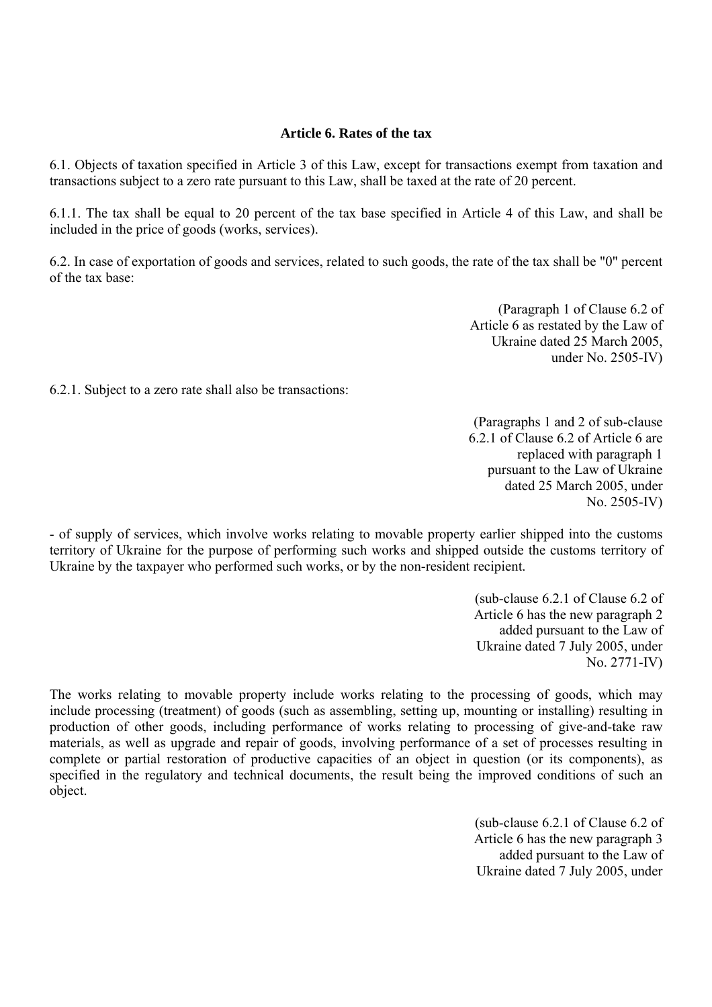### **Article 6. Rates of the tax**

6.1. Objects of taxation specified in Article 3 of this Law, except for transactions exempt from taxation and transactions subject to a zero rate pursuant to this Law, shall be taxed at the rate of 20 percent.

6.1.1. The tax shall be equal to 20 percent of the tax base specified in Article 4 of this Law, and shall be included in the price of goods (works, services).

6.2. In case of exportation of goods and services, related to such goods, the rate of the tax shall be "0" percent of the tax base:

> (Paragraph 1 of Clause 6.2 of Article 6 as restated by the Law of Ukraine dated 25 March 2005, under No. 2505-IV)

6.2.1. Subject to a zero rate shall also be transactions:

(Paragraphs 1 and 2 of sub-clause 6.2.1 of Clause 6.2 of Article 6 are replaced with paragraph 1 pursuant to the Law of Ukraine dated 25 March 2005, under No. 2505-IV)

- of supply of services, which involve works relating to movable property earlier shipped into the customs territory of Ukraine for the purpose of performing such works and shipped outside the customs territory of Ukraine by the taxpayer who performed such works, or by the non-resident recipient.

> (sub-clause 6.2.1 of Clause 6.2 of Article 6 has the new paragraph 2 added pursuant to the Law of Ukraine dated 7 July 2005, under No. 2771-IV)

The works relating to movable property include works relating to the processing of goods, which may include processing (treatment) of goods (such as assembling, setting up, mounting or installing) resulting in production of other goods, including performance of works relating to processing of give-and-take raw materials, as well as upgrade and repair of goods, involving performance of a set of processes resulting in complete or partial restoration of productive capacities of an object in question (or its components), as specified in the regulatory and technical documents, the result being the improved conditions of such an object.

> (sub-clause 6.2.1 of Clause 6.2 of Article 6 has the new paragraph 3 added pursuant to the Law of Ukraine dated 7 July 2005, under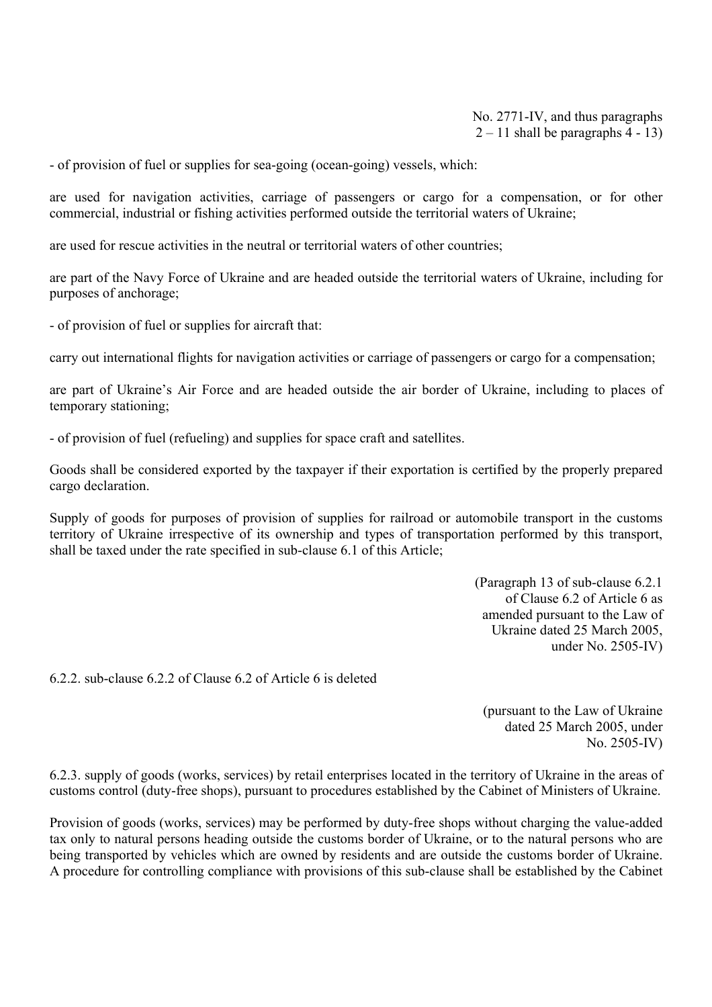No. 2771-IV, and thus paragraphs  $2 - 11$  shall be paragraphs 4 - 13)

- of provision of fuel or supplies for sea-going (ocean-going) vessels, which:

are used for navigation activities, carriage of passengers or cargo for a compensation, or for other commercial, industrial or fishing activities performed outside the territorial waters of Ukraine;

are used for rescue activities in the neutral or territorial waters of other countries;

are part of the Navy Force of Ukraine and are headed outside the territorial waters of Ukraine, including for purposes of anchorage;

- of provision of fuel or supplies for aircraft that:

carry out international flights for navigation activities or carriage of passengers or cargo for a compensation;

are part of Ukraine's Air Force and are headed outside the air border of Ukraine, including to places of temporary stationing;

- of provision of fuel (refueling) and supplies for space craft and satellites.

Goods shall be considered exported by the taxpayer if their exportation is certified by the properly prepared cargo declaration.

Supply of goods for purposes of provision of supplies for railroad or automobile transport in the customs territory of Ukraine irrespective of its ownership and types of transportation performed by this transport, shall be taxed under the rate specified in sub-clause 6.1 of this Article;

> (Paragraph 13 of sub-clause 6.2.1 of Clause 6.2 of Article 6 as amended pursuant to the Law of Ukraine dated 25 March 2005, under No. 2505-IV)

6.2.2. sub-clause 6.2.2 of Clause 6.2 of Article 6 is deleted

(pursuant to the Law of Ukraine dated 25 March 2005, under No. 2505-IV)

6.2.3. supply of goods (works, services) by retail enterprises located in the territory of Ukraine in the areas of customs control (duty-free shops), pursuant to procedures established by the Cabinet of Ministers of Ukraine.

Provision of goods (works, services) may be performed by duty-free shops without charging the value-added tax only to natural persons heading outside the customs border of Ukraine, or to the natural persons who are being transported by vehicles which are owned by residents and are outside the customs border of Ukraine. A procedure for controlling compliance with provisions of this sub-clause shall be established by the Cabinet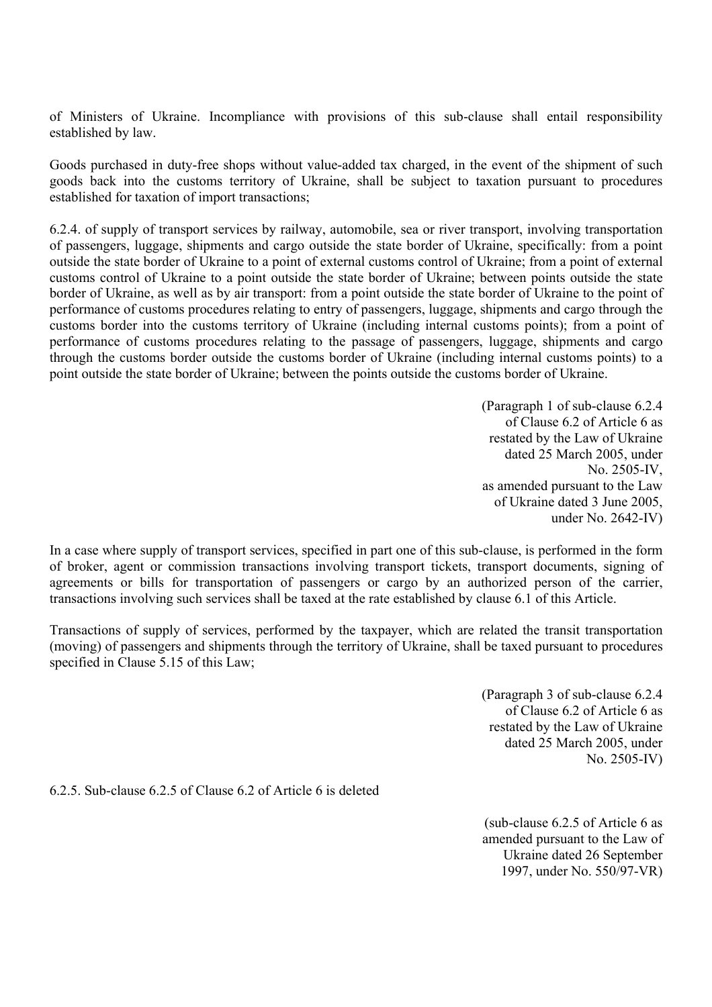of Ministers of Ukraine. Incompliance with provisions of this sub-clause shall entail responsibility established by law.

Goods purchased in duty-free shops without value-added tax charged, in the event of the shipment of such goods back into the customs territory of Ukraine, shall be subject to taxation pursuant to procedures established for taxation of import transactions;

6.2.4. of supply of transport services by railway, automobile, sea or river transport, involving transportation of passengers, luggage, shipments and cargo outside the state border of Ukraine, specifically: from a point outside the state border of Ukraine to a point of external customs control of Ukraine; from a point of external customs control of Ukraine to a point outside the state border of Ukraine; between points outside the state border of Ukraine, as well as by air transport: from a point outside the state border of Ukraine to the point of performance of customs procedures relating to entry of passengers, luggage, shipments and cargo through the customs border into the customs territory of Ukraine (including internal customs points); from a point of performance of customs procedures relating to the passage of passengers, luggage, shipments and cargo through the customs border outside the customs border of Ukraine (including internal customs points) to a point outside the state border of Ukraine; between the points outside the customs border of Ukraine.

> (Paragraph 1 of sub-clause 6.2.4 of Clause 6.2 of Article 6 as restated by the Law of Ukraine dated 25 March 2005, under No. 2505-IV, as amended pursuant to the Law of Ukraine dated 3 June 2005, under No. 2642-IV)

In a case where supply of transport services, specified in part one of this sub-clause, is performed in the form of broker, agent or commission transactions involving transport tickets, transport documents, signing of agreements or bills for transportation of passengers or cargo by an authorized person of the carrier, transactions involving such services shall be taxed at the rate established by clause 6.1 of this Article.

Transactions of supply of services, performed by the taxpayer, which are related the transit transportation (moving) of passengers and shipments through the territory of Ukraine, shall be taxed pursuant to procedures specified in Clause 5.15 of this Law;

> (Paragraph 3 of sub-clause 6.2.4 of Clause 6.2 of Article 6 as restated by the Law of Ukraine dated 25 March 2005, under No. 2505-IV)

6.2.5. Sub-clause 6.2.5 of Clause 6.2 of Article 6 is deleted

(sub-clause 6.2.5 of Article 6 as amended pursuant to the Law of Ukraine dated 26 September 1997, under No. 550/97-VR)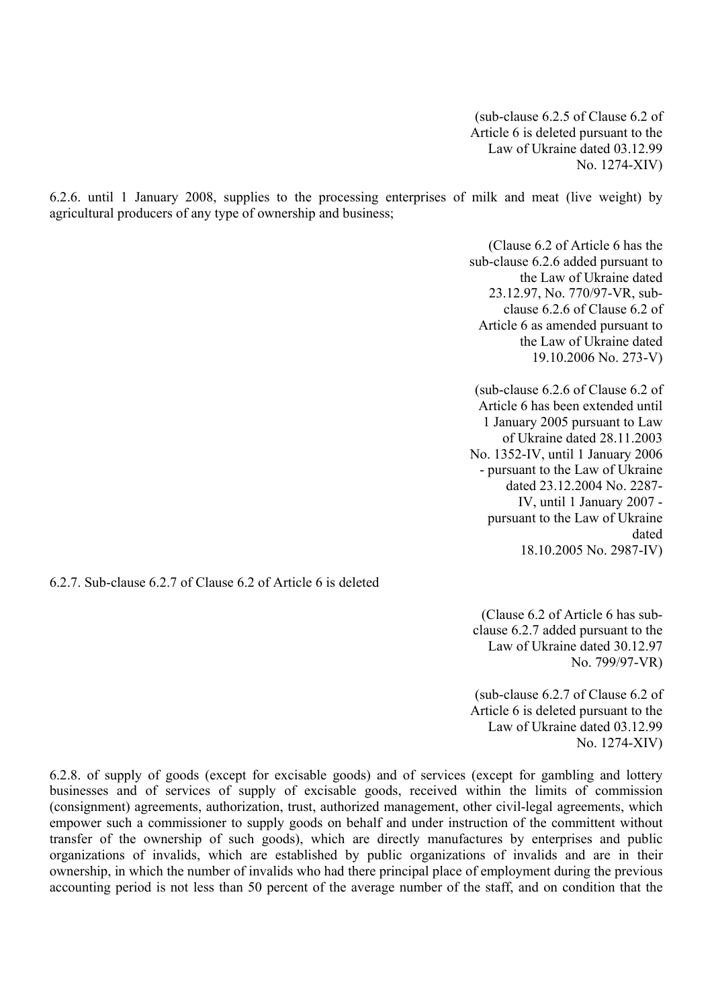(sub-clause 6.2.5 of Clause 6.2 of Article 6 is deleted pursuant to the Law of Ukraine dated 03.12.99 No. 1274-XIV)

6.2.6. until 1 January 2008, supplies to the processing enterprises of milk and meat (live weight) by agricultural producers of any type of ownership and business;

> (Clause 6.2 of Article 6 has the sub-clause 6.2.6 added pursuant to the Law of Ukraine dated 23.12.97, No. 770/97-VR, subclause 6.2.6 of Clause 6.2 of Article 6 as amended pursuant to the Law of Ukraine dated 19.10.2006 No. 273-V)

> (sub-clause 6.2.6 of Clause 6.2 of Article 6 has been extended until 1 January 2005 pursuant to Law of Ukraine dated 28.11.2003 No. 1352-IV, until 1 January 2006 - pursuant to the Law of Ukraine dated 23.12.2004 No. 2287- IV, until 1 January 2007 pursuant to the Law of Ukraine dated 18.10.2005 No. 2987-IV)

6.2.7. Sub-clause 6.2.7 of Clause 6.2 of Article 6 is deleted

(Clause 6.2 of Article 6 has subclause 6.2.7 added pursuant to the Law of Ukraine dated 30.12.97 No. 799/97-VR)

 (sub-clause 6.2.7 of Clause 6.2 of Article 6 is deleted pursuant to the Law of Ukraine dated 03.12.99 No. 1274-XIV)

6.2.8. of supply of goods (except for excisable goods) and of services (except for gambling and lottery businesses and of services of supply of excisable goods, received within the limits of commission (consignment) agreements, authorization, trust, authorized management, other civil-legal agreements, which empower such a commissioner to supply goods on behalf and under instruction of the committent without transfer of the ownership of such goods), which are directly manufactures by enterprises and public organizations of invalids, which are established by public organizations of invalids and are in their ownership, in which the number of invalids who had there principal place of employment during the previous accounting period is not less than 50 percent of the average number of the staff, and on condition that the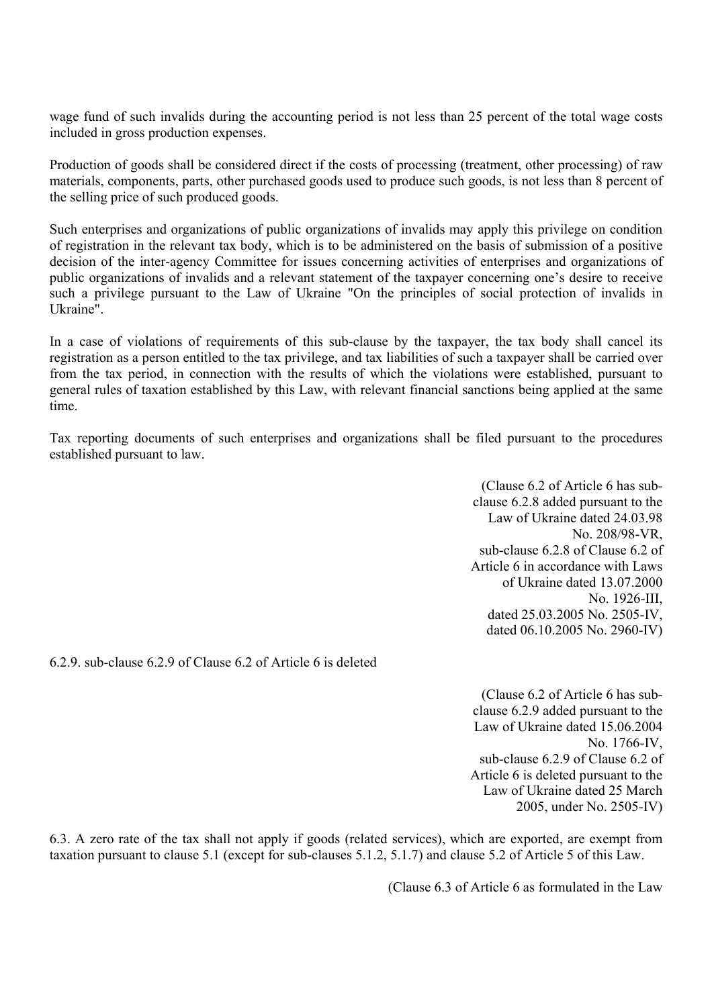wage fund of such invalids during the accounting period is not less than 25 percent of the total wage costs included in gross production expenses.

Production of goods shall be considered direct if the costs of processing (treatment, other processing) of raw materials, components, parts, other purchased goods used to produce such goods, is not less than 8 percent of the selling price of such produced goods.

Such enterprises and organizations of public organizations of invalids may apply this privilege on condition of registration in the relevant tax body, which is to be administered on the basis of submission of a positive decision of the inter-agency Committee for issues concerning activities of enterprises and organizations of public organizations of invalids and a relevant statement of the taxpayer concerning one's desire to receive such a privilege pursuant to the Law of Ukraine "On the principles of social protection of invalids in Ukraine".

In a case of violations of requirements of this sub-clause by the taxpayer, the tax body shall cancel its registration as a person entitled to the tax privilege, and tax liabilities of such a taxpayer shall be carried over from the tax period, in connection with the results of which the violations were established, pursuant to general rules of taxation established by this Law, with relevant financial sanctions being applied at the same time.

Tax reporting documents of such enterprises and organizations shall be filed pursuant to the procedures established pursuant to law.

> (Clause 6.2 of Article 6 has subclause 6.2.8 added pursuant to the Law of Ukraine dated 24.03.98 No. 208/98-VR, sub-clause 6.2.8 of Clause 6.2 of Article 6 in accordance with Laws of Ukraine dated 13.07.2000 No. 1926-III, dated 25.03.2005 No. 2505-IV, dated 06.10.2005 No. 2960-IV)

6.2.9. sub-clause 6.2.9 of Clause 6.2 of Article 6 is deleted

(Clause 6.2 of Article 6 has subclause 6.2.9 added pursuant to the Law of Ukraine dated 15.06.2004 No. 1766-IV sub-clause 6.2.9 of Clause 6.2 of Article 6 is deleted pursuant to the Law of Ukraine dated 25 March 2005, under No. 2505-IV)

6.3. A zero rate of the tax shall not apply if goods (related services), which are exported, are exempt from taxation pursuant to clause 5.1 (except for sub-clauses 5.1.2, 5.1.7) and clause 5.2 of Article 5 of this Law.

(Clause 6.3 of Article 6 as formulated in the Law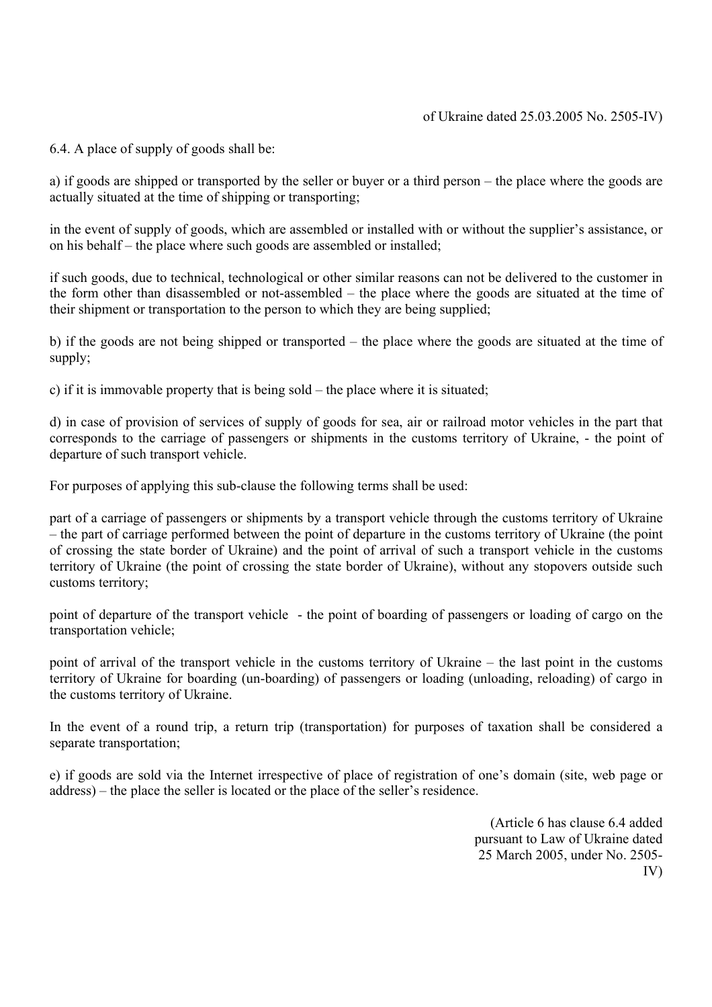6.4. A place of supply of goods shall be:

а) if goods are shipped or transported by the seller or buyer or a third person – the place where the goods are actually situated at the time of shipping or transporting;

in the event of supply of goods, which are assembled or installed with or without the supplier's assistance, or on his behalf – the place where such goods are assembled or installed;

if such goods, due to technical, technological or other similar reasons can not be delivered to the customer in the form other than disassembled or not-assembled – the place where the goods are situated at the time of their shipment or transportation to the person to which they are being supplied;

b) if the goods are not being shipped or transported – the place where the goods are situated at the time of supply;

c) if it is immovable property that is being sold – the place where it is situated;

d) in case of provision of services of supply of goods for sea, air or railroad motor vehicles in the part that corresponds to the carriage of passengers or shipments in the customs territory of Ukraine, - the point of departure of such transport vehicle.

For purposes of applying this sub-clause the following terms shall be used:

part of a carriage of passengers or shipments by a transport vehicle through the customs territory of Ukraine – the part of carriage performed between the point of departure in the customs territory of Ukraine (the point of crossing the state border of Ukraine) and the point of arrival of such a transport vehicle in the customs territory of Ukraine (the point of crossing the state border of Ukraine), without any stopovers outside such customs territory;

point of departure of the transport vehicle - the point of boarding of passengers or loading of cargo on the transportation vehicle;

point of arrival of the transport vehicle in the customs territory of Ukraine – the last point in the customs territory of Ukraine for boarding (un-boarding) of passengers or loading (unloading, reloading) of cargo in the customs territory of Ukraine.

In the event of a round trip, a return trip (transportation) for purposes of taxation shall be considered a separate transportation;

e) if goods are sold via the Internet irrespective of place of registration of one's domain (site, web page or address) – the place the seller is located or the place of the seller's residence.

> (Article 6 has clause 6.4 added pursuant to Law of Ukraine dated 25 March 2005, under No. 2505- IV)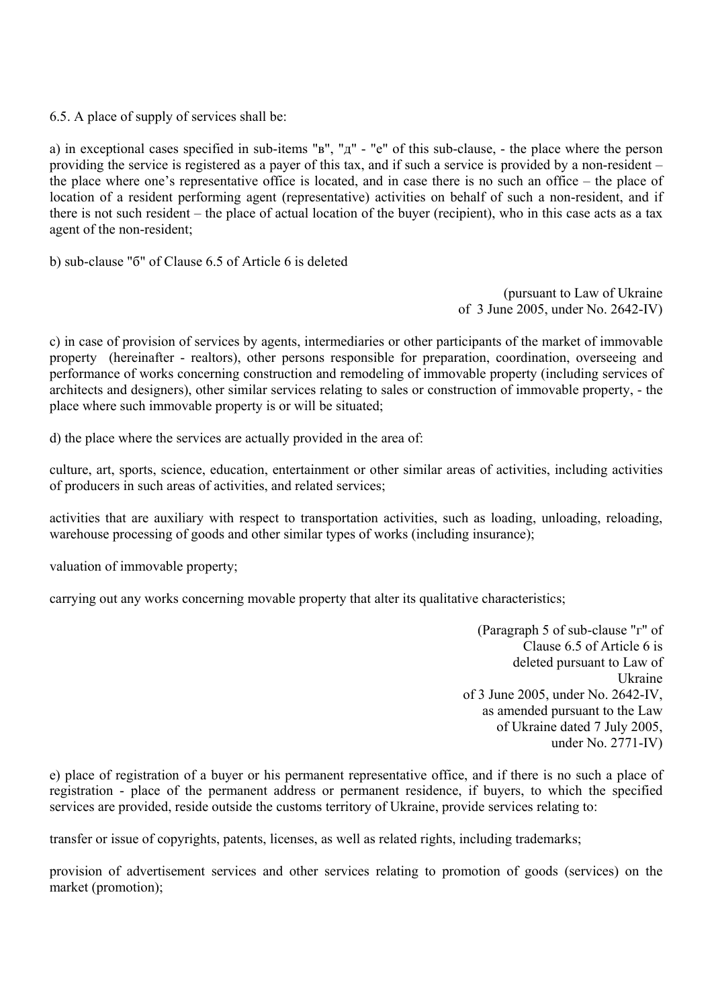6.5. A place of supply of services shall be:

a) in exceptional cases specified in sub-items "в", "д" - "е" of this sub-clause, - the place where the person providing the service is registered as a payer of this tax, and if such a service is provided by a non-resident – the place where one's representative office is located, and in case there is no such an office – the place of location of a resident performing agent (representative) activities on behalf of such a non-resident, and if there is not such resident – the place of actual location of the buyer (recipient), who in this case acts as a tax agent of the non-resident;

b) sub-clause "б" of Clause 6.5 of Article 6 is deleted

(pursuant to Law of Ukraine of 3 June 2005, under No. 2642-IV)

c) in case of provision of services by agents, intermediaries or other participants of the market of immovable property (hereinafter - realtors), other persons responsible for preparation, coordination, overseeing and performance of works concerning construction and remodeling of immovable property (including services of architects and designers), other similar services relating to sales or construction of immovable property, - the place where such immovable property is or will be situated;

d) the place where the services are actually provided in the area of:

culture, art, sports, science, education, entertainment or other similar areas of activities, including activities of producers in such areas of activities, and related services;

activities that are auxiliary with respect to transportation activities, such as loading, unloading, reloading, warehouse processing of goods and other similar types of works (including insurance);

valuation of immovable property;

carrying out any works concerning movable property that alter its qualitative characteristics;

(Paragraph 5 of sub-clause "г" of Clause 6.5 of Article 6 is deleted pursuant to Law of Ukraine of 3 June 2005, under No. 2642-IV, as amended pursuant to the Law of Ukraine dated 7 July 2005, under No. 2771-IV)

e) place of registration of a buyer or his permanent representative office, and if there is no such a place of registration - place of the permanent address or permanent residence, if buyers, to which the specified services are provided, reside outside the customs territory of Ukraine, provide services relating to:

transfer or issue of copyrights, patents, licenses, as well as related rights, including trademarks;

provision of advertisement services and other services relating to promotion of goods (services) on the market (promotion);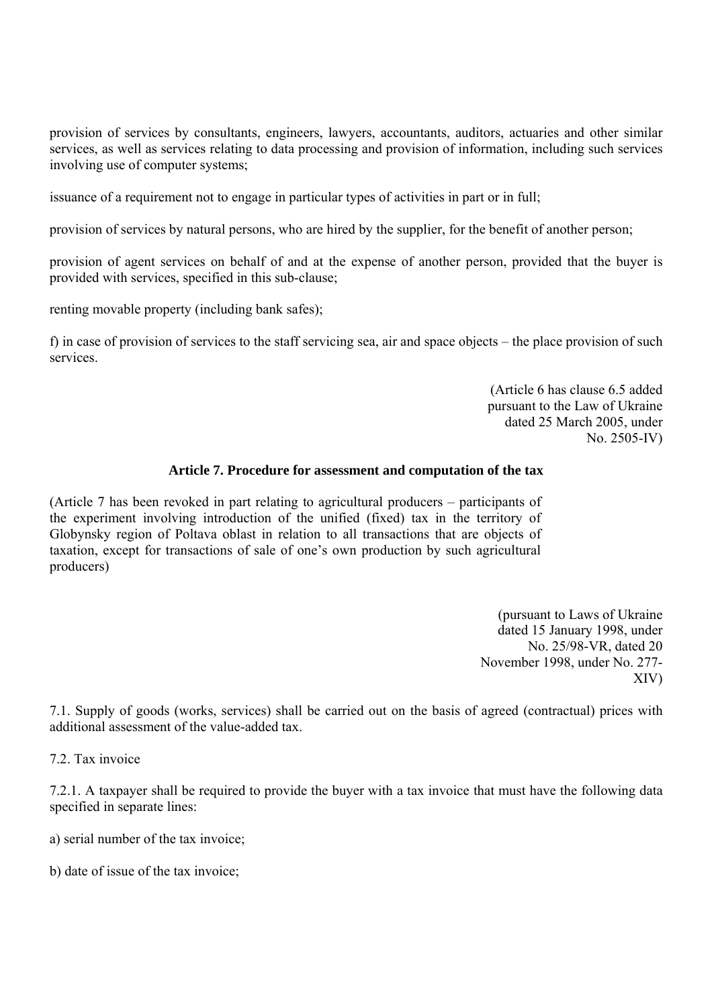provision of services by consultants, engineers, lawyers, accountants, auditors, actuaries and other similar services, as well as services relating to data processing and provision of information, including such services involving use of computer systems;

issuance of a requirement not to engage in particular types of activities in part or in full;

provision of services by natural persons, who are hired by the supplier, for the benefit of another person;

provision of agent services on behalf of and at the expense of another person, provided that the buyer is provided with services, specified in this sub-clause;

renting movable property (including bank safes);

f) in case of provision of services to the staff servicing sea, air and space objects – the place provision of such services.

> (Article 6 has clause 6.5 added pursuant to the Law of Ukraine dated 25 March 2005, under No. 2505-IV)

## **Article 7. Procedure for assessment and computation of the tax**

(Article 7 has been revoked in part relating to agricultural producers – participants of the experiment involving introduction of the unified (fixed) tax in the territory of Globynsky region of Poltava oblast in relation to all transactions that are objects of taxation, except for transactions of sale of one's own production by such agricultural producers)

> (pursuant to Laws of Ukraine dated 15 January 1998, under No. 25/98-VR, dated 20 November 1998, under No. 277- XIV)

7.1. Supply of goods (works, services) shall be carried out on the basis of agreed (contractual) prices with additional assessment of the value-added tax.

7.2. Tax invoice

7.2.1. A taxpayer shall be required to provide the buyer with a tax invoice that must have the following data specified in separate lines:

a) serial number of the tax invoice;

b) date of issue of the tax invoice;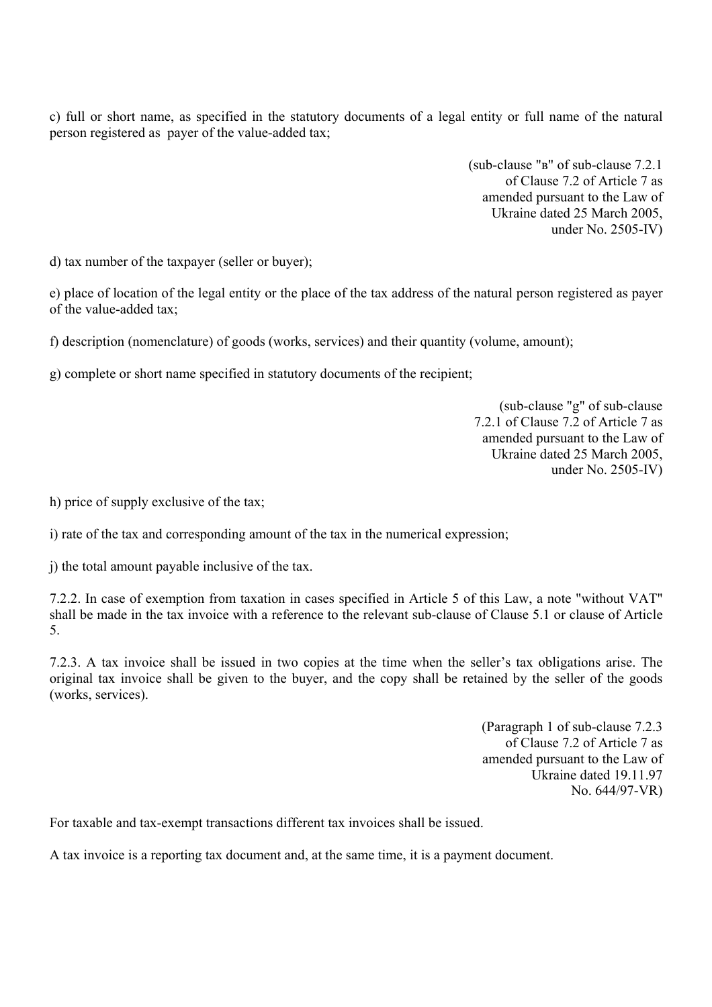c) full or short name, as specified in the statutory documents of a legal entity or full name of the natural person registered as payer of the value-added tax;

> (sub-clause "в" of sub-clause 7.2.1 of Clause 7.2 of Article 7 as amended pursuant to the Law of Ukraine dated 25 March 2005, under No. 2505-IV)

d) tax number of the taxpayer (seller or buyer);

e) place of location of the legal entity or the place of the tax address of the natural person registered as payer of the value-added tax;

f) description (nomenclature) of goods (works, services) and their quantity (volume, amount);

g) complete or short name specified in statutory documents of the recipient;

(sub-clause "g" of sub-clause 7.2.1 of Clause 7.2 of Article 7 as amended pursuant to the Law of Ukraine dated 25 March 2005, under No. 2505-IV)

h) price of supply exclusive of the tax;

i) rate of the tax and corresponding amount of the tax in the numerical expression;

j) the total amount payable inclusive of the tax.

7.2.2. In case of exemption from taxation in cases specified in Article 5 of this Law, a note "without VAT" shall be made in the tax invoice with a reference to the relevant sub-clause of Clause 5.1 or clause of Article 5.

7.2.3. A tax invoice shall be issued in two copies at the time when the seller's tax obligations arise. The original tax invoice shall be given to the buyer, and the copy shall be retained by the seller of the goods (works, services).

> (Paragraph 1 of sub-clause 7.2.3 of Clause 7.2 of Article 7 as amended pursuant to the Law of Ukraine dated 19.11.97 No. 644/97-VR)

For taxable and tax-exempt transactions different tax invoices shall be issued.

A tax invoice is a reporting tax document and, at the same time, it is a payment document.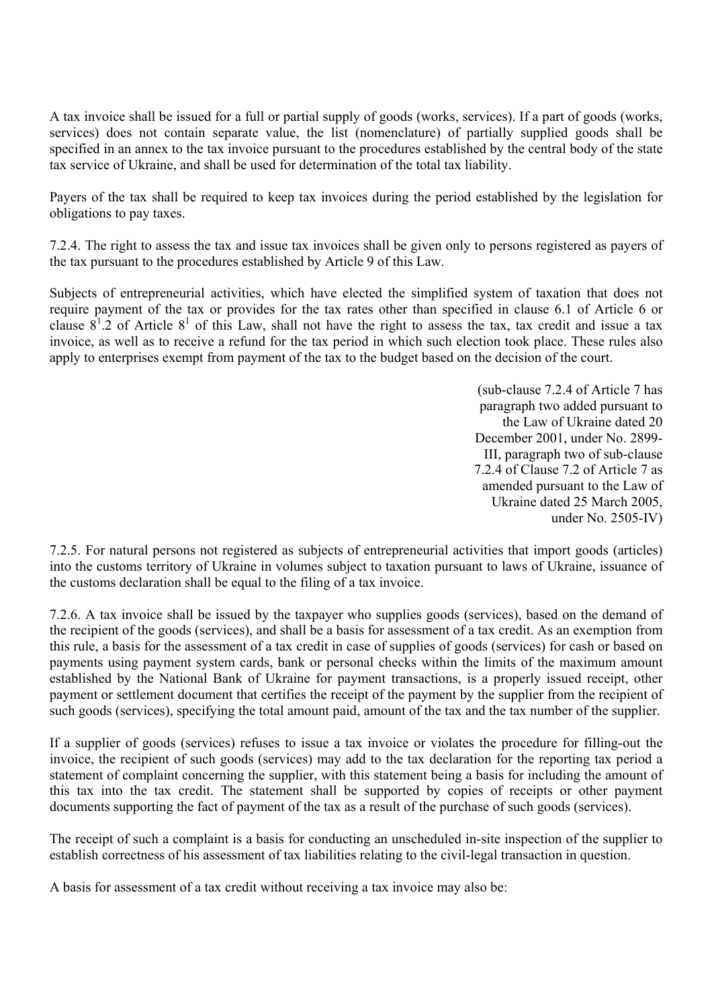A tax invoice shall be issued for a full or partial supply of goods (works, services). If a part of goods (works, services) does not contain separate value, the list (nomenclature) of partially supplied goods shall be specified in an annex to the tax invoice pursuant to the procedures established by the central body of the state tax service of Ukraine, and shall be used for determination of the total tax liability.

Payers of the tax shall be required to keep tax invoices during the period established by the legislation for obligations to pay taxes.

7.2.4. The right to assess the tax and issue tax invoices shall be given only to persons registered as payers of the tax pursuant to the procedures established by Article 9 of this Law.

Subjects of entrepreneurial activities, which have elected the simplified system of taxation that does not require payment of the tax or provides for the tax rates other than specified in clause 6.1 of Article 6 or clause  $8^1.2$  of Article  $8^1$  of this Law, shall not have the right to assess the tax, tax credit and issue a tax invoice, as well as to receive a refund for the tax period in which such election took place. These rules also apply to enterprises exempt from payment of the tax to the budget based on the decision of the court.

> (sub-clause 7.2.4 of Article 7 has paragraph two added pursuant to the Law of Ukraine dated 20 December 2001, under No. 2899- III, paragraph two of sub-clause 7.2.4 of Clause 7.2 of Article 7 as amended pursuant to the Law of Ukraine dated 25 March 2005, under No. 2505-IV)

7.2.5. For natural persons not registered as subjects of entrepreneurial activities that import goods (articles) into the customs territory of Ukraine in volumes subject to taxation pursuant to laws of Ukraine, issuance of the customs declaration shall be equal to the filing of a tax invoice.

7.2.6. A tax invoice shall be issued by the taxpayer who supplies goods (services), based on the demand of the recipient of the goods (services), and shall be a basis for assessment of a tax credit. As an exemption from this rule, a basis for the assessment of a tax credit in case of supplies of goods (services) for cash or based on payments using payment system cards, bank or personal checks within the limits of the maximum amount established by the National Bank of Ukraine for payment transactions, is a properly issued receipt, other payment or settlement document that certifies the receipt of the payment by the supplier from the recipient of such goods (services), specifying the total amount paid, amount of the tax and the tax number of the supplier.

If a supplier of goods (services) refuses to issue a tax invoice or violates the procedure for filling-out the invoice, the recipient of such goods (services) may add to the tax declaration for the reporting tax period a statement of complaint concerning the supplier, with this statement being a basis for including the amount of this tax into the tax credit. The statement shall be supported by copies of receipts or other payment documents supporting the fact of payment of the tax as a result of the purchase of such goods (services).

The receipt of such a complaint is a basis for conducting an unscheduled in-site inspection of the supplier to establish correctness of his assessment of tax liabilities relating to the civil-legal transaction in question.

A basis for assessment of a tax credit without receiving a tax invoice may also be: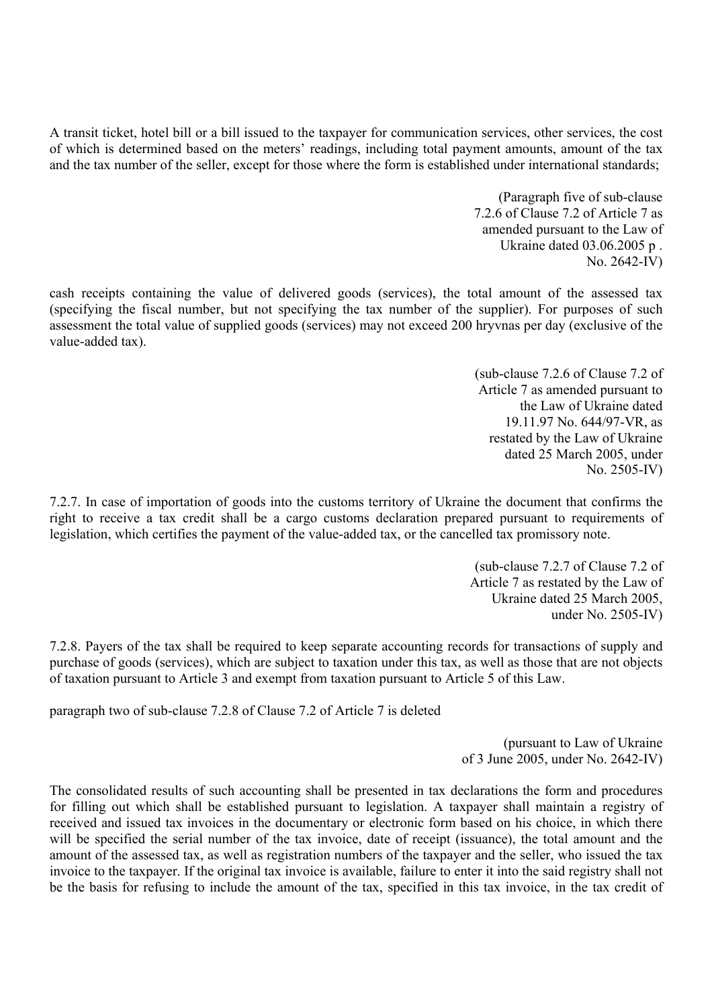A transit ticket, hotel bill or a bill issued to the taxpayer for communication services, other services, the cost of which is determined based on the meters' readings, including total payment amounts, amount of the tax and the tax number of the seller, except for those where the form is established under international standards;

> (Paragraph five of sub-clause 7.2.6 of Clause 7.2 of Article 7 as amended pursuant to the Law of Ukraine dated 03.06.2005 р . No. 2642-IV)

cash receipts containing the value of delivered goods (services), the total amount of the assessed tax (specifying the fiscal number, but not specifying the tax number of the supplier). For purposes of such assessment the total value of supplied goods (services) may not exceed 200 hryvnas per day (exclusive of the value-added tax).

> (sub-clause 7.2.6 of Clause 7.2 of Article 7 as amended pursuant to the Law of Ukraine dated 19.11.97 No. 644/97-VR, as restated by the Law of Ukraine dated 25 March 2005, under No. 2505-IV)

7.2.7. In case of importation of goods into the customs territory of Ukraine the document that confirms the right to receive a tax credit shall be a cargo customs declaration prepared pursuant to requirements of legislation, which certifies the payment of the value-added tax, or the cancelled tax promissory note.

> (sub-clause 7.2.7 of Clause 7.2 of Article 7 as restated by the Law of Ukraine dated 25 March 2005, under No. 2505-IV)

7.2.8. Payers of the tax shall be required to keep separate accounting records for transactions of supply and purchase of goods (services), which are subject to taxation under this tax, as well as those that are not objects of taxation pursuant to Article 3 and exempt from taxation pursuant to Article 5 of this Law.

paragraph two of sub-clause 7.2.8 of Clause 7.2 of Article 7 is deleted

(pursuant to Law of Ukraine of 3 June 2005, under No. 2642-IV)

The consolidated results of such accounting shall be presented in tax declarations the form and procedures for filling out which shall be established pursuant to legislation. A taxpayer shall maintain a registry of received and issued tax invoices in the documentary or electronic form based on his choice, in which there will be specified the serial number of the tax invoice, date of receipt (issuance), the total amount and the amount of the assessed tax, as well as registration numbers of the taxpayer and the seller, who issued the tax invoice to the taxpayer. If the original tax invoice is available, failure to enter it into the said registry shall not be the basis for refusing to include the amount of the tax, specified in this tax invoice, in the tax credit of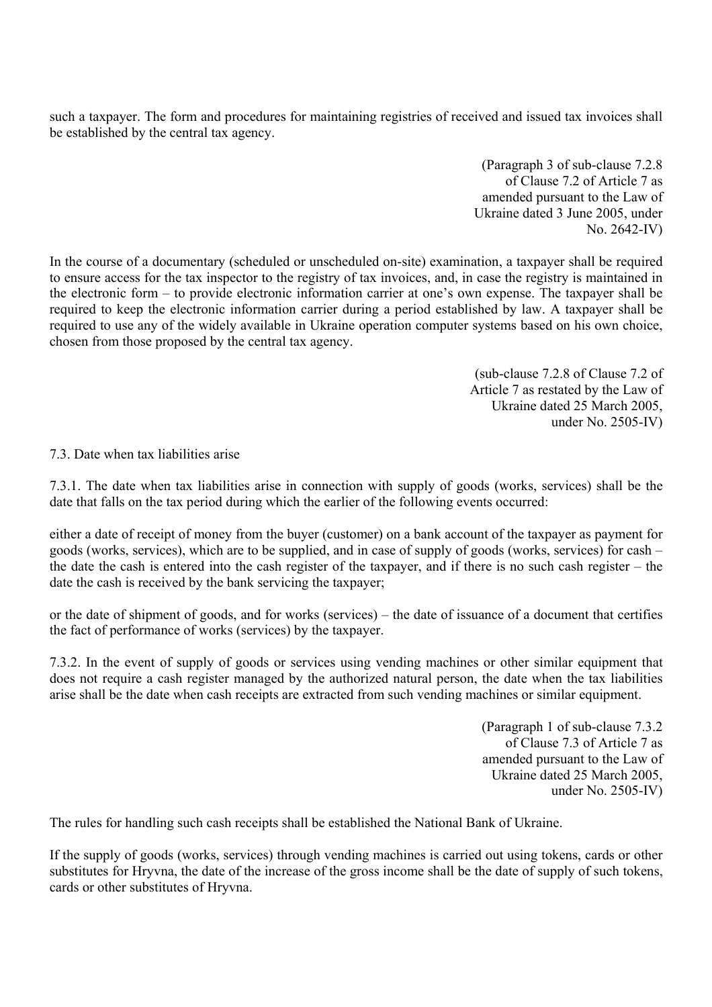such a taxpayer. The form and procedures for maintaining registries of received and issued tax invoices shall be established by the central tax agency.

> (Paragraph 3 of sub-clause 7.2.8 of Clause 7.2 of Article 7 as amended pursuant to the Law of Ukraine dated 3 June 2005, under No. 2642-IV)

In the course of a documentary (scheduled or unscheduled on-site) examination, a taxpayer shall be required to ensure access for the tax inspector to the registry of tax invoices, and, in case the registry is maintained in the electronic form – to provide electronic information carrier at one's own expense. The taxpayer shall be required to keep the electronic information carrier during a period established by law. A taxpayer shall be required to use any of the widely available in Ukraine operation computer systems based on his own choice, chosen from those proposed by the central tax agency.

> (sub-clause 7.2.8 of Clause 7.2 of Article 7 as restated by the Law of Ukraine dated 25 March 2005, under No. 2505-IV)

7.3. Date when tax liabilities arise

7.3.1. The date when tax liabilities arise in connection with supply of goods (works, services) shall be the date that falls on the tax period during which the earlier of the following events occurred:

either a date of receipt of money from the buyer (customer) on a bank account of the taxpayer as payment for goods (works, services), which are to be supplied, and in case of supply of goods (works, services) for cash – the date the cash is entered into the cash register of the taxpayer, and if there is no such cash register – the date the cash is received by the bank servicing the taxpayer;

or the date of shipment of goods, and for works (services) – the date of issuance of a document that certifies the fact of performance of works (services) by the taxpayer.

7.3.2. In the event of supply of goods or services using vending machines or other similar equipment that does not require a cash register managed by the authorized natural person, the date when the tax liabilities arise shall be the date when cash receipts are extracted from such vending machines or similar equipment.

> (Paragraph 1 of sub-clause 7.3.2 of Clause 7.3 of Article 7 as amended pursuant to the Law of Ukraine dated 25 March 2005, under No. 2505-IV)

The rules for handling such cash receipts shall be established the National Bank of Ukraine.

If the supply of goods (works, services) through vending machines is carried out using tokens, cards or other substitutes for Hryvna, the date of the increase of the gross income shall be the date of supply of such tokens, cards or other substitutes of Hryvna.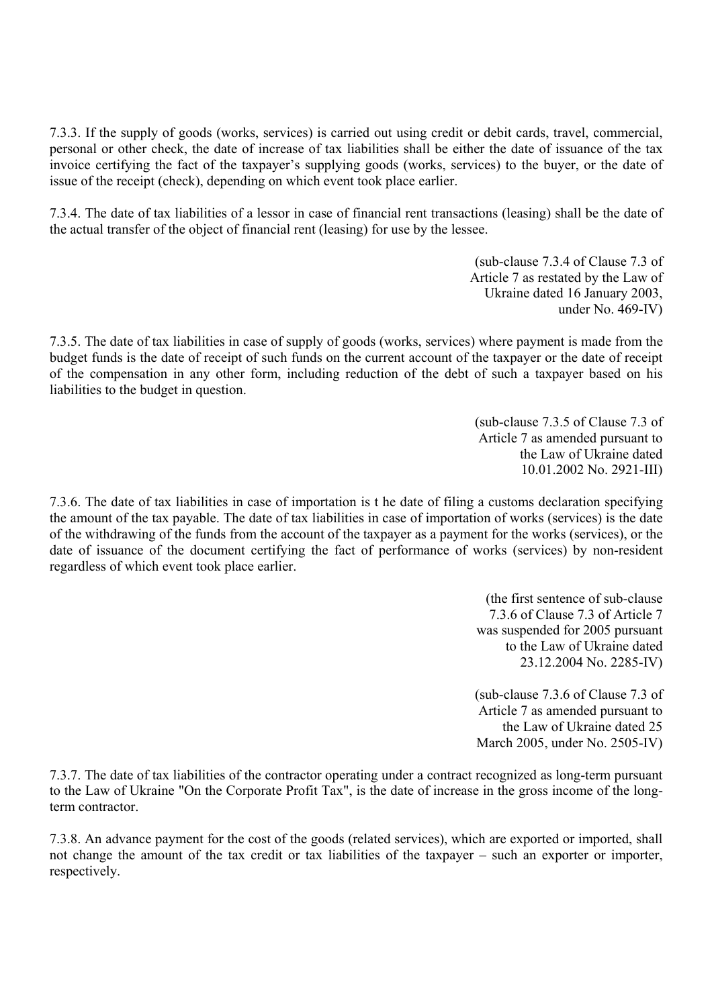7.3.3. If the supply of goods (works, services) is carried out using credit or debit cards, travel, commercial, personal or other check, the date of increase of tax liabilities shall be either the date of issuance of the tax invoice certifying the fact of the taxpayer's supplying goods (works, services) to the buyer, or the date of issue of the receipt (check), depending on which event took place earlier.

7.3.4. The date of tax liabilities of a lessor in case of financial rent transactions (leasing) shall be the date of the actual transfer of the object of financial rent (leasing) for use by the lessee.

> (sub-clause 7.3.4 of Clause 7.3 of Article 7 as restated by the Law of Ukraine dated 16 January 2003, under No. 469-IV)

7.3.5. The date of tax liabilities in case of supply of goods (works, services) where payment is made from the budget funds is the date of receipt of such funds on the current account of the taxpayer or the date of receipt of the compensation in any other form, including reduction of the debt of such a taxpayer based on his liabilities to the budget in question.

> (sub-clause 7.3.5 of Clause 7.3 of Article 7 as amended pursuant to the Law of Ukraine dated 10.01.2002 No. 2921-III)

7.3.6. The date of tax liabilities in case of importation is t he date of filing a customs declaration specifying the amount of the tax payable. The date of tax liabilities in case of importation of works (services) is the date of the withdrawing of the funds from the account of the taxpayer as a payment for the works (services), or the date of issuance of the document certifying the fact of performance of works (services) by non-resident regardless of which event took place earlier.

> (the first sentence of sub-clause 7.3.6 of Clause 7.3 of Article 7 was suspended for 2005 pursuant to the Law of Ukraine dated 23.12.2004 No. 2285-IV)

(sub-clause 7.3.6 of Clause 7.3 of Article 7 as amended pursuant to the Law of Ukraine dated 25 March 2005, under No. 2505-IV)

7.3.7. The date of tax liabilities of the contractor operating under a contract recognized as long-term pursuant to the Law of Ukraine "On the Corporate Profit Tax", is the date of increase in the gross income of the longterm contractor.

7.3.8. An advance payment for the cost of the goods (related services), which are exported or imported, shall not change the amount of the tax credit or tax liabilities of the taxpayer – such an exporter or importer, respectively.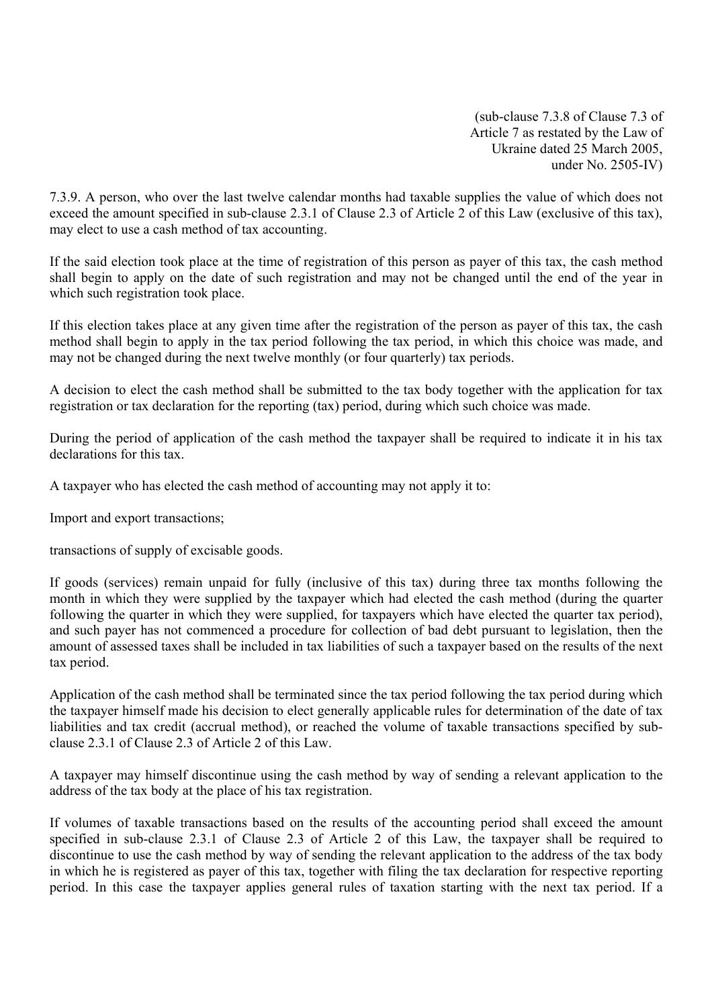(sub-clause 7.3.8 of Clause 7.3 of Article 7 as restated by the Law of Ukraine dated 25 March 2005, under No. 2505-IV)

7.3.9. A person, who over the last twelve calendar months had taxable supplies the value of which does not exceed the amount specified in sub-clause 2.3.1 of Clause 2.3 of Article 2 of this Law (exclusive of this tax), may elect to use a cash method of tax accounting.

If the said election took place at the time of registration of this person as payer of this tax, the cash method shall begin to apply on the date of such registration and may not be changed until the end of the year in which such registration took place.

If this election takes place at any given time after the registration of the person as payer of this tax, the cash method shall begin to apply in the tax period following the tax period, in which this choice was made, and may not be changed during the next twelve monthly (or four quarterly) tax periods.

A decision to elect the cash method shall be submitted to the tax body together with the application for tax registration or tax declaration for the reporting (tax) period, during which such choice was made.

During the period of application of the cash method the taxpayer shall be required to indicate it in his tax declarations for this tax.

A taxpayer who has elected the cash method of accounting may not apply it to:

Import and export transactions;

transactions of supply of excisable goods.

If goods (services) remain unpaid for fully (inclusive of this tax) during three tax months following the month in which they were supplied by the taxpayer which had elected the cash method (during the quarter following the quarter in which they were supplied, for taxpayers which have elected the quarter tax period), and such payer has not commenced a procedure for collection of bad debt pursuant to legislation, then the amount of assessed taxes shall be included in tax liabilities of such a taxpayer based on the results of the next tax period.

Application of the cash method shall be terminated since the tax period following the tax period during which the taxpayer himself made his decision to elect generally applicable rules for determination of the date of tax liabilities and tax credit (accrual method), or reached the volume of taxable transactions specified by subclause 2.3.1 of Clause 2.3 of Article 2 of this Law.

A taxpayer may himself discontinue using the cash method by way of sending a relevant application to the address of the tax body at the place of his tax registration.

If volumes of taxable transactions based on the results of the accounting period shall exceed the amount specified in sub-clause 2.3.1 of Clause 2.3 of Article 2 of this Law, the taxpayer shall be required to discontinue to use the cash method by way of sending the relevant application to the address of the tax body in which he is registered as payer of this tax, together with filing the tax declaration for respective reporting period. In this case the taxpayer applies general rules of taxation starting with the next tax period. If a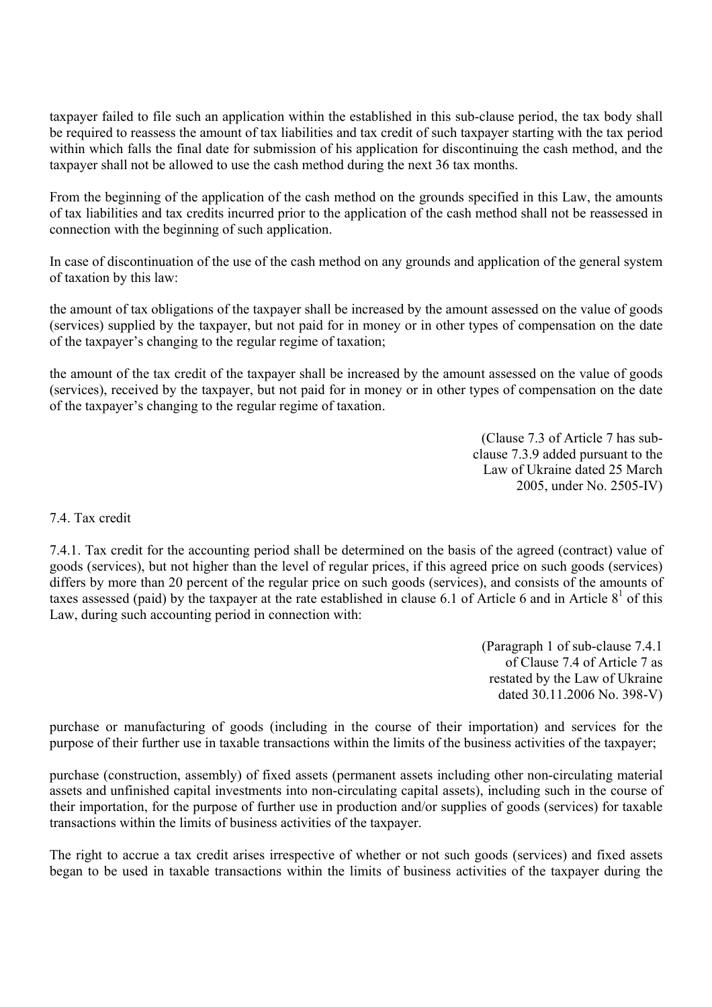taxpayer failed to file such an application within the established in this sub-clause period, the tax body shall be required to reassess the amount of tax liabilities and tax credit of such taxpayer starting with the tax period within which falls the final date for submission of his application for discontinuing the cash method, and the taxpayer shall not be allowed to use the cash method during the next 36 tax months.

From the beginning of the application of the cash method on the grounds specified in this Law, the amounts of tax liabilities and tax credits incurred prior to the application of the cash method shall not be reassessed in connection with the beginning of such application.

In case of discontinuation of the use of the cash method on any grounds and application of the general system of taxation by this law:

the amount of tax obligations of the taxpayer shall be increased by the amount assessed on the value of goods (services) supplied by the taxpayer, but not paid for in money or in other types of compensation on the date of the taxpayer's changing to the regular regime of taxation;

the amount of the tax credit of the taxpayer shall be increased by the amount assessed on the value of goods (services), received by the taxpayer, but not paid for in money or in other types of compensation on the date of the taxpayer's changing to the regular regime of taxation.

> (Clause 7.3 of Article 7 has subclause 7.3.9 added pursuant to the Law of Ukraine dated 25 March 2005, under No. 2505-IV)

## 7.4. Tax credit

7.4.1. Tax credit for the accounting period shall be determined on the basis of the agreed (contract) value of goods (services), but not higher than the level of regular prices, if this agreed price on such goods (services) differs by more than 20 percent of the regular price on such goods (services), and consists of the amounts of taxes assessed (paid) by the taxpayer at the rate established in clause 6.1 of Article 6 and in Article  $8<sup>1</sup>$  of this Law, during such accounting period in connection with:

> (Paragraph 1 of sub-clause 7.4.1 of Clause 7.4 of Article 7 as restated by the Law of Ukraine dated 30.11.2006 No. 398-V)

purchase or manufacturing of goods (including in the course of their importation) and services for the purpose of their further use in taxable transactions within the limits of the business activities of the taxpayer;

purchase (construction, assembly) of fixed assets (permanent assets including other non-circulating material assets and unfinished capital investments into non-circulating capital assets), including such in the course of their importation, for the purpose of further use in production and/or supplies of goods (services) for taxable transactions within the limits of business activities of the taxpayer.

The right to accrue a tax credit arises irrespective of whether or not such goods (services) and fixed assets began to be used in taxable transactions within the limits of business activities of the taxpayer during the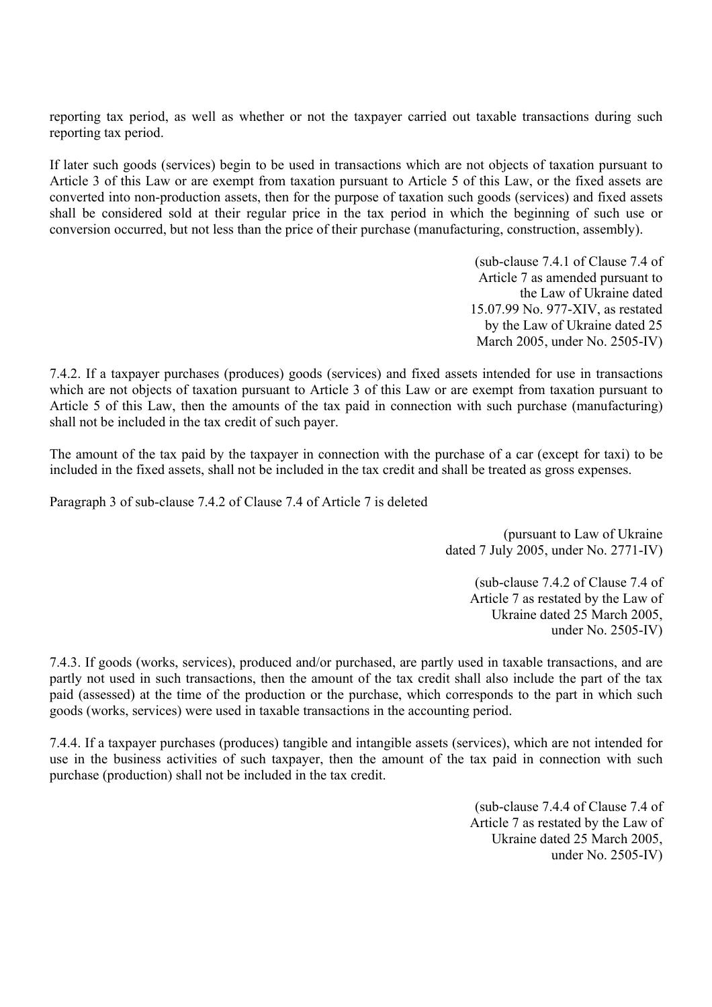reporting tax period, as well as whether or not the taxpayer carried out taxable transactions during such reporting tax period.

If later such goods (services) begin to be used in transactions which are not objects of taxation pursuant to Article 3 of this Law or are exempt from taxation pursuant to Article 5 of this Law, or the fixed assets are converted into non-production assets, then for the purpose of taxation such goods (services) and fixed assets shall be considered sold at their regular price in the tax period in which the beginning of such use or conversion occurred, but not less than the price of their purchase (manufacturing, construction, assembly).

> (sub-clause 7.4.1 of Clause 7.4 of Article 7 as amended pursuant to the Law of Ukraine dated 15.07.99 No. 977-XIV, as restated by the Law of Ukraine dated 25 March 2005, under No. 2505-IV)

7.4.2. If a taxpayer purchases (produces) goods (services) and fixed assets intended for use in transactions which are not objects of taxation pursuant to Article 3 of this Law or are exempt from taxation pursuant to Article 5 of this Law, then the amounts of the tax paid in connection with such purchase (manufacturing) shall not be included in the tax credit of such payer.

The amount of the tax paid by the taxpayer in connection with the purchase of a car (except for taxi) to be included in the fixed assets, shall not be included in the tax credit and shall be treated as gross expenses.

Paragraph 3 of sub-clause 7.4.2 of Clause 7.4 of Article 7 is deleted

 (pursuant to Law of Ukraine dated 7 July 2005, under No. 2771-IV)

> (sub-clause 7.4.2 of Clause 7.4 of Article 7 as restated by the Law of Ukraine dated 25 March 2005, under No. 2505-IV)

7.4.3. If goods (works, services), produced and/or purchased, are partly used in taxable transactions, and are partly not used in such transactions, then the amount of the tax credit shall also include the part of the tax paid (assessed) at the time of the production or the purchase, which corresponds to the part in which such goods (works, services) were used in taxable transactions in the accounting period.

7.4.4. If a taxpayer purchases (produces) tangible and intangible assets (services), which are not intended for use in the business activities of such taxpayer, then the amount of the tax paid in connection with such purchase (production) shall not be included in the tax credit.

> (sub-clause 7.4.4 of Clause 7.4 of Article 7 as restated by the Law of Ukraine dated 25 March 2005, under No. 2505-IV)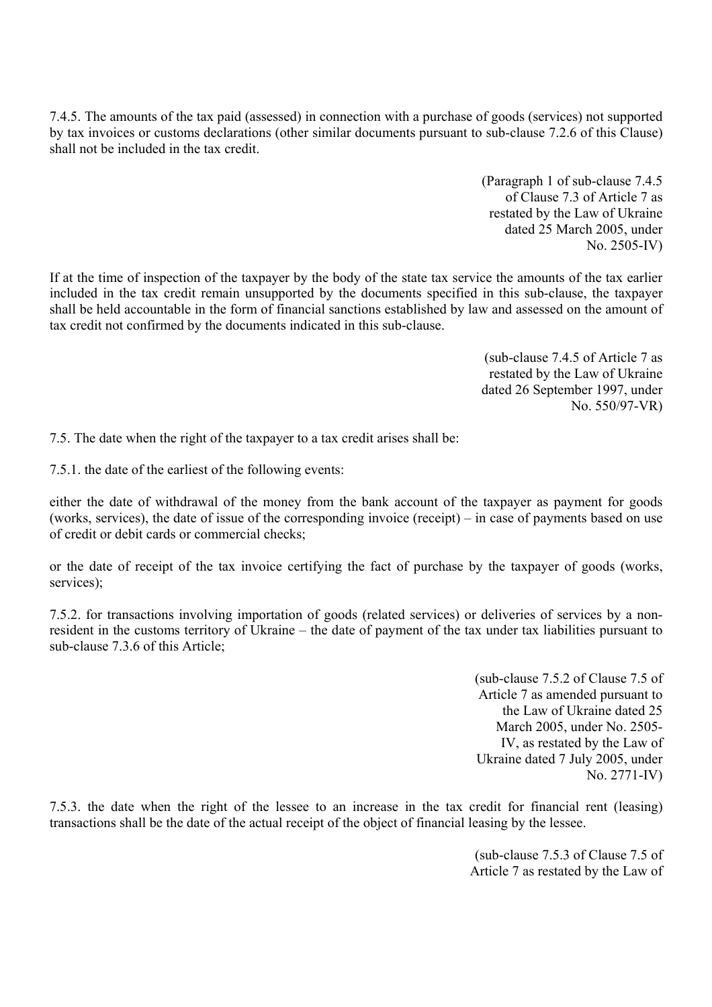7.4.5. The amounts of the tax paid (assessed) in connection with a purchase of goods (services) not supported by tax invoices or customs declarations (other similar documents pursuant to sub-clause 7.2.6 of this Clause) shall not be included in the tax credit.

> (Paragraph 1 of sub-clause 7.4.5 of Clause 7.3 of Article 7 as restated by the Law of Ukraine dated 25 March 2005, under No. 2505-IV)

If at the time of inspection of the taxpayer by the body of the state tax service the amounts of the tax earlier included in the tax credit remain unsupported by the documents specified in this sub-clause, the taxpayer shall be held accountable in the form of financial sanctions established by law and assessed on the amount of tax credit not confirmed by the documents indicated in this sub-clause.

> (sub-clause 7.4.5 of Article 7 as restated by the Law of Ukraine dated 26 September 1997, under No. 550/97-VR)

7.5. The date when the right of the taxpayer to a tax credit arises shall be:

7.5.1. the date of the earliest of the following events:

either the date of withdrawal of the money from the bank account of the taxpayer as payment for goods (works, services), the date of issue of the corresponding invoice (receipt) – in case of payments based on use of credit or debit cards or commercial checks;

or the date of receipt of the tax invoice certifying the fact of purchase by the taxpayer of goods (works, services);

7.5.2. for transactions involving importation of goods (related services) or deliveries of services by a nonresident in the customs territory of Ukraine – the date of payment of the tax under tax liabilities pursuant to sub-clause 7.3.6 of this Article;

> (sub-clause 7.5.2 of Clause 7.5 of Article 7 as amended pursuant to the Law of Ukraine dated 25 March 2005, under No. 2505- IV, as restated by the Law of Ukraine dated 7 July 2005, under No. 2771-IV)

7.5.3. the date when the right of the lessee to an increase in the tax credit for financial rent (leasing) transactions shall be the date of the actual receipt of the object of financial leasing by the lessee.

> (sub-clause 7.5.3 of Clause 7.5 of Article 7 as restated by the Law of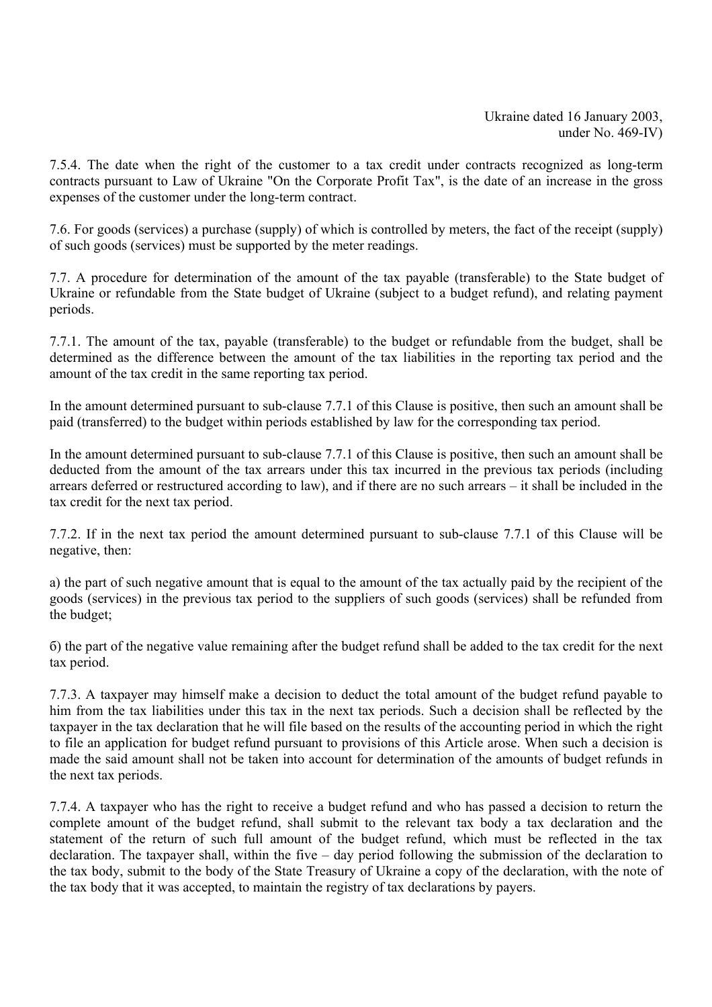7.5.4. The date when the right of the customer to a tax credit under contracts recognized as long-term contracts pursuant to Law of Ukraine "On the Corporate Profit Tax", is the date of an increase in the gross expenses of the customer under the long-term contract.

7.6. For goods (services) a purchase (supply) of which is controlled by meters, the fact of the receipt (supply) of such goods (services) must be supported by the meter readings.

7.7. A procedure for determination of the amount of the tax payable (transferable) to the State budget of Ukraine or refundable from the State budget of Ukraine (subject to a budget refund), and relating payment periods.

7.7.1. The amount of the tax, payable (transferable) to the budget or refundable from the budget, shall be determined as the difference between the amount of the tax liabilities in the reporting tax period and the amount of the tax credit in the same reporting tax period.

In the amount determined pursuant to sub-clause 7.7.1 of this Clause is positive, then such an amount shall be paid (transferred) to the budget within periods established by law for the corresponding tax period.

In the amount determined pursuant to sub-clause 7.7.1 of this Clause is positive, then such an amount shall be deducted from the amount of the tax arrears under this tax incurred in the previous tax periods (including arrears deferred or restructured according to law), and if there are no such arrears – it shall be included in the tax credit for the next tax period.

7.7.2. If in the next tax period the amount determined pursuant to sub-clause 7.7.1 of this Clause will be negative, then:

а) the part of such negative amount that is equal to the amount of the tax actually paid by the recipient of the goods (services) in the previous tax period to the suppliers of such goods (services) shall be refunded from the budget;

б) the part of the negative value remaining after the budget refund shall be added to the tax credit for the next tax period.

7.7.3. A taxpayer may himself make a decision to deduct the total amount of the budget refund payable to him from the tax liabilities under this tax in the next tax periods. Such a decision shall be reflected by the taxpayer in the tax declaration that he will file based on the results of the accounting period in which the right to file an application for budget refund pursuant to provisions of this Article arose. When such a decision is made the said amount shall not be taken into account for determination of the amounts of budget refunds in the next tax periods.

7.7.4. A taxpayer who has the right to receive a budget refund and who has passed a decision to return the complete amount of the budget refund, shall submit to the relevant tax body a tax declaration and the statement of the return of such full amount of the budget refund, which must be reflected in the tax declaration. The taxpayer shall, within the five – day period following the submission of the declaration to the tax body, submit to the body of the State Treasury of Ukraine a copy of the declaration, with the note of the tax body that it was accepted, to maintain the registry of tax declarations by payers.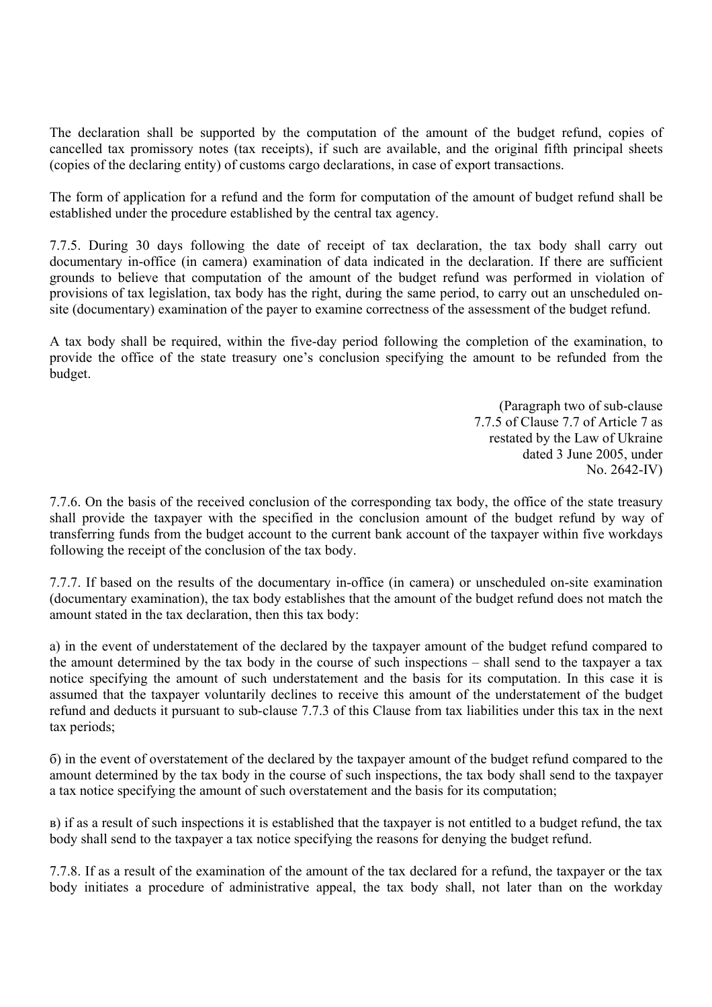The declaration shall be supported by the computation of the amount of the budget refund, copies of cancelled tax promissory notes (tax receipts), if such are available, and the original fifth principal sheets (copies of the declaring entity) of customs cargo declarations, in case of export transactions.

The form of application for a refund and the form for computation of the amount of budget refund shall be established under the procedure established by the central tax agency.

7.7.5. During 30 days following the date of receipt of tax declaration, the tax body shall carry out documentary in-office (in camera) examination of data indicated in the declaration. If there are sufficient grounds to believe that computation of the amount of the budget refund was performed in violation of provisions of tax legislation, tax body has the right, during the same period, to carry out an unscheduled onsite (documentary) examination of the payer to examine correctness of the assessment of the budget refund.

A tax body shall be required, within the five-day period following the completion of the examination, to provide the office of the state treasury one's conclusion specifying the amount to be refunded from the budget.

> (Paragraph two of sub-clause 7.7.5 of Clause 7.7 of Article 7 as restated by the Law of Ukraine dated 3 June 2005, under No. 2642-IV)

7.7.6. On the basis of the received conclusion of the corresponding tax body, the office of the state treasury shall provide the taxpayer with the specified in the conclusion amount of the budget refund by way of transferring funds from the budget account to the current bank account of the taxpayer within five workdays following the receipt of the conclusion of the tax body.

7.7.7. If based on the results of the documentary in-office (in camera) or unscheduled on-site examination (documentary examination), the tax body establishes that the amount of the budget refund does not match the amount stated in the tax declaration, then this tax body:

а) in the event of understatement of the declared by the taxpayer amount of the budget refund compared to the amount determined by the tax body in the course of such inspections – shall send to the taxpayer a tax notice specifying the amount of such understatement and the basis for its computation. In this case it is assumed that the taxpayer voluntarily declines to receive this amount of the understatement of the budget refund and deducts it pursuant to sub-clause 7.7.3 of this Clause from tax liabilities under this tax in the next tax periods;

б) in the event of overstatement of the declared by the taxpayer amount of the budget refund compared to the amount determined by the tax body in the course of such inspections, the tax body shall send to the taxpayer a tax notice specifying the amount of such overstatement and the basis for its computation;

в) if as a result of such inspections it is established that the taxpayer is not entitled to a budget refund, the tax body shall send to the taxpayer a tax notice specifying the reasons for denying the budget refund.

7.7.8. If as a result of the examination of the amount of the tax declared for a refund, the taxpayer or the tax body initiates a procedure of administrative appeal, the tax body shall, not later than on the workday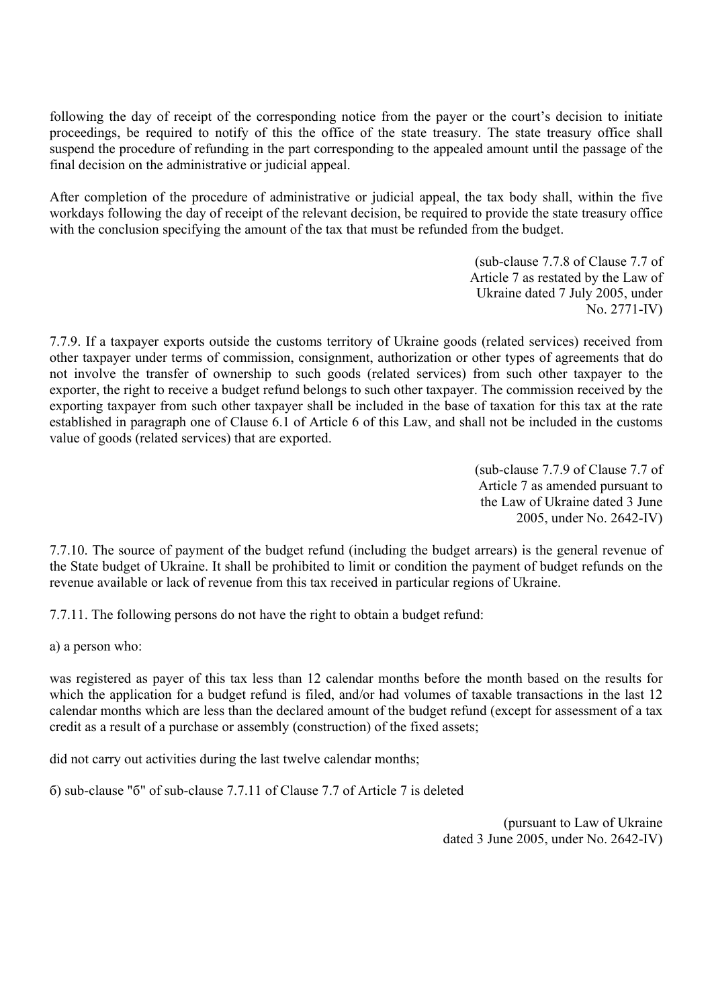following the day of receipt of the corresponding notice from the payer or the court's decision to initiate proceedings, be required to notify of this the office of the state treasury. The state treasury office shall suspend the procedure of refunding in the part corresponding to the appealed amount until the passage of the final decision on the administrative or judicial appeal.

After completion of the procedure of administrative or judicial appeal, the tax body shall, within the five workdays following the day of receipt of the relevant decision, be required to provide the state treasury office with the conclusion specifying the amount of the tax that must be refunded from the budget.

> (sub-clause 7.7.8 of Clause 7.7 of Article 7 as restated by the Law of Ukraine dated 7 July 2005, under No. 2771-IV)

7.7.9. If a taxpayer exports outside the customs territory of Ukraine goods (related services) received from other taxpayer under terms of commission, consignment, authorization or other types of agreements that do not involve the transfer of ownership to such goods (related services) from such other taxpayer to the exporter, the right to receive a budget refund belongs to such other taxpayer. The commission received by the exporting taxpayer from such other taxpayer shall be included in the base of taxation for this tax at the rate established in paragraph one of Clause 6.1 of Article 6 of this Law, and shall not be included in the customs value of goods (related services) that are exported.

> (sub-clause 7.7.9 of Clause 7.7 of Article 7 as amended pursuant to the Law of Ukraine dated 3 June 2005, under No. 2642-IV)

7.7.10. The source of payment of the budget refund (including the budget arrears) is the general revenue of the State budget of Ukraine. It shall be prohibited to limit or condition the payment of budget refunds on the revenue available or lack of revenue from this tax received in particular regions of Ukraine.

7.7.11. The following persons do not have the right to obtain a budget refund:

а) a person who:

was registered as payer of this tax less than 12 calendar months before the month based on the results for which the application for a budget refund is filed, and/or had volumes of taxable transactions in the last 12 calendar months which are less than the declared amount of the budget refund (except for assessment of a tax credit as a result of a purchase or assembly (construction) of the fixed assets;

did not carry out activities during the last twelve calendar months;

б) sub-clause "б" of sub-clause 7.7.11 of Clause 7.7 of Article 7 is deleted

(pursuant to Law of Ukraine dated 3 June 2005, under No. 2642-IV)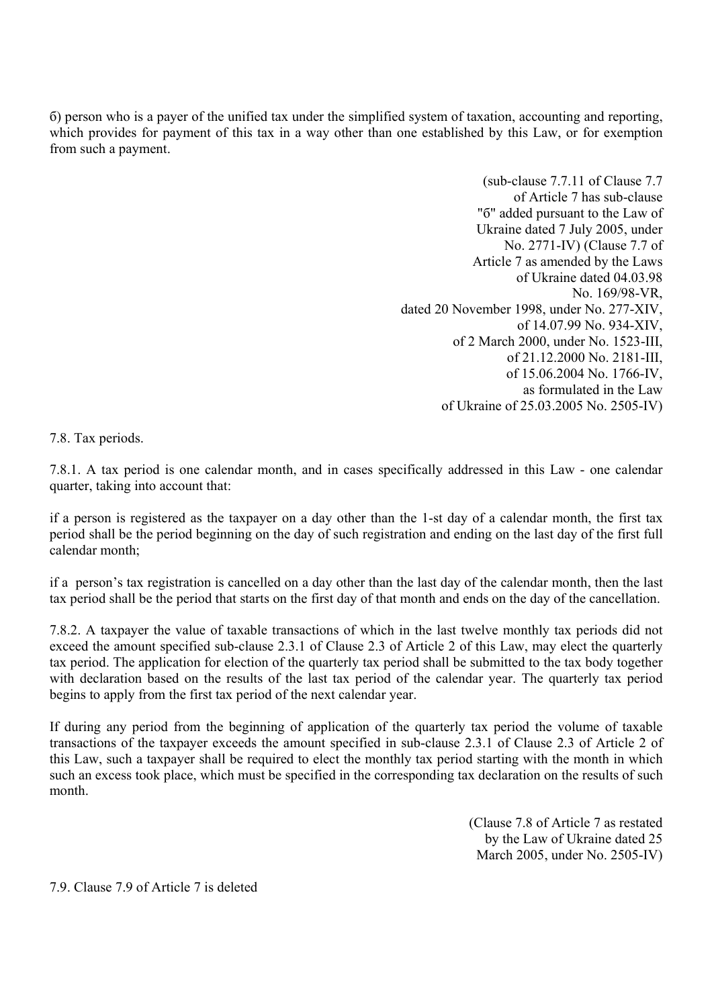б) person who is a payer of the unified tax under the simplified system of taxation, accounting and reporting, which provides for payment of this tax in a way other than one established by this Law, or for exemption from such a payment.

> (sub-clause 7.7.11 of Clause 7.7 of Article 7 has sub-clause "б" added pursuant to the Law of Ukraine dated 7 July 2005, under No. 2771-IV) (Clause 7.7 of Article 7 as amended by the Laws of Ukraine dated 04.03.98 No. 169/98-VR, dated 20 November 1998, under No. 277-XIV, of 14.07.99 No. 934-XIV, of 2 March 2000, under No. 1523-III, of 21.12.2000 No. 2181-III, of 15.06.2004 No. 1766-IV, as formulated in the Law of Ukraine of 25.03.2005 No. 2505-IV)

7.8. Tax periods.

7.8.1. A tax period is one calendar month, and in cases specifically addressed in this Law - one calendar quarter, taking into account that:

if a person is registered as the taxpayer on a day other than the 1-st day of a calendar month, the first tax period shall be the period beginning on the day of such registration and ending on the last day of the first full calendar month;

if a person's tax registration is cancelled on a day other than the last day of the calendar month, then the last tax period shall be the period that starts on the first day of that month and ends on the day of the cancellation.

7.8.2. A taxpayer the value of taxable transactions of which in the last twelve monthly tax periods did not exceed the amount specified sub-clause 2.3.1 of Clause 2.3 of Article 2 of this Law, may elect the quarterly tax period. The application for election of the quarterly tax period shall be submitted to the tax body together with declaration based on the results of the last tax period of the calendar year. The quarterly tax period begins to apply from the first tax period of the next calendar year.

If during any period from the beginning of application of the quarterly tax period the volume of taxable transactions of the taxpayer exceeds the amount specified in sub-clause 2.3.1 of Clause 2.3 of Article 2 of this Law, such a taxpayer shall be required to elect the monthly tax period starting with the month in which such an excess took place, which must be specified in the corresponding tax declaration on the results of such month.

> (Clause 7.8 of Article 7 as restated by the Law of Ukraine dated 25 March 2005, under No. 2505-IV)

7.9. Clause 7.9 of Article 7 is deleted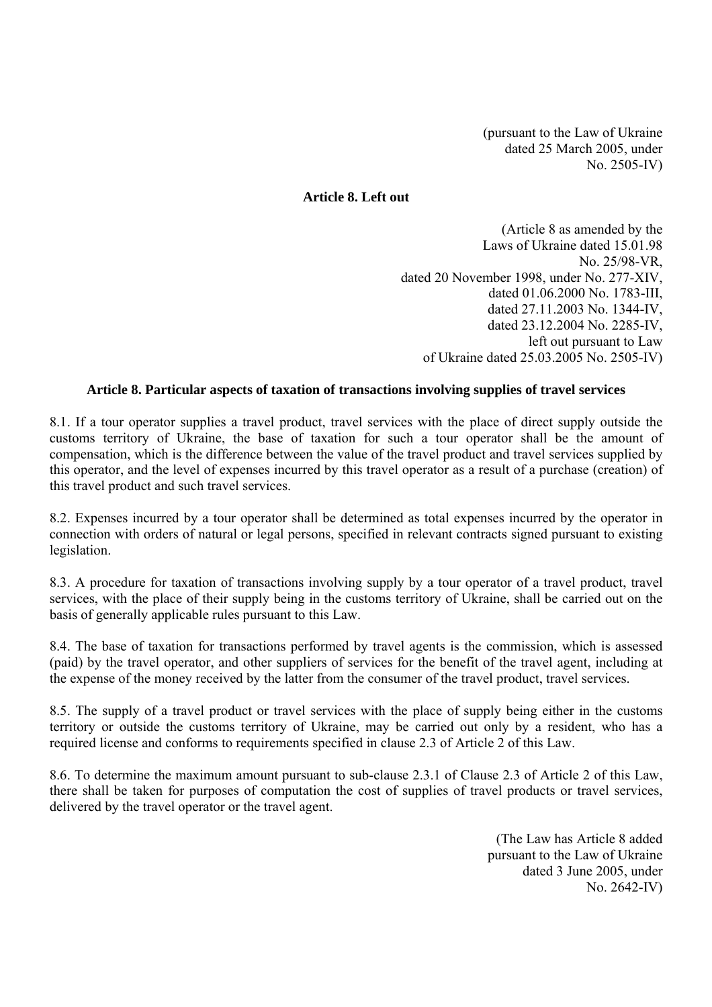(pursuant to the Law of Ukraine dated 25 March 2005, under No. 2505-IV)

## **Article 8. Left out**

(Article 8 as amended by the Laws of Ukraine dated 15.01.98 No. 25/98-VR, dated 20 November 1998, under No. 277-XIV, dated 01.06.2000 No. 1783-III, dated 27.11.2003 No. 1344-IV, dated 23.12.2004 No. 2285-IV, left out pursuant to Law of Ukraine dated 25.03.2005 No. 2505-IV)

## **Article 8. Particular aspects of taxation of transactions involving supplies of travel services**

8.1. If a tour operator supplies a travel product, travel services with the place of direct supply outside the customs territory of Ukraine, the base of taxation for such a tour operator shall be the amount of compensation, which is the difference between the value of the travel product and travel services supplied by this operator, and the level of expenses incurred by this travel operator as a result of a purchase (creation) of this travel product and such travel services.

8.2. Expenses incurred by a tour operator shall be determined as total expenses incurred by the operator in connection with orders of natural or legal persons, specified in relevant contracts signed pursuant to existing legislation.

8.3. A procedure for taxation of transactions involving supply by a tour operator of a travel product, travel services, with the place of their supply being in the customs territory of Ukraine, shall be carried out on the basis of generally applicable rules pursuant to this Law.

8.4. The base of taxation for transactions performed by travel agents is the commission, which is assessed (paid) by the travel operator, and other suppliers of services for the benefit of the travel agent, including at the expense of the money received by the latter from the consumer of the travel product, travel services.

8.5. The supply of a travel product or travel services with the place of supply being either in the customs territory or outside the customs territory of Ukraine, may be carried out only by a resident, who has a required license and conforms to requirements specified in clause 2.3 of Article 2 of this Law.

8.6. To determine the maximum amount pursuant to sub-clause 2.3.1 of Clause 2.3 of Article 2 of this Law, there shall be taken for purposes of computation the cost of supplies of travel products or travel services, delivered by the travel operator or the travel agent.

> (The Law has Article 8 added pursuant to the Law of Ukraine dated 3 June 2005, under No. 2642-IV)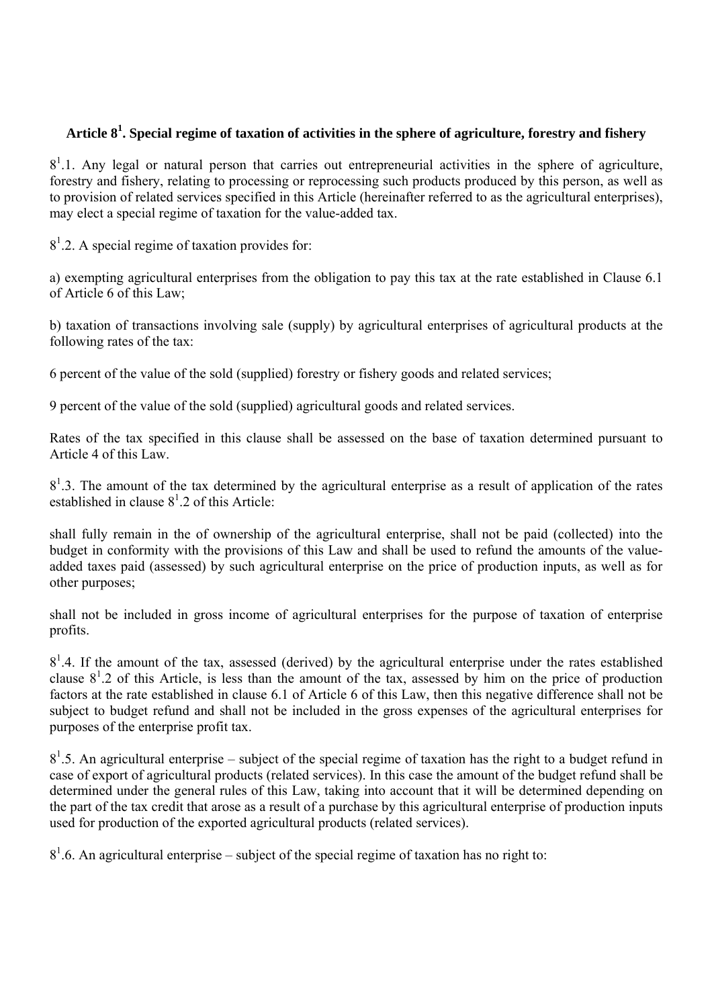# **Article 8<sup>1</sup> . Special regime of taxation of activities in the sphere of agriculture, forestry and fishery**

 $8<sup>1</sup>$ .1. Any legal or natural person that carries out entrepreneurial activities in the sphere of agriculture, forestry and fishery, relating to processing or reprocessing such products produced by this person, as well as to provision of related services specified in this Article (hereinafter referred to as the agricultural enterprises), may elect a special regime of taxation for the value-added tax.

 $8<sup>1</sup>$ .2. A special regime of taxation provides for:

а) exempting agricultural enterprises from the obligation to pay this tax at the rate established in Clause 6.1 of Article 6 of this Law;

b) taxation of transactions involving sale (supply) by agricultural enterprises of agricultural products at the following rates of the tax:

6 percent of the value of the sold (supplied) forestry or fishery goods and related services;

9 percent of the value of the sold (supplied) agricultural goods and related services.

Rates of the tax specified in this clause shall be assessed on the base of taxation determined pursuant to Article 4 of this Law.

 $8<sup>1</sup>$ .3. The amount of the tax determined by the agricultural enterprise as a result of application of the rates established in clause  $8^1.2$  of this Article:

shall fully remain in the of ownership of the agricultural enterprise, shall not be paid (collected) into the budget in conformity with the provisions of this Law and shall be used to refund the amounts of the valueadded taxes paid (assessed) by such agricultural enterprise on the price of production inputs, as well as for other purposes;

shall not be included in gross income of agricultural enterprises for the purpose of taxation of enterprise profits.

 $8<sup>1</sup>$ .4. If the amount of the tax, assessed (derived) by the agricultural enterprise under the rates established clause  $8<sup>1</sup>$ .2 of this Article, is less than the amount of the tax, assessed by him on the price of production factors at the rate established in clause 6.1 of Article 6 of this Law, then this negative difference shall not be subject to budget refund and shall not be included in the gross expenses of the agricultural enterprises for purposes of the enterprise profit tax.

 $8<sup>1</sup>$ .5. An agricultural enterprise – subject of the special regime of taxation has the right to a budget refund in case of export of agricultural products (related services). In this case the amount of the budget refund shall be determined under the general rules of this Law, taking into account that it will be determined depending on the part of the tax credit that arose as a result of a purchase by this agricultural enterprise of production inputs used for production of the exported agricultural products (related services).

 $8<sup>1</sup>$ .6. An agricultural enterprise – subject of the special regime of taxation has no right to: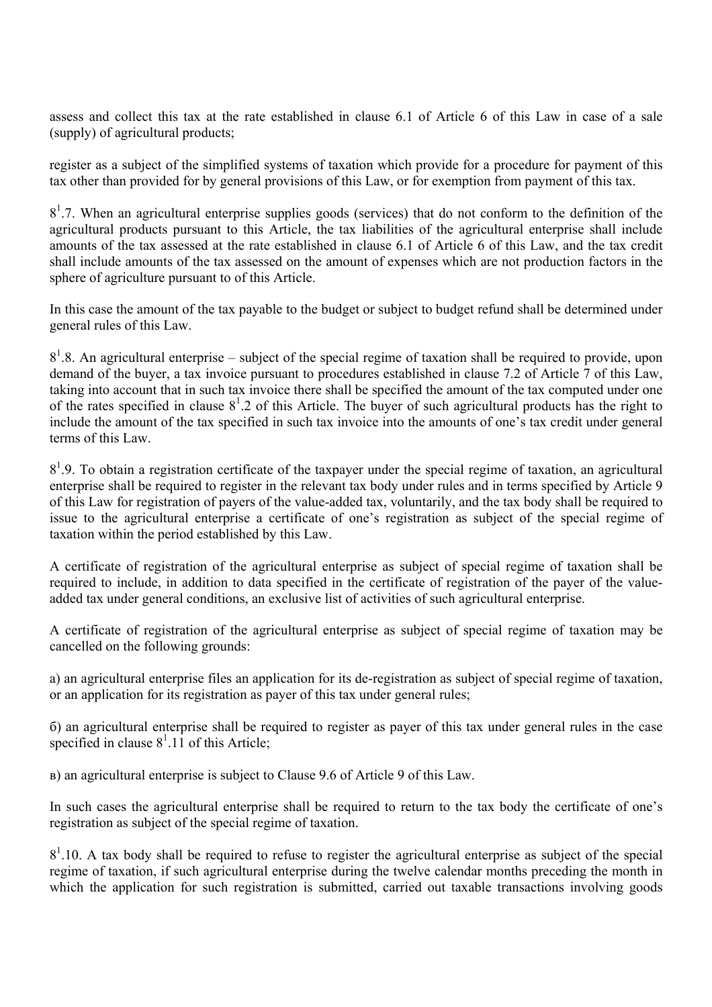assess and collect this tax at the rate established in clause 6.1 of Article 6 of this Law in case of a sale (supply) of agricultural products;

register as a subject of the simplified systems of taxation which provide for a procedure for payment of this tax other than provided for by general provisions of this Law, or for exemption from payment of this tax.

 $8<sup>1</sup>$ .7. When an agricultural enterprise supplies goods (services) that do not conform to the definition of the agricultural products pursuant to this Article, the tax liabilities of the agricultural enterprise shall include amounts of the tax assessed at the rate established in clause 6.1 of Article 6 of this Law, and the tax credit shall include amounts of the tax assessed on the amount of expenses which are not production factors in the sphere of agriculture pursuant to of this Article.

In this case the amount of the tax payable to the budget or subject to budget refund shall be determined under general rules of this Law.

 $8<sup>1</sup>$ .8. An agricultural enterprise – subject of the special regime of taxation shall be required to provide, upon demand of the buyer, a tax invoice pursuant to procedures established in clause 7.2 of Article 7 of this Law, taking into account that in such tax invoice there shall be specified the amount of the tax computed under one of the rates specified in clause  $8^1.2$  of this Article. The buyer of such agricultural products has the right to include the amount of the tax specified in such tax invoice into the amounts of one's tax credit under general terms of this Law.

 $8<sup>1</sup>$ . To obtain a registration certificate of the taxpayer under the special regime of taxation, an agricultural enterprise shall be required to register in the relevant tax body under rules and in terms specified by Article 9 of this Law for registration of payers of the value-added tax, voluntarily, and the tax body shall be required to issue to the agricultural enterprise a certificate of one's registration as subject of the special regime of taxation within the period established by this Law.

A certificate of registration of the agricultural enterprise as subject of special regime of taxation shall be required to include, in addition to data specified in the certificate of registration of the payer of the valueadded tax under general conditions, an exclusive list of activities of such agricultural enterprise.

A certificate of registration of the agricultural enterprise as subject of special regime of taxation may be cancelled on the following grounds:

а) an agricultural enterprise files an application for its de-registration as subject of special regime of taxation, or an application for its registration as payer of this tax under general rules;

б) an agricultural enterprise shall be required to register as payer of this tax under general rules in the case specified in clause  $8^1.11$  of this Article;

в) an agricultural enterprise is subject to Clause 9.6 of Article 9 of this Law.

In such cases the agricultural enterprise shall be required to return to the tax body the certificate of one's registration as subject of the special regime of taxation.

 $8<sup>1</sup>$ .10. A tax body shall be required to refuse to register the agricultural enterprise as subject of the special regime of taxation, if such agricultural enterprise during the twelve calendar months preceding the month in which the application for such registration is submitted, carried out taxable transactions involving goods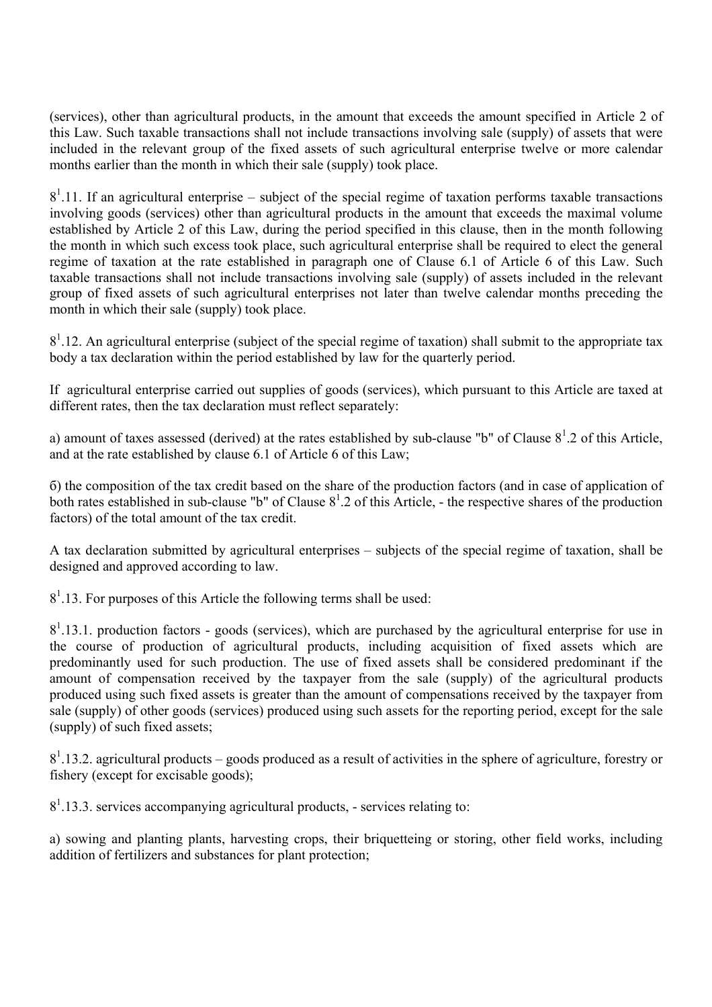(services), other than agricultural products, in the amount that exceeds the amount specified in Article 2 of this Law. Such taxable transactions shall not include transactions involving sale (supply) of assets that were included in the relevant group of the fixed assets of such agricultural enterprise twelve or more calendar months earlier than the month in which their sale (supply) took place.

 $8<sup>1</sup>$ .11. If an agricultural enterprise – subject of the special regime of taxation performs taxable transactions involving goods (services) other than agricultural products in the amount that exceeds the maximal volume established by Article 2 of this Law, during the period specified in this clause, then in the month following the month in which such excess took place, such agricultural enterprise shall be required to elect the general regime of taxation at the rate established in paragraph one of Clause 6.1 of Article 6 of this Law. Such taxable transactions shall not include transactions involving sale (supply) of assets included in the relevant group of fixed assets of such agricultural enterprises not later than twelve calendar months preceding the month in which their sale (supply) took place.

 $8<sup>1</sup>$ .12. An agricultural enterprise (subject of the special regime of taxation) shall submit to the appropriate tax body a tax declaration within the period established by law for the quarterly period.

If agricultural enterprise carried out supplies of goods (services), which pursuant to this Article are taxed at different rates, then the tax declaration must reflect separately:

a) amount of taxes assessed (derived) at the rates established by sub-clause "b" of Clause  $8^1.2$  of this Article, and at the rate established by clause 6.1 of Article 6 of this Law;

б) the composition of the tax credit based on the share of the production factors (and in case of application of both rates established in sub-clause "b" of Clause  $8<sup>1</sup>$ . 2 of this Article, - the respective shares of the production factors) of the total amount of the tax credit.

A tax declaration submitted by agricultural enterprises – subjects of the special regime of taxation, shall be designed and approved according to law.

 $8<sup>1</sup>$ .13. For purposes of this Article the following terms shall be used:

 $8<sup>1</sup>$ .13.1. production factors - goods (services), which are purchased by the agricultural enterprise for use in the course of production of agricultural products, including acquisition of fixed assets which are predominantly used for such production. The use of fixed assets shall be considered predominant if the amount of compensation received by the taxpayer from the sale (supply) of the agricultural products produced using such fixed assets is greater than the amount of compensations received by the taxpayer from sale (supply) of other goods (services) produced using such assets for the reporting period, except for the sale (supply) of such fixed assets;

 $8<sup>1</sup>$ .13.2. agricultural products – goods produced as a result of activities in the sphere of agriculture, forestry or fishery (except for excisable goods);

 $8<sup>1</sup>$ .13.3. services accompanying agricultural products, - services relating to:

а) sowing and planting plants, harvesting crops, their briquetteing or storing, other field works, including addition of fertilizers and substances for plant protection;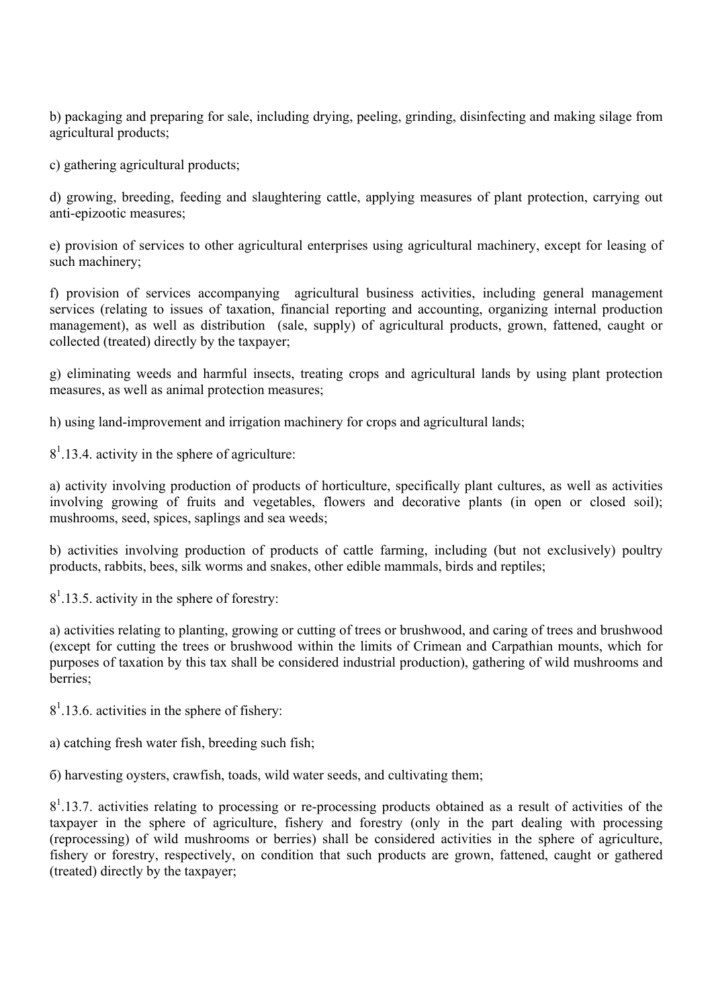b) packaging and preparing for sale, including drying, peeling, grinding, disinfecting and making silage from agricultural products;

c) gathering agricultural products;

d) growing, breeding, feeding and slaughtering cattle, applying measures of plant protection, carrying out anti-epizootic measures;

e) provision of services to other agricultural enterprises using agricultural machinery, except for leasing of such machinery;

f) provision of services accompanying agricultural business activities, including general management services (relating to issues of taxation, financial reporting and accounting, organizing internal production management), as well as distribution (sale, supply) of agricultural products, grown, fattened, caught or collected (treated) directly by the taxpayer;

g) eliminating weeds and harmful insects, treating crops and agricultural lands by using plant protection measures, as well as animal protection measures;

h) using land-improvement and irrigation machinery for crops and agricultural lands;

 $8<sup>1</sup>$ .13.4. activity in the sphere of agriculture:

а) activity involving production of products of horticulture, specifically plant cultures, as well as activities involving growing of fruits and vegetables, flowers and decorative plants (in open or closed soil); mushrooms, seed, spices, saplings and sea weeds;

b) activities involving production of products of cattle farming, including (but not exclusively) poultry products, rabbits, bees, silk worms and snakes, other edible mammals, birds and reptiles;

 $8<sup>1</sup>$ .13.5. activity in the sphere of forestry:

а) activities relating to planting, growing or cutting of trees or brushwood, and caring of trees and brushwood (except for cutting the trees or brushwood within the limits of Crimean and Carpathian mounts, which for purposes of taxation by this tax shall be considered industrial production), gathering of wild mushrooms and berries;

 $8<sup>1</sup>$ .13.6. activities in the sphere of fishery:

а) catching fresh water fish, breeding such fish;

б) harvesting oysters, crawfish, toads, wild water seeds, and cultivating them;

 $8<sup>1</sup>$ .13.7. activities relating to processing or re-processing products obtained as a result of activities of the taxpayer in the sphere of agriculture, fishery and forestry (only in the part dealing with processing (reprocessing) of wild mushrooms or berries) shall be considered activities in the sphere of agriculture, fishery or forestry, respectively, on condition that such products are grown, fattened, caught or gathered (treated) directly by the taxpayer;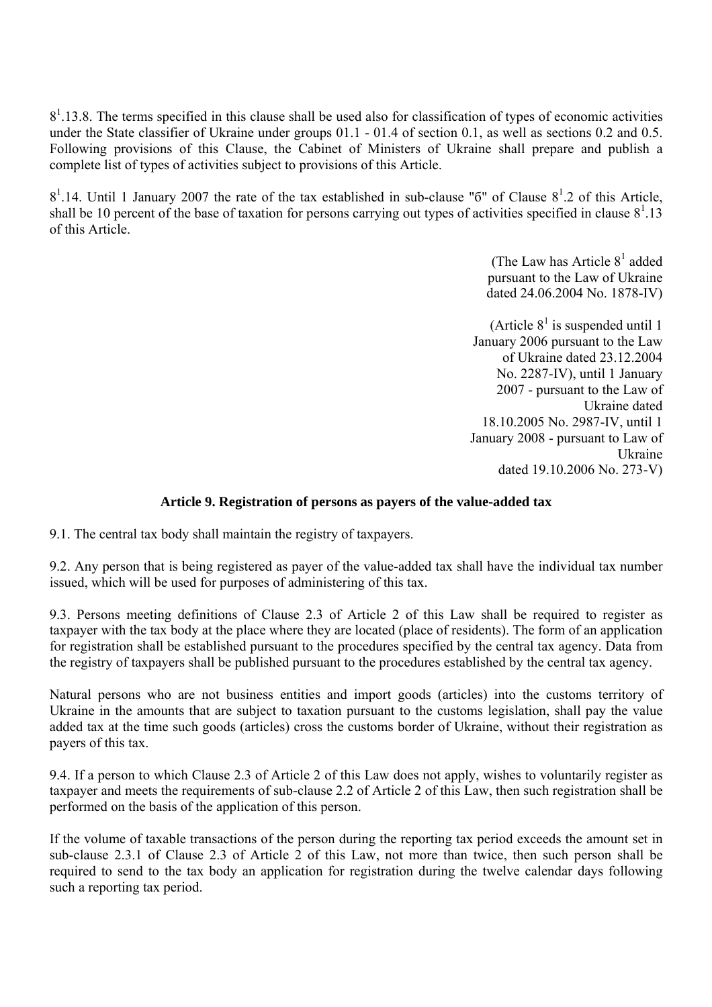$8<sup>1</sup>$ .13.8. The terms specified in this clause shall be used also for classification of types of economic activities under the State classifier of Ukraine under groups 01.1 - 01.4 of section 0.1, as well as sections 0.2 and 0.5. Following provisions of this Clause, the Cabinet of Ministers of Ukraine shall prepare and publish a complete list of types of activities subject to provisions of this Article.

 $8<sup>1</sup>$ .14. Until 1 January 2007 the rate of the tax established in sub-clause "6" of Clause  $8<sup>1</sup>$ .2 of this Article, shall be 10 percent of the base of taxation for persons carrying out types of activities specified in clause  $8^1.13$ of this Article.

> (The Law has Article  $8<sup>1</sup>$  added pursuant to the Law of Ukraine dated 24.06.2004 No. 1878-IV)

(Article  $8<sup>1</sup>$  is suspended until 1 January 2006 pursuant to the Law of Ukraine dated 23.12.2004 No. 2287-IV), until 1 January 2007 - pursuant to the Law of Ukraine dated 18.10.2005 No. 2987-IV, until 1 January 2008 - pursuant to Law of Ukraine dated 19.10.2006 No. 273-V)

# **Article 9. Registration of persons as payers of the value-added tax**

9.1. The central tax body shall maintain the registry of taxpayers.

9.2. Any person that is being registered as payer of the value-added tax shall have the individual tax number issued, which will be used for purposes of administering of this tax.

9.3. Persons meeting definitions of Clause 2.3 of Article 2 of this Law shall be required to register as taxpayer with the tax body at the place where they are located (place of residents). The form of an application for registration shall be established pursuant to the procedures specified by the central tax agency. Data from the registry of taxpayers shall be published pursuant to the procedures established by the central tax agency.

Natural persons who are not business entities and import goods (articles) into the customs territory of Ukraine in the amounts that are subject to taxation pursuant to the customs legislation, shall pay the value added tax at the time such goods (articles) cross the customs border of Ukraine, without their registration as payers of this tax.

9.4. If a person to which Clause 2.3 of Article 2 of this Law does not apply, wishes to voluntarily register as taxpayer and meets the requirements of sub-clause 2.2 of Article 2 of this Law, then such registration shall be performed on the basis of the application of this person.

If the volume of taxable transactions of the person during the reporting tax period exceeds the amount set in sub-clause 2.3.1 of Clause 2.3 of Article 2 of this Law, not more than twice, then such person shall be required to send to the tax body an application for registration during the twelve calendar days following such a reporting tax period.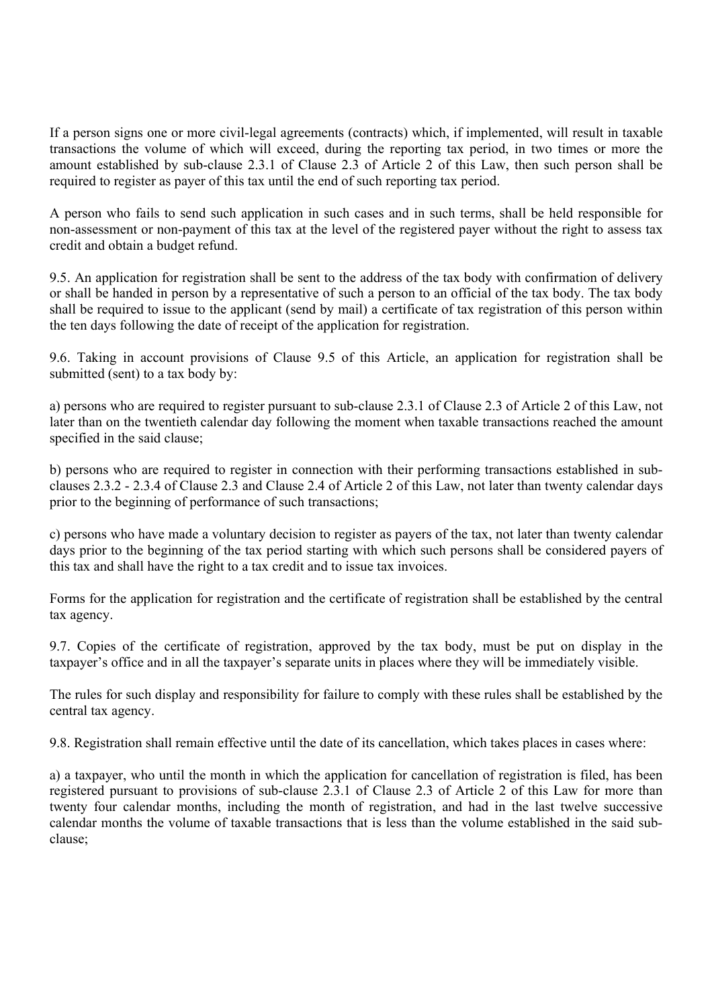If a person signs one or more civil-legal agreements (contracts) which, if implemented, will result in taxable transactions the volume of which will exceed, during the reporting tax period, in two times or more the amount established by sub-clause 2.3.1 of Clause 2.3 of Article 2 of this Law, then such person shall be required to register as payer of this tax until the end of such reporting tax period.

A person who fails to send such application in such cases and in such terms, shall be held responsible for non-assessment or non-payment of this tax at the level of the registered payer without the right to assess tax credit and obtain a budget refund.

9.5. An application for registration shall be sent to the address of the tax body with confirmation of delivery or shall be handed in person by a representative of such a person to an official of the tax body. The tax body shall be required to issue to the applicant (send by mail) a certificate of tax registration of this person within the ten days following the date of receipt of the application for registration.

9.6. Taking in account provisions of Clause 9.5 of this Article, an application for registration shall be submitted (sent) to a tax body by:

а) persons who are required to register pursuant to sub-clause 2.3.1 of Clause 2.3 of Article 2 of this Law, not later than on the twentieth calendar day following the moment when taxable transactions reached the amount specified in the said clause;

b) persons who are required to register in connection with their performing transactions established in subclauses 2.3.2 - 2.3.4 of Clause 2.3 and Clause 2.4 of Article 2 of this Law, not later than twenty calendar days prior to the beginning of performance of such transactions;

c) persons who have made a voluntary decision to register as payers of the tax, not later than twenty calendar days prior to the beginning of the tax period starting with which such persons shall be considered payers of this tax and shall have the right to a tax credit and to issue tax invoices.

Forms for the application for registration and the certificate of registration shall be established by the central tax agency.

9.7. Copies of the certificate of registration, approved by the tax body, must be put on display in the taxpayer's office and in all the taxpayer's separate units in places where they will be immediately visible.

The rules for such display and responsibility for failure to comply with these rules shall be established by the central tax agency.

9.8. Registration shall remain effective until the date of its cancellation, which takes places in cases where:

а) a taxpayer, who until the month in which the application for cancellation of registration is filed, has been registered pursuant to provisions of sub-clause 2.3.1 of Clause 2.3 of Article 2 of this Law for more than twenty four calendar months, including the month of registration, and had in the last twelve successive calendar months the volume of taxable transactions that is less than the volume established in the said subclause;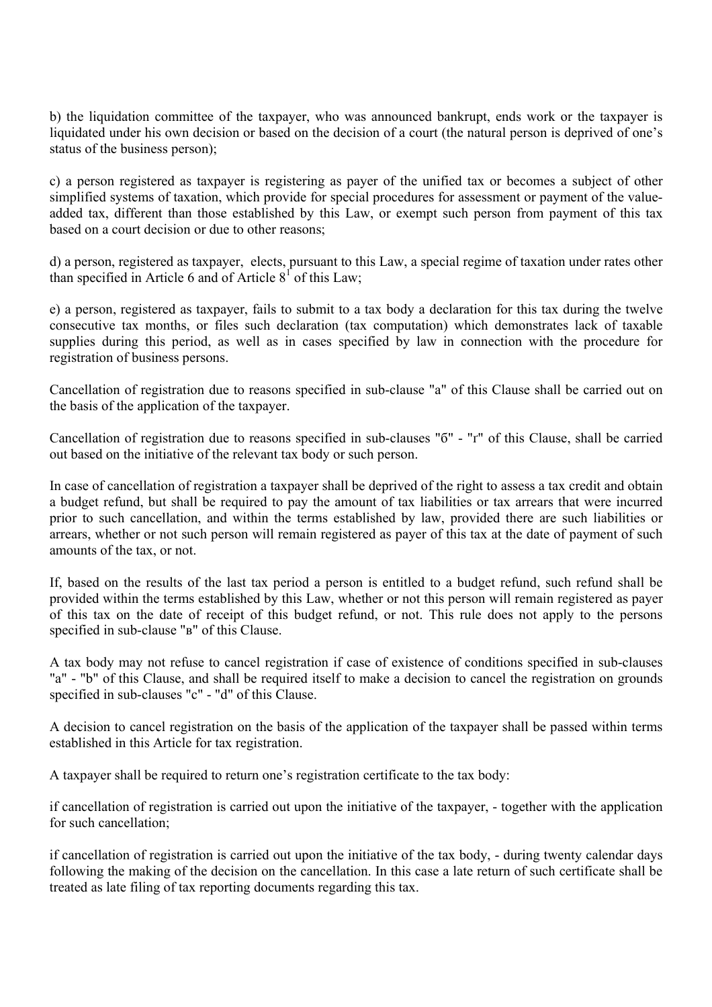b) the liquidation committee of the taxpayer, who was announced bankrupt, ends work or the taxpayer is liquidated under his own decision or based on the decision of a court (the natural person is deprived of one's status of the business person);

c) a person registered as taxpayer is registering as payer of the unified tax or becomes a subject of other simplified systems of taxation, which provide for special procedures for assessment or payment of the valueadded tax, different than those established by this Law, or exempt such person from payment of this tax based on a court decision or due to other reasons;

d) a person, registered as taxpayer, elects, pursuant to this Law, a special regime of taxation under rates other than specified in Article 6 and of Article  $8^1$  of this Law;

e) a person, registered as taxpayer, fails to submit to a tax body a declaration for this tax during the twelve consecutive tax months, or files such declaration (tax computation) which demonstrates lack of taxable supplies during this period, as well as in cases specified by law in connection with the procedure for registration of business persons.

Cancellation of registration due to reasons specified in sub-clause "а" of this Clause shall be carried out on the basis of the application of the taxpayer.

Cancellation of registration due to reasons specified in sub-clauses "б" - "ґ" of this Clause, shall be carried out based on the initiative of the relevant tax body or such person.

In case of cancellation of registration a taxpayer shall be deprived of the right to assess a tax credit and obtain a budget refund, but shall be required to pay the amount of tax liabilities or tax arrears that were incurred prior to such cancellation, and within the terms established by law, provided there are such liabilities or arrears, whether or not such person will remain registered as payer of this tax at the date of payment of such amounts of the tax, or not.

If, based on the results of the last tax period a person is entitled to a budget refund, such refund shall be provided within the terms established by this Law, whether or not this person will remain registered as payer of this tax on the date of receipt of this budget refund, or not. This rule does not apply to the persons specified in sub-clause "в" of this Clause.

A tax body may not refuse to cancel registration if case of existence of conditions specified in sub-clauses "а" - "b" of this Clause, and shall be required itself to make a decision to cancel the registration on grounds specified in sub-clauses "c" - "d" of this Clause.

A decision to cancel registration on the basis of the application of the taxpayer shall be passed within terms established in this Article for tax registration.

A taxpayer shall be required to return one's registration certificate to the tax body:

if cancellation of registration is carried out upon the initiative of the taxpayer, - together with the application for such cancellation;

if cancellation of registration is carried out upon the initiative of the tax body, - during twenty calendar days following the making of the decision on the cancellation. In this case a late return of such certificate shall be treated as late filing of tax reporting documents regarding this tax.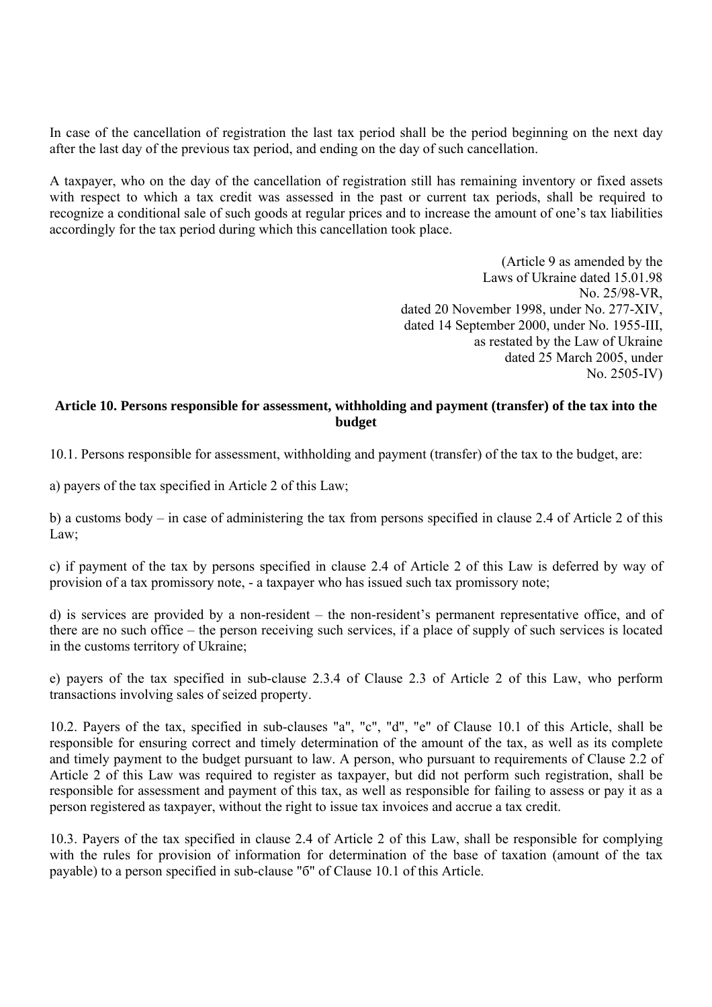In case of the cancellation of registration the last tax period shall be the period beginning on the next day after the last day of the previous tax period, and ending on the day of such cancellation.

A taxpayer, who on the day of the cancellation of registration still has remaining inventory or fixed assets with respect to which a tax credit was assessed in the past or current tax periods, shall be required to recognize a conditional sale of such goods at regular prices and to increase the amount of one's tax liabilities accordingly for the tax period during which this cancellation took place.

> (Article 9 as amended by the Laws of Ukraine dated 15.01.98 No. 25/98-VR, dated 20 November 1998, under No. 277-XIV, dated 14 September 2000, under No. 1955-III, as restated by the Law of Ukraine dated 25 March 2005, under No. 2505-IV)

# **Article 10. Persons responsible for assessment, withholding and payment (transfer) of the tax into the budget**

10.1. Persons responsible for assessment, withholding and payment (transfer) of the tax to the budget, are:

а) payers of the tax specified in Article 2 of this Law;

b) a customs body – in case of administering the tax from persons specified in clause 2.4 of Article 2 of this Law;

c) if payment of the tax by persons specified in clause 2.4 of Article 2 of this Law is deferred by way of provision of a tax promissory note, - a taxpayer who has issued such tax promissory note;

d) is services are provided by a non-resident – the non-resident's permanent representative office, and of there are no such office – the person receiving such services, if a place of supply of such services is located in the customs territory of Ukraine;

e) payers of the tax specified in sub-clause 2.3.4 of Clause 2.3 of Article 2 of this Law, who perform transactions involving sales of seized property.

10.2. Payers of the tax, specified in sub-clauses "а", "c", "d", "e" of Clause 10.1 of this Article, shall be responsible for ensuring correct and timely determination of the amount of the tax, as well as its complete and timely payment to the budget pursuant to law. A person, who pursuant to requirements of Clause 2.2 of Article 2 of this Law was required to register as taxpayer, but did not perform such registration, shall be responsible for assessment and payment of this tax, as well as responsible for failing to assess or pay it as a person registered as taxpayer, without the right to issue tax invoices and accrue a tax credit.

10.3. Payers of the tax specified in clause 2.4 of Article 2 of this Law, shall be responsible for complying with the rules for provision of information for determination of the base of taxation (amount of the tax payable) to a person specified in sub-clause "б" of Clause 10.1 of this Article.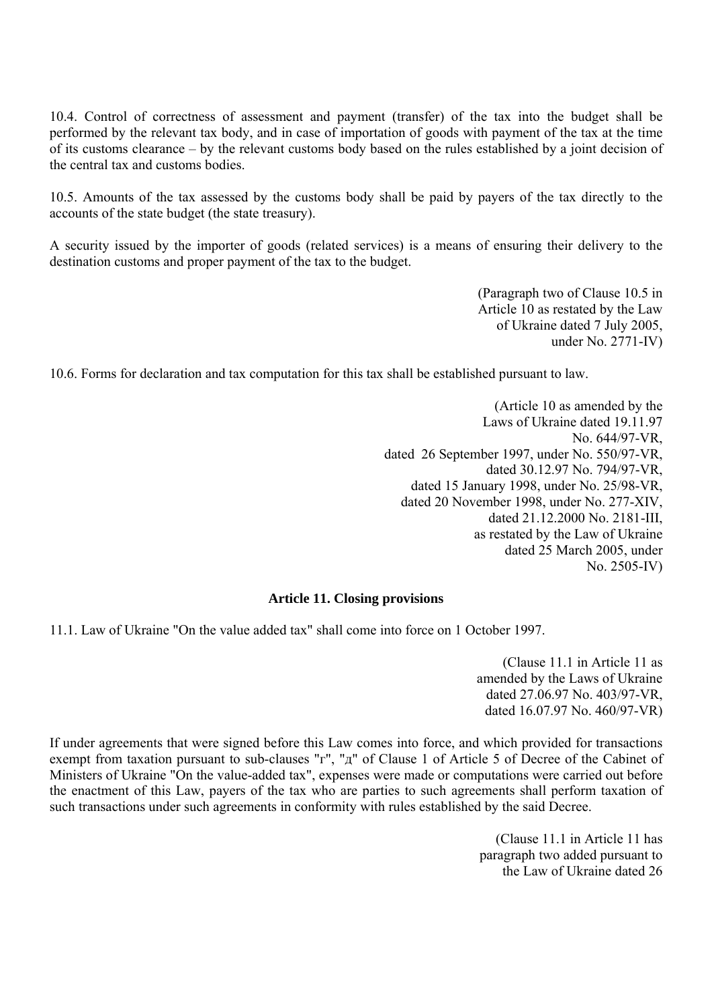10.4. Control of correctness of assessment and payment (transfer) of the tax into the budget shall be performed by the relevant tax body, and in case of importation of goods with payment of the tax at the time of its customs clearance – by the relevant customs body based on the rules established by a joint decision of the central tax and customs bodies.

10.5. Amounts of the tax assessed by the customs body shall be paid by payers of the tax directly to the accounts of the state budget (the state treasury).

A security issued by the importer of goods (related services) is a means of ensuring their delivery to the destination customs and proper payment of the tax to the budget.

> (Paragraph two of Clause 10.5 in Article 10 as restated by the Law of Ukraine dated 7 July 2005, under No. 2771-IV)

10.6. Forms for declaration and tax computation for this tax shall be established pursuant to law.

(Article 10 as amended by the Laws of Ukraine dated 19.11.97 No. 644/97-VR, dated 26 September 1997, under No. 550/97-VR, dated 30.12.97 No. 794/97-VR, dated 15 January 1998, under No. 25/98-VR, dated 20 November 1998, under No. 277-XIV, dated 21.12.2000 No. 2181-III, as restated by the Law of Ukraine dated 25 March 2005, under No. 2505-IV)

### **Article 11. Closing provisions**

11.1. Law of Ukraine "On the value added tax" shall come into force on 1 October 1997.

(Clause 11.1 in Article 11 as amended by the Laws of Ukraine dated 27.06.97 No. 403/97-VR, dated 16.07.97 No. 460/97-VR)

If under agreements that were signed before this Law comes into force, and which provided for transactions exempt from taxation pursuant to sub-clauses "г", "д" of Clause 1 of Article 5 of Decree of the Cabinet of Ministers of Ukraine "On the value-added tax", expenses were made or computations were carried out before the enactment of this Law, payers of the tax who are parties to such agreements shall perform taxation of such transactions under such agreements in conformity with rules established by the said Decree.

> (Clause 11.1 in Article 11 has paragraph two added pursuant to the Law of Ukraine dated 26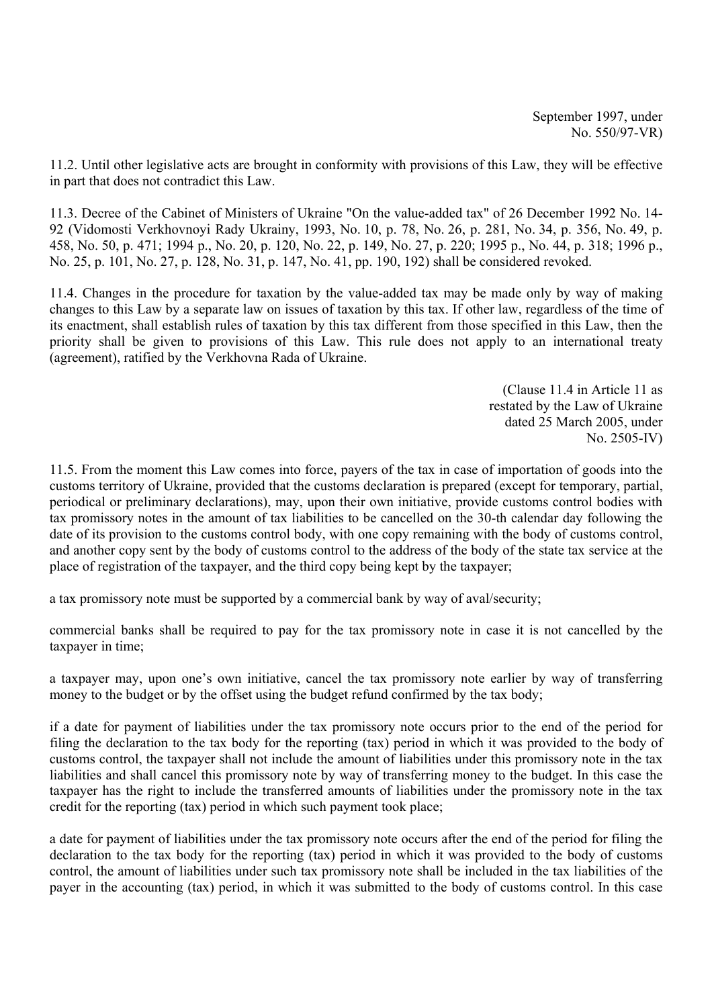September 1997, under No. 550/97-VR)

11.2. Until other legislative acts are brought in conformity with provisions of this Law, they will be effective in part that does not contradict this Law.

11.3. Decree of the Cabinet of Ministers of Ukraine "On the value-added tax" of 26 December 1992 No. 14- 92 (Vidomosti Verkhovnoyi Rady Ukrainy, 1993, No. 10, p. 78, No. 26, p. 281, No. 34, p. 356, No. 49, p. 458, No. 50, p. 471; 1994 р., No. 20, p. 120, No. 22, p. 149, No. 27, p. 220; 1995 р., No. 44, p. 318; 1996 р., No. 25, p. 101, No. 27, p. 128, No. 31, p. 147, No. 41, pp. 190, 192) shall be considered revoked.

11.4. Changes in the procedure for taxation by the value-added tax may be made only by way of making changes to this Law by a separate law on issues of taxation by this tax. If other law, regardless of the time of its enactment, shall establish rules of taxation by this tax different from those specified in this Law, then the priority shall be given to provisions of this Law. This rule does not apply to an international treaty (agreement), ratified by the Verkhovna Rada of Ukraine.

> (Clause 11.4 in Article 11 as restated by the Law of Ukraine dated 25 March 2005, under No. 2505-IV)

11.5. From the moment this Law comes into force, payers of the tax in case of importation of goods into the customs territory of Ukraine, provided that the customs declaration is prepared (except for temporary, partial, periodical or preliminary declarations), may, upon their own initiative, provide customs control bodies with tax promissory notes in the amount of tax liabilities to be cancelled on the 30-th calendar day following the date of its provision to the customs control body, with one copy remaining with the body of customs control, and another copy sent by the body of customs control to the address of the body of the state tax service at the place of registration of the taxpayer, and the third copy being kept by the taxpayer;

a tax promissory note must be supported by a commercial bank by way of aval/security;

commercial banks shall be required to pay for the tax promissory note in case it is not cancelled by the taxpayer in time;

a taxpayer may, upon one's own initiative, cancel the tax promissory note earlier by way of transferring money to the budget or by the offset using the budget refund confirmed by the tax body;

if a date for payment of liabilities under the tax promissory note occurs prior to the end of the period for filing the declaration to the tax body for the reporting (tax) period in which it was provided to the body of customs control, the taxpayer shall not include the amount of liabilities under this promissory note in the tax liabilities and shall cancel this promissory note by way of transferring money to the budget. In this case the taxpayer has the right to include the transferred amounts of liabilities under the promissory note in the tax credit for the reporting (tax) period in which such payment took place;

a date for payment of liabilities under the tax promissory note occurs after the end of the period for filing the declaration to the tax body for the reporting (tax) period in which it was provided to the body of customs control, the amount of liabilities under such tax promissory note shall be included in the tax liabilities of the payer in the accounting (tax) period, in which it was submitted to the body of customs control. In this case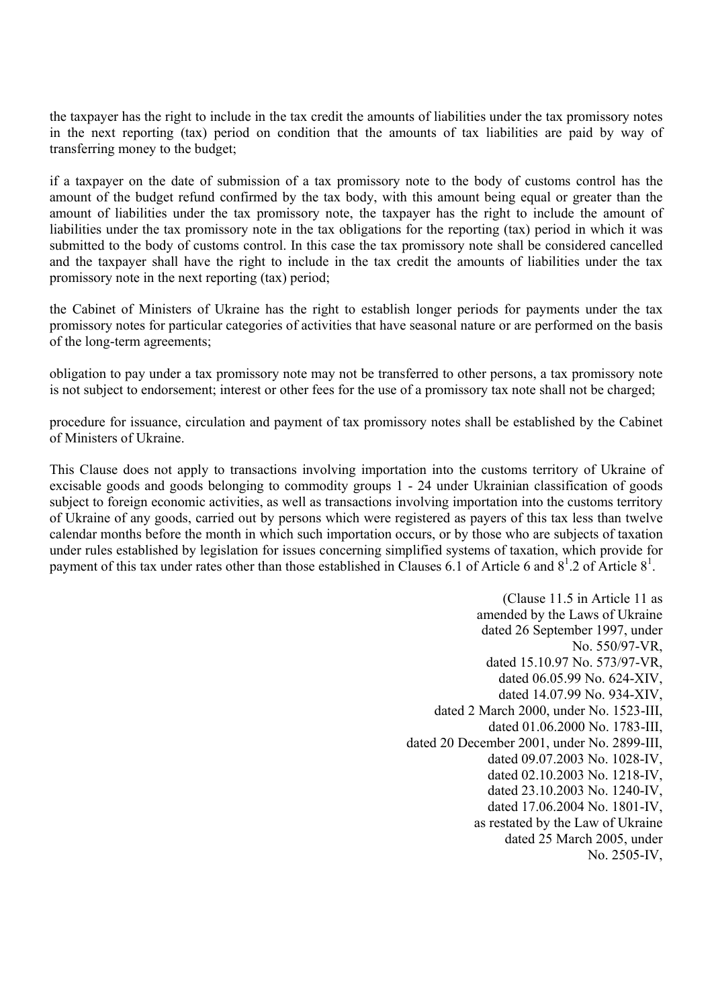the taxpayer has the right to include in the tax credit the amounts of liabilities under the tax promissory notes in the next reporting (tax) period on condition that the amounts of tax liabilities are paid by way of transferring money to the budget;

if a taxpayer on the date of submission of a tax promissory note to the body of customs control has the amount of the budget refund confirmed by the tax body, with this amount being equal or greater than the amount of liabilities under the tax promissory note, the taxpayer has the right to include the amount of liabilities under the tax promissory note in the tax obligations for the reporting (tax) period in which it was submitted to the body of customs control. In this case the tax promissory note shall be considered cancelled and the taxpayer shall have the right to include in the tax credit the amounts of liabilities under the tax promissory note in the next reporting (tax) period;

the Cabinet of Ministers of Ukraine has the right to establish longer periods for payments under the tax promissory notes for particular categories of activities that have seasonal nature or are performed on the basis of the long-term agreements;

obligation to pay under a tax promissory note may not be transferred to other persons, a tax promissory note is not subject to endorsement; interest or other fees for the use of a promissory tax note shall not be charged;

procedure for issuance, circulation and payment of tax promissory notes shall be established by the Cabinet of Ministers of Ukraine.

This Clause does not apply to transactions involving importation into the customs territory of Ukraine of excisable goods and goods belonging to commodity groups 1 - 24 under Ukrainian classification of goods subject to foreign economic activities, as well as transactions involving importation into the customs territory of Ukraine of any goods, carried out by persons which were registered as payers of this tax less than twelve calendar months before the month in which such importation occurs, or by those who are subjects of taxation under rules established by legislation for issues concerning simplified systems of taxation, which provide for payment of this tax under rates other than those established in Clauses 6.1 of Article 6 and  $8^1$ . 2 of Article  $8^1$ .

> (Clause 11.5 in Article 11 as amended by the Laws of Ukraine dated 26 September 1997, under No. 550/97-VR, dated 15.10.97 No. 573/97-VR, dated 06.05.99 No. 624-XIV, dated 14.07.99 No. 934-XIV, dated 2 March 2000, under No. 1523-III, dated 01.06.2000 No. 1783-III, dated 20 December 2001, under No. 2899-III, dated 09.07.2003 No. 1028-IV, dated 02.10.2003 No. 1218-IV, dated 23.10.2003 No. 1240-IV, dated 17.06.2004 No. 1801-IV, as restated by the Law of Ukraine dated 25 March 2005, under No. 2505-IV,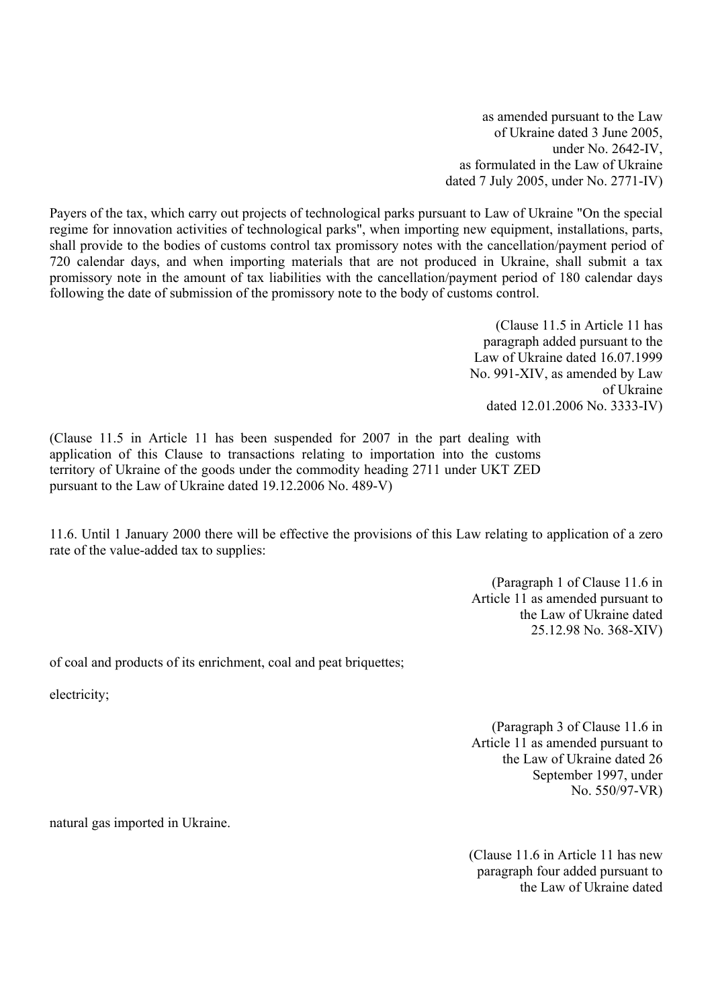as amended pursuant to the Law of Ukraine dated 3 June 2005, under No. 2642-IV, as formulated in the Law of Ukraine dated 7 July 2005, under No. 2771-IV)

Payers of the tax, which carry out projects of technological parks pursuant to Law of Ukraine "On the special regime for innovation activities of technological parks", when importing new equipment, installations, parts, shall provide to the bodies of customs control tax promissory notes with the cancellation/payment period of 720 calendar days, and when importing materials that are not produced in Ukraine, shall submit a tax promissory note in the amount of tax liabilities with the cancellation/payment period of 180 calendar days following the date of submission of the promissory note to the body of customs control.

> (Clause 11.5 in Article 11 has paragraph added pursuant to the Law of Ukraine dated 16.07.1999 No. 991-XIV, as amended by Law of Ukraine dated 12.01.2006 No. 3333-IV)

(Clause 11.5 in Article 11 has been suspended for 2007 in the part dealing with application of this Clause to transactions relating to importation into the customs territory of Ukraine of the goods under the commodity heading 2711 under UKT ZED pursuant to the Law of Ukraine dated 19.12.2006 No. 489-V)

11.6. Until 1 January 2000 there will be effective the provisions of this Law relating to application of a zero rate of the value-added tax to supplies:

> (Paragraph 1 of Clause 11.6 in Article 11 as amended pursuant to the Law of Ukraine dated 25.12.98 No. 368-XIV)

of coal and products of its enrichment, coal and peat briquettes;

electricity;

(Paragraph 3 of Clause 11.6 in Article 11 as amended pursuant to the Law of Ukraine dated 26 September 1997, under No. 550/97-VR)

natural gas imported in Ukraine.

(Clause 11.6 in Article 11 has new paragraph four added pursuant to the Law of Ukraine dated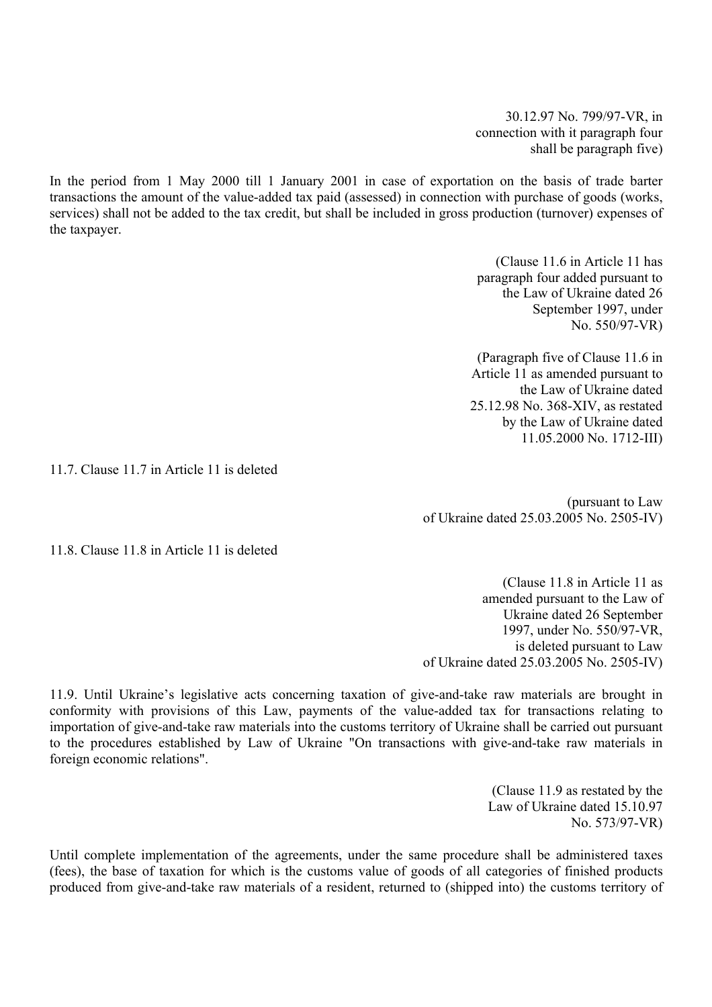30.12.97 No. 799/97-VR, in connection with it paragraph four shall be paragraph five)

In the period from 1 May 2000 till 1 January 2001 in case of exportation on the basis of trade barter transactions the amount of the value-added tax paid (assessed) in connection with purchase of goods (works, services) shall not be added to the tax credit, but shall be included in gross production (turnover) expenses of the taxpayer.

> (Clause 11.6 in Article 11 has paragraph four added pursuant to the Law of Ukraine dated 26 September 1997, under No. 550/97-VR)

(Paragraph five of Clause 11.6 in Article 11 as amended pursuant to the Law of Ukraine dated 25.12.98 No. 368-XIV, as restated by the Law of Ukraine dated 11.05.2000 No. 1712-III)

11.7. Clause 11.7 in Article 11 is deleted

(pursuant to Law of Ukraine dated 25.03.2005 No. 2505-IV)

11.8. Clause 11.8 in Article 11 is deleted

(Clause 11.8 in Article 11 as amended pursuant to the Law of Ukraine dated 26 September 1997, under No. 550/97-VR, is deleted pursuant to Law of Ukraine dated 25.03.2005 No. 2505-IV)

11.9. Until Ukraine's legislative acts concerning taxation of give-and-take raw materials are brought in conformity with provisions of this Law, payments of the value-added tax for transactions relating to importation of give-and-take raw materials into the customs territory of Ukraine shall be carried out pursuant to the procedures established by Law of Ukraine "On transactions with give-and-take raw materials in foreign economic relations".

> (Clause 11.9 as restated by the Law of Ukraine dated 15.10.97 No. 573/97-VR)

Until complete implementation of the agreements, under the same procedure shall be administered taxes (fees), the base of taxation for which is the customs value of goods of all categories of finished products produced from give-and-take raw materials of a resident, returned to (shipped into) the customs territory of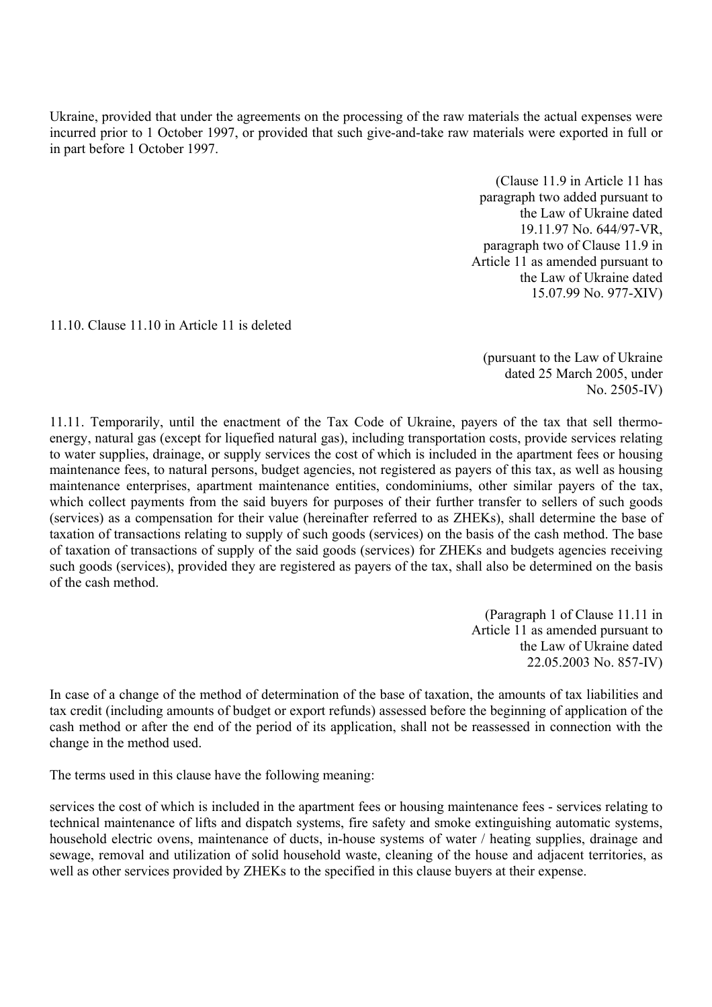Ukraine, provided that under the agreements on the processing of the raw materials the actual expenses were incurred prior to 1 October 1997, or provided that such give-and-take raw materials were exported in full or in part before 1 October 1997.

> (Clause 11.9 in Article 11 has paragraph two added pursuant to the Law of Ukraine dated 19.11.97 No. 644/97-VR, paragraph two of Clause 11.9 in Article 11 as amended pursuant to the Law of Ukraine dated 15.07.99 No. 977-XIV)

11.10. Clause 11.10 in Article 11 is deleted

(pursuant to the Law of Ukraine dated 25 March 2005, under No. 2505-IV)

11.11. Temporarily, until the enactment of the Tax Code of Ukraine, payers of the tax that sell thermoenergy, natural gas (except for liquefied natural gas), including transportation costs, provide services relating to water supplies, drainage, or supply services the cost of which is included in the apartment fees or housing maintenance fees, to natural persons, budget agencies, not registered as payers of this tax, as well as housing maintenance enterprises, apartment maintenance entities, condominiums, other similar payers of the tax, which collect payments from the said buyers for purposes of their further transfer to sellers of such goods (services) as a compensation for their value (hereinafter referred to as ZHEKs), shall determine the base of taxation of transactions relating to supply of such goods (services) on the basis of the cash method. The base of taxation of transactions of supply of the said goods (services) for ZHEKs and budgets agencies receiving such goods (services), provided they are registered as payers of the tax, shall also be determined on the basis of the cash method.

> (Paragraph 1 of Clause 11.11 in Article 11 as amended pursuant to the Law of Ukraine dated 22.05.2003 No. 857-IV)

In case of a change of the method of determination of the base of taxation, the amounts of tax liabilities and tax credit (including amounts of budget or export refunds) assessed before the beginning of application of the cash method or after the end of the period of its application, shall not be reassessed in connection with the change in the method used.

The terms used in this clause have the following meaning:

services the cost of which is included in the apartment fees or housing maintenance fees - services relating to technical maintenance of lifts and dispatch systems, fire safety and smoke extinguishing automatic systems, household electric ovens, maintenance of ducts, in-house systems of water / heating supplies, drainage and sewage, removal and utilization of solid household waste, cleaning of the house and adjacent territories, as well as other services provided by ZHEKs to the specified in this clause buyers at their expense.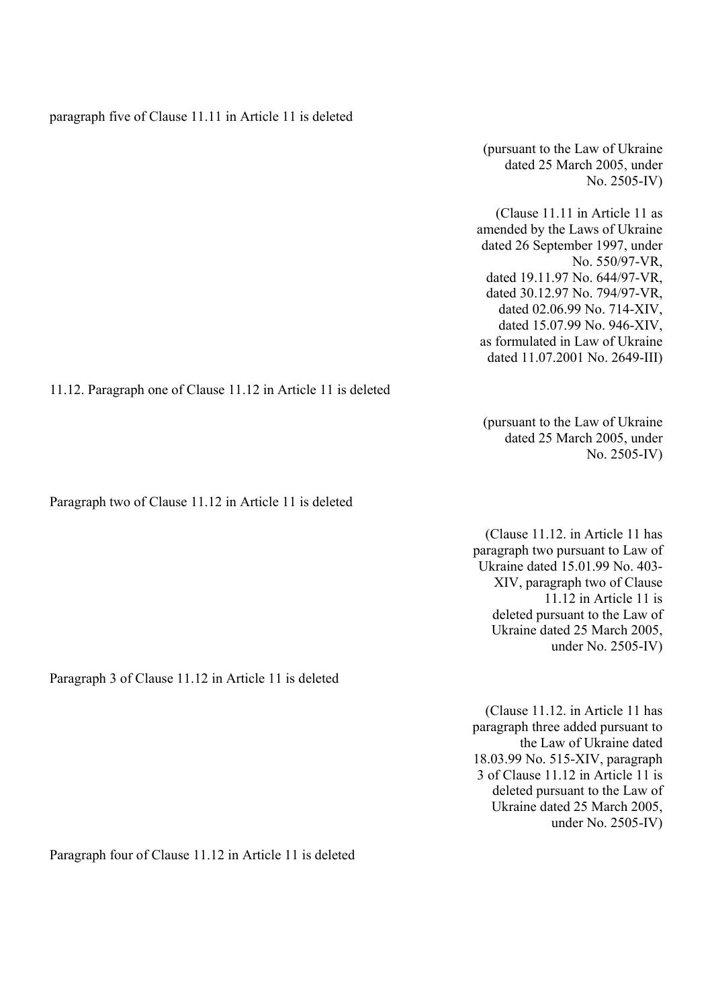paragraph five of Clause 11.11 in Article 11 is deleted

(pursuant to the Law of Ukraine dated 25 March 2005, under No. 2505-IV)

(Clause 11.11 in Article 11 as amended by the Laws of Ukraine dated 26 September 1997, under No. 550/97-VR, dated 19.11.97 No. 644/97-VR, dated 30.12.97 No. 794/97-VR, dated 02.06.99 No. 714-XIV, dated 15.07.99 No. 946-XIV, as formulated in Law of Ukraine dated 11.07.2001 No. 2649-III)

 (pursuant to the Law of Ukraine dated 25 March 2005, under

11.12. Paragraph one of Clause 11.12 in Article 11 is deleted

Paragraph two of Clause 11.12 in Article 11 is deleted

paragraph two pursuant to Law of Ukraine dated 15.01.99 No. 403- XIV, paragraph two of Clause 11.12 in Article 11 is deleted pursuant to the Law of Ukraine dated 25 March 2005, under No. 2505-IV)

(Clause 11.12. in Article 11 has paragraph three added pursuant to the Law of Ukraine dated 18.03.99 No. 515-XIV, paragraph 3 of Clause 11.12 in Article 11 is deleted pursuant to the Law of Ukraine dated 25 March 2005, under No. 2505-IV)

Paragraph four of Clause 11.12 in Article 11 is deleted

Paragraph 3 of Clause 11.12 in Article 11 is deleted

No. 2505-IV) (Clause 11.12. in Article 11 has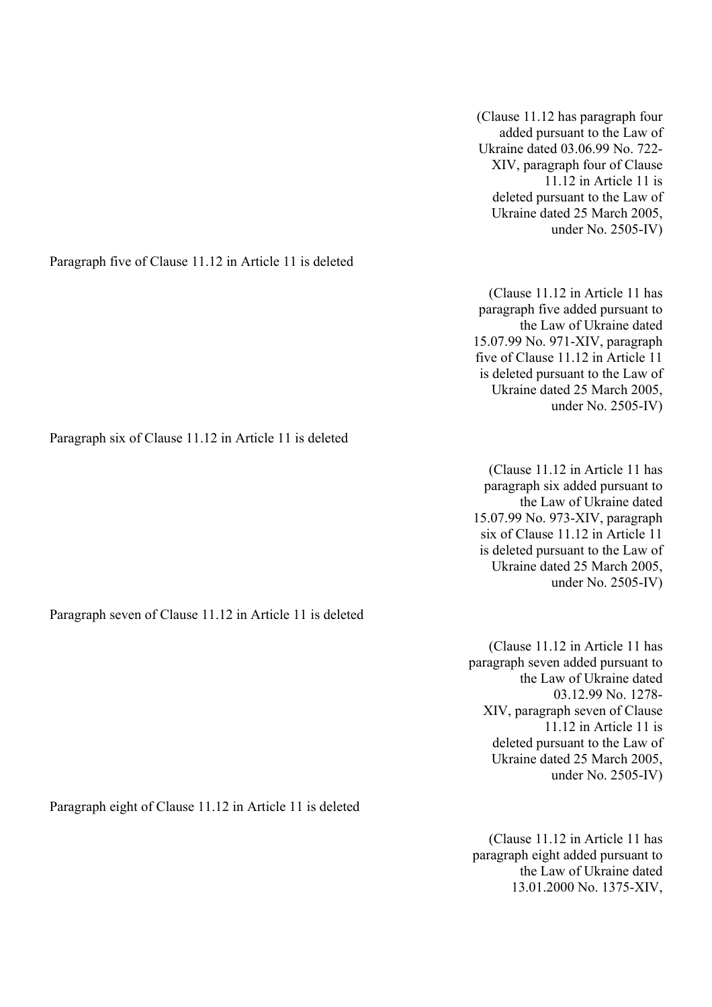(Clause 11.12 has paragraph four added pursuant to the Law of Ukraine dated 03.06.99 No. 722- XIV, paragraph four of Clause 11.12 in Article 11 is deleted pursuant to the Law of Ukraine dated 25 March 2005, under No. 2505-IV)

(Clause 11.12 in Article 11 has paragraph five added pursuant to the Law of Ukraine dated 15.07.99 No. 971-XIV, paragraph five of Clause 11.12 in Article 11 is deleted pursuant to the Law of Ukraine dated 25 March 2005, under No. 2505-IV)

(Clause 11.12 in Article 11 has paragraph six added pursuant to the Law of Ukraine dated 15.07.99 No. 973-XIV, paragraph six of Clause 11.12 in Article 11 is deleted pursuant to the Law of Ukraine dated 25 March 2005, under No. 2505-IV)

(Clause 11.12 in Article 11 has paragraph seven added pursuant to the Law of Ukraine dated 03.12.99 No. 1278- XIV, paragraph seven of Clause 11.12 in Article 11 is deleted pursuant to the Law of Ukraine dated 25 March 2005, under No. 2505-IV)

(Clause 11.12 in Article 11 has paragraph eight added pursuant to the Law of Ukraine dated 13.01.2000 No. 1375-XIV,

Paragraph five of Clause 11.12 in Article 11 is deleted

Paragraph six of Clause 11.12 in Article 11 is deleted

Paragraph seven of Clause 11.12 in Article 11 is deleted

Paragraph eight of Clause 11.12 in Article 11 is deleted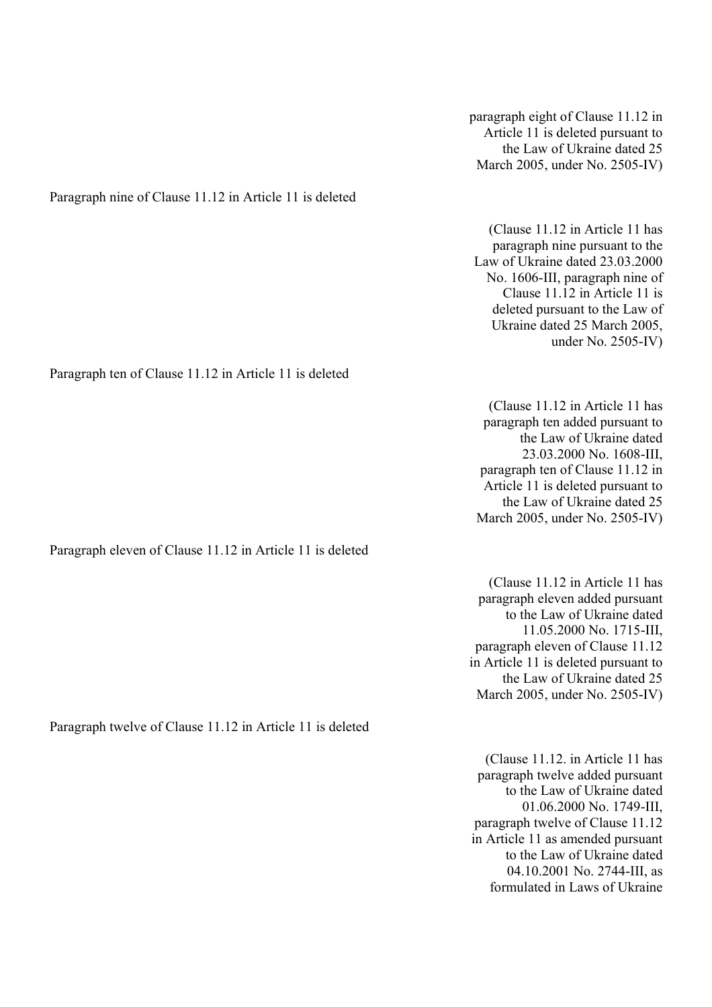paragraph eight of Clause 11.12 in Article 11 is deleted pursuant to the Law of Ukraine dated 25 March 2005, under No. 2505-IV)

Paragraph nine of Clause 11.12 in Article 11 is deleted

(Clause 11.12 in Article 11 has paragraph nine pursuant to the Law of Ukraine dated 23.03.2000 No. 1606-III, paragraph nine of Clause 11.12 in Article 11 is deleted pursuant to the Law of Ukraine dated 25 March 2005, under No. 2505-IV)

(Clause 11.12 in Article 11 has paragraph ten added pursuant to the Law of Ukraine dated 23.03.2000 No. 1608-III, paragraph ten of Clause 11.12 in Article 11 is deleted pursuant to the Law of Ukraine dated 25 March 2005, under No. 2505-IV)

(Clause 11.12 in Article 11 has paragraph eleven added pursuant to the Law of Ukraine dated 11.05.2000 No. 1715-III, paragraph eleven of Clause 11.12 in Article 11 is deleted pursuant to the Law of Ukraine dated 25 March 2005, under No. 2505-IV)

(Clause 11.12. in Article 11 has paragraph twelve added pursuant to the Law of Ukraine dated 01.06.2000 No. 1749-III, paragraph twelve of Clause 11.12 in Article 11 as amended pursuant to the Law of Ukraine dated 04.10.2001 No. 2744-III, as formulated in Laws of Ukraine

Paragraph ten of Clause 11.12 in Article 11 is deleted

Paragraph eleven of Clause 11.12 in Article 11 is deleted

Paragraph twelve of Clause 11.12 in Article 11 is deleted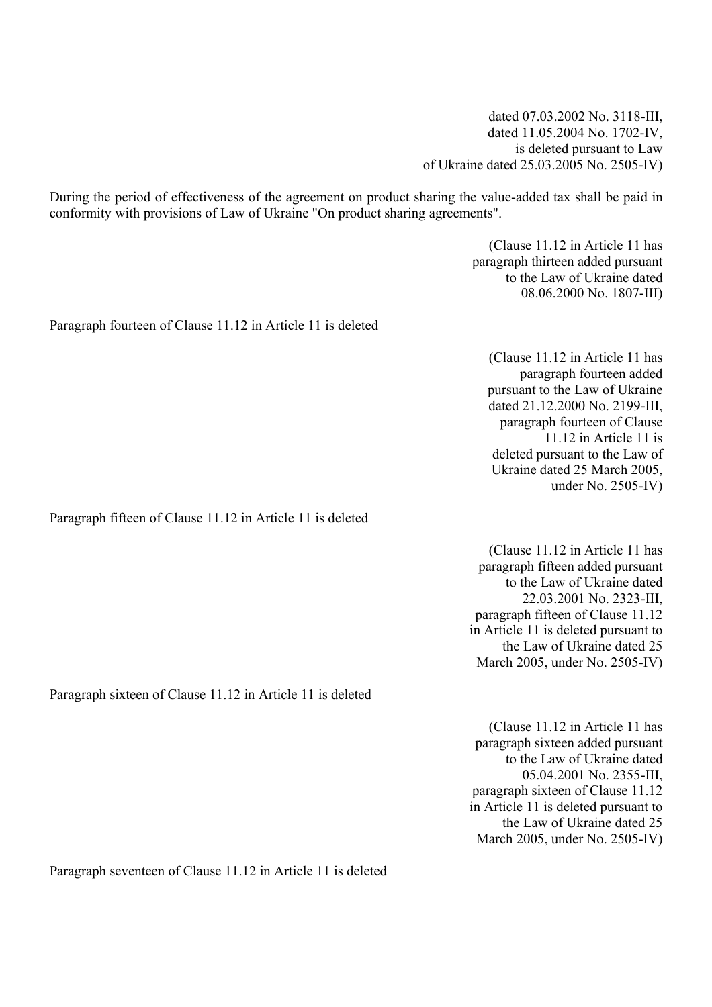dated 07.03.2002 No. 3118-III, dated 11.05.2004 No. 1702-IV, is deleted pursuant to Law of Ukraine dated 25.03.2005 No. 2505-IV)

During the period of effectiveness of the agreement on product sharing the value-added tax shall be paid in conformity with provisions of Law of Ukraine "On product sharing agreements".

> (Clause 11.12 in Article 11 has paragraph thirteen added pursuant to the Law of Ukraine dated 08.06.2000 No. 1807-III)

Paragraph fourteen of Clause 11.12 in Article 11 is deleted

(Clause 11.12 in Article 11 has paragraph fourteen added pursuant to the Law of Ukraine dated 21.12.2000 No. 2199-III, paragraph fourteen of Clause 11.12 in Article 11 is deleted pursuant to the Law of Ukraine dated 25 March 2005, under No. 2505-IV)

Paragraph fifteen of Clause 11.12 in Article 11 is deleted

(Clause 11.12 in Article 11 has paragraph fifteen added pursuant to the Law of Ukraine dated 22.03.2001 No. 2323-III, paragraph fifteen of Clause 11.12 in Article 11 is deleted pursuant to the Law of Ukraine dated 25 March 2005, under No. 2505-IV)

Paragraph sixteen of Clause 11.12 in Article 11 is deleted

(Clause 11.12 in Article 11 has paragraph sixteen added pursuant to the Law of Ukraine dated 05.04.2001 No. 2355-III, paragraph sixteen of Clause 11.12 in Article 11 is deleted pursuant to the Law of Ukraine dated 25 March 2005, under No. 2505-IV)

Paragraph seventeen of Clause 11.12 in Article 11 is deleted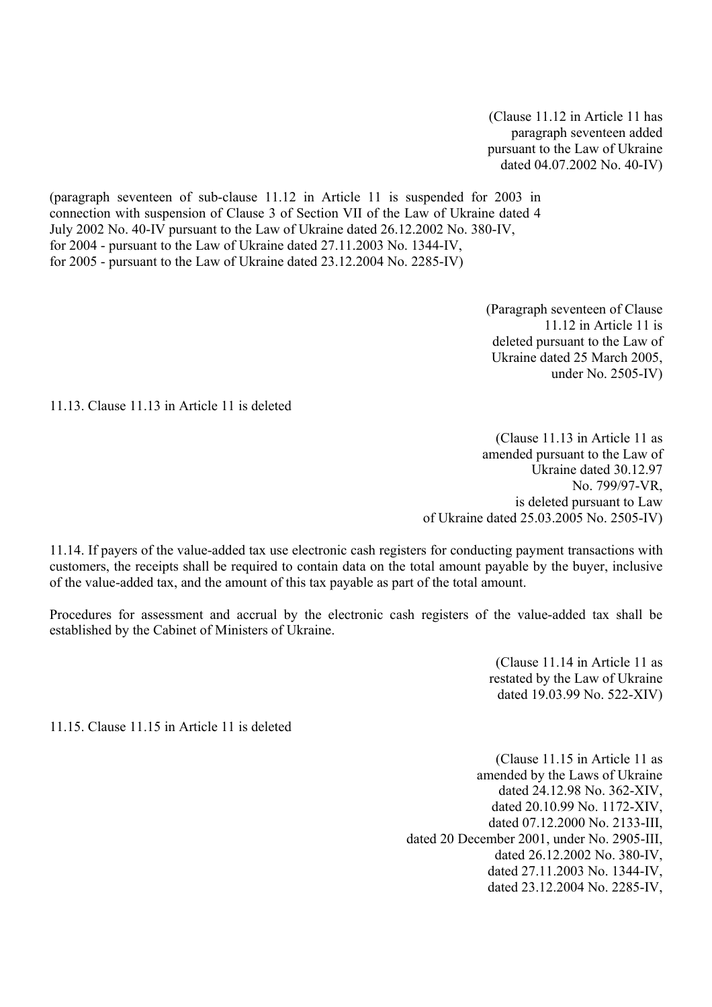(Clause 11.12 in Article 11 has paragraph seventeen added pursuant to the Law of Ukraine dated 04.07.2002 No. 40-IV)

(paragraph seventeen of sub-clause 11.12 in Article 11 is suspended for 2003 in connection with suspension of Clause 3 of Section VII of the Law of Ukraine dated 4 July 2002 No. 40-IV pursuant to the Law of Ukraine dated 26.12.2002 No. 380-IV, for 2004 - pursuant to the Law of Ukraine dated 27.11.2003 No. 1344-IV, for 2005 - pursuant to the Law of Ukraine dated 23.12.2004 No. 2285-IV)

> (Paragraph seventeen of Clause 11.12 in Article 11 is deleted pursuant to the Law of Ukraine dated 25 March 2005, under No. 2505-IV)

11.13. Clause 11.13 in Article 11 is deleted

(Clause 11.13 in Article 11 as amended pursuant to the Law of Ukraine dated 30.12.97 No. 799/97-VR, is deleted pursuant to Law of Ukraine dated 25.03.2005 No. 2505-IV)

11.14. If payers of the value-added tax use electronic cash registers for conducting payment transactions with customers, the receipts shall be required to contain data on the total amount payable by the buyer, inclusive of the value-added tax, and the amount of this tax payable as part of the total amount.

Procedures for assessment and accrual by the electronic cash registers of the value-added tax shall be established by the Cabinet of Ministers of Ukraine.

> (Clause 11.14 in Article 11 as restated by the Law of Ukraine dated 19.03.99 No. 522-XIV)

11.15. Clause 11.15 in Article 11 is deleted

(Clause 11.15 in Article 11 as amended by the Laws of Ukraine dated 24.12.98 No. 362-XIV, dated 20.10.99 No. 1172-XIV, dated 07.12.2000 No. 2133-III, dated 20 December 2001, under No. 2905-III, dated 26.12.2002 No. 380-IV, dated 27.11.2003 No. 1344-IV, dated 23.12.2004 No. 2285-IV,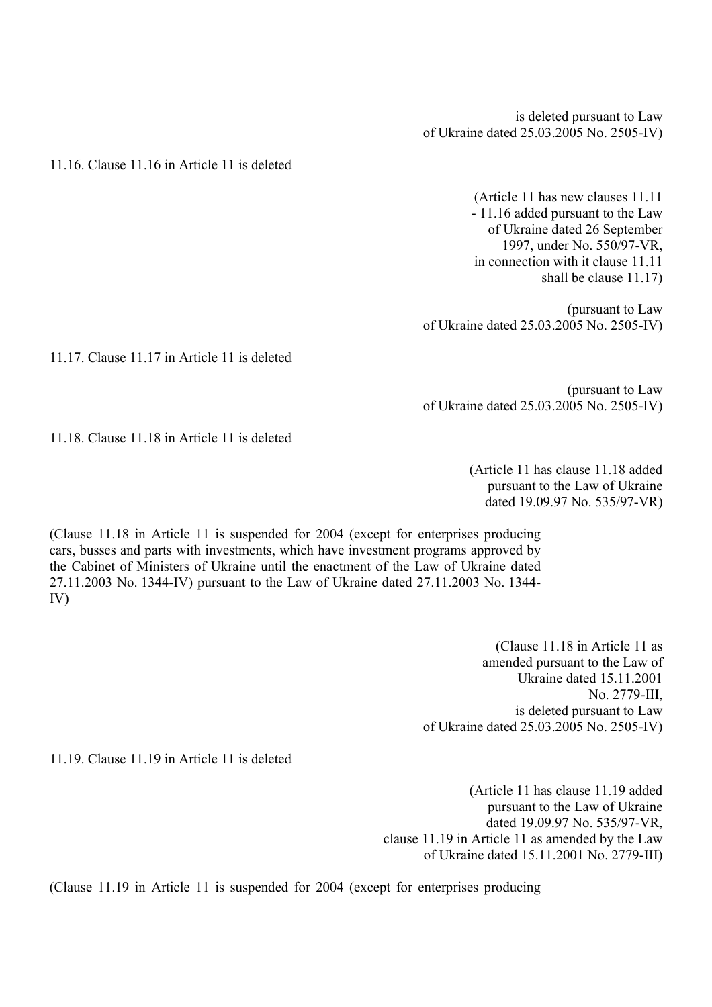is deleted pursuant to Law of Ukraine dated 25.03.2005 No. 2505-IV)

11.16. Clause 11.16 in Article 11 is deleted

(Article 11 has new clauses 11.11 - 11.16 added pursuant to the Law of Ukraine dated 26 September 1997, under No. 550/97-VR, in connection with it clause 11.11 shall be clause 11.17)

(pursuant to Law of Ukraine dated 25.03.2005 No. 2505-IV)

11.17. Clause 11.17 in Article 11 is deleted

(pursuant to Law of Ukraine dated 25.03.2005 No. 2505-IV)

11.18. Clause 11.18 in Article 11 is deleted

(Article 11 has clause 11.18 added pursuant to the Law of Ukraine dated 19.09.97 No. 535/97-VR)

(Clause 11.18 in Article 11 is suspended for 2004 (except for enterprises producing cars, busses and parts with investments, which have investment programs approved by the Cabinet of Ministers of Ukraine until the enactment of the Law of Ukraine dated 27.11.2003 No. 1344-IV) pursuant to the Law of Ukraine dated 27.11.2003 No. 1344- IV)

> (Clause 11.18 in Article 11 as amended pursuant to the Law of Ukraine dated 15.11.2001 No. 2779-III, is deleted pursuant to Law of Ukraine dated 25.03.2005 No. 2505-IV)

11.19. Clause 11.19 in Article 11 is deleted

(Article 11 has clause 11.19 added pursuant to the Law of Ukraine dated 19.09.97 No. 535/97-VR, clause 11.19 in Article 11 as amended by the Law of Ukraine dated 15.11.2001 No. 2779-III)

(Clause 11.19 in Article 11 is suspended for 2004 (except for enterprises producing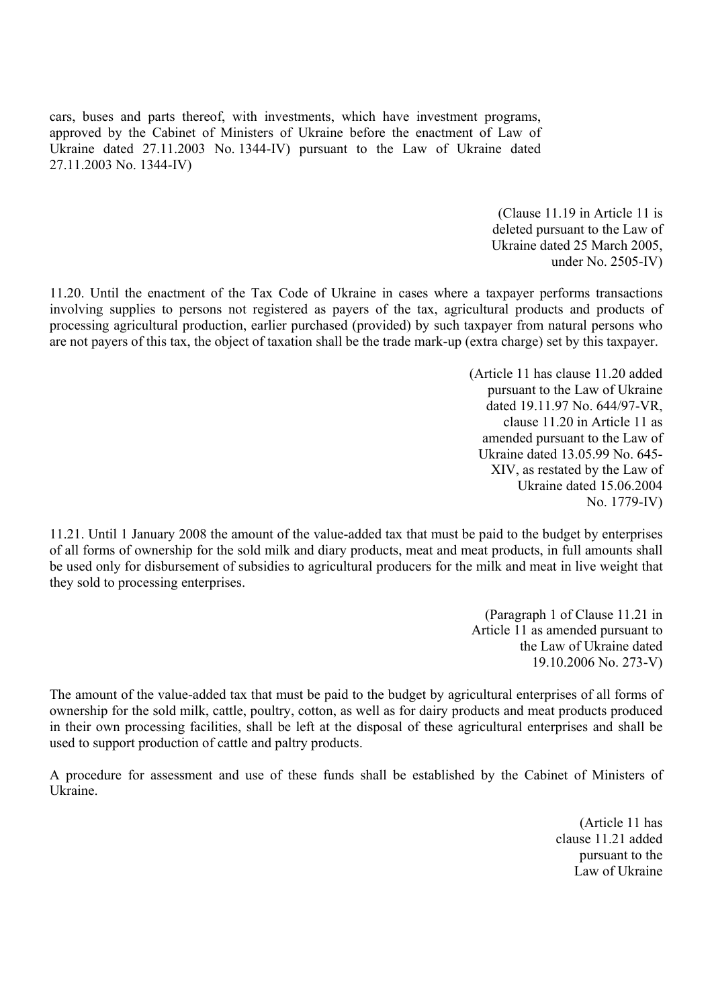cars, buses and parts thereof, with investments, which have investment programs, approved by the Cabinet of Ministers of Ukraine before the enactment of Law of Ukraine dated 27.11.2003 No. 1344-IV) pursuant to the Law of Ukraine dated 27.11.2003 No. 1344-IV)

> (Clause 11.19 in Article 11 is deleted pursuant to the Law of Ukraine dated 25 March 2005, under No. 2505-IV)

11.20. Until the enactment of the Tax Code of Ukraine in cases where a taxpayer performs transactions involving supplies to persons not registered as payers of the tax, agricultural products and products of processing agricultural production, earlier purchased (provided) by such taxpayer from natural persons who are not payers of this tax, the object of taxation shall be the trade mark-up (extra charge) set by this taxpayer.

> (Article 11 has clause 11.20 added pursuant to the Law of Ukraine dated 19.11.97 No. 644/97-VR, clause 11.20 in Article 11 as amended pursuant to the Law of Ukraine dated 13.05.99 No. 645- XIV, as restated by the Law of Ukraine dated 15.06.2004 No. 1779-IV)

11.21. Until 1 January 2008 the amount of the value-added tax that must be paid to the budget by enterprises of all forms of ownership for the sold milk and diary products, meat and meat products, in full amounts shall be used only for disbursement of subsidies to agricultural producers for the milk and meat in live weight that they sold to processing enterprises.

> (Paragraph 1 of Clause 11.21 in Article 11 as amended pursuant to the Law of Ukraine dated 19.10.2006 No. 273-V)

The amount of the value-added tax that must be paid to the budget by agricultural enterprises of all forms of ownership for the sold milk, cattle, poultry, cotton, as well as for dairy products and meat products produced in their own processing facilities, shall be left at the disposal of these agricultural enterprises and shall be used to support production of cattle and paltry products.

A procedure for assessment and use of these funds shall be established by the Cabinet of Ministers of Ukraine.

> (Article 11 has clause 11.21 added pursuant to the Law of Ukraine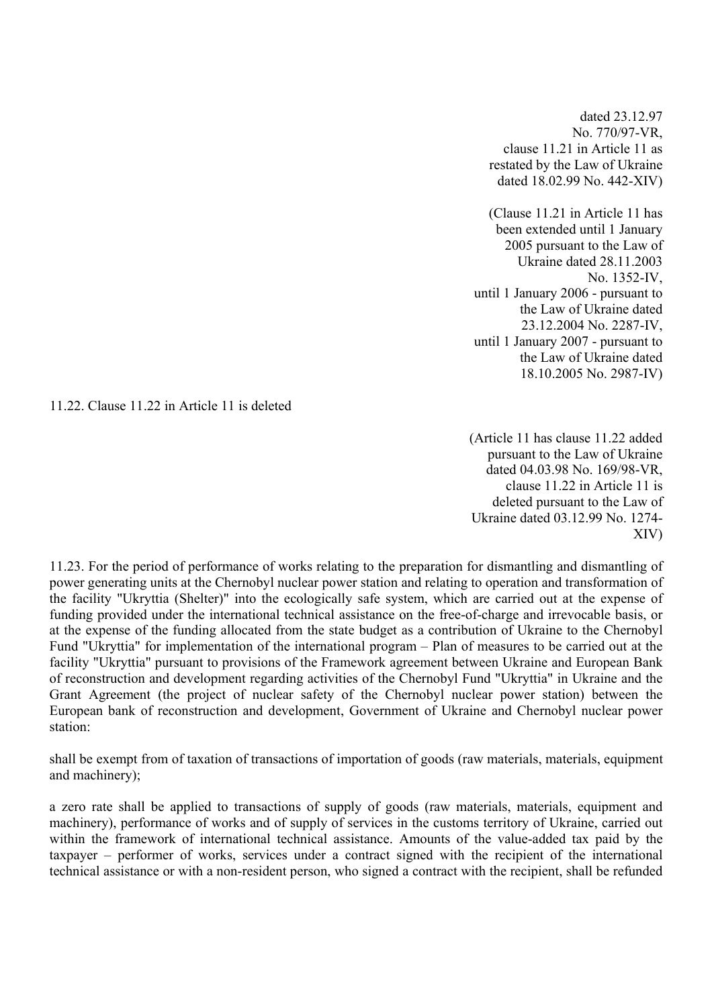dated 23.12.97 No. 770/97-VR, clause 11.21 in Article 11 as restated by the Law of Ukraine dated 18.02.99 No. 442-XIV)

(Clause 11.21 in Article 11 has been extended until 1 January 2005 pursuant to the Law of Ukraine dated 28.11.2003 No. 1352-IV, until 1 January 2006 - pursuant to the Law of Ukraine dated 23.12.2004 No. 2287-IV, until 1 January 2007 - pursuant to the Law of Ukraine dated 18.10.2005 No. 2987-IV)

11.22. Clause 11.22 in Article 11 is deleted

(Article 11 has clause 11.22 added pursuant to the Law of Ukraine dated 04.03.98 No. 169/98-VR, clause 11.22 in Article 11 is deleted pursuant to the Law of Ukraine dated 03.12.99 No. 1274- XIV)

11.23. For the period of performance of works relating to the preparation for dismantling and dismantling of power generating units at the Chernobyl nuclear power station and relating to operation and transformation of the facility "Ukryttia (Shelter)" into the ecologically safe system, which are carried out at the expense of funding provided under the international technical assistance on the free-of-charge and irrevocable basis, or at the expense of the funding allocated from the state budget as a contribution of Ukraine to the Chernobyl Fund "Ukryttia" for implementation of the international program – Plan of measures to be carried out at the facility "Ukryttia" pursuant to provisions of the Framework agreement between Ukraine and European Bank of reconstruction and development regarding activities of the Chernobyl Fund "Ukryttia" in Ukraine and the Grant Agreement (the project of nuclear safety of the Chernobyl nuclear power station) between the European bank of reconstruction and development, Government of Ukraine and Chernobyl nuclear power station:

shall be exempt from of taxation of transactions of importation of goods (raw materials, materials, equipment and machinery);

a zero rate shall be applied to transactions of supply of goods (raw materials, materials, equipment and machinery), performance of works and of supply of services in the customs territory of Ukraine, carried out within the framework of international technical assistance. Amounts of the value-added tax paid by the taxpayer – performer of works, services under a contract signed with the recipient of the international technical assistance or with a non-resident person, who signed a contract with the recipient, shall be refunded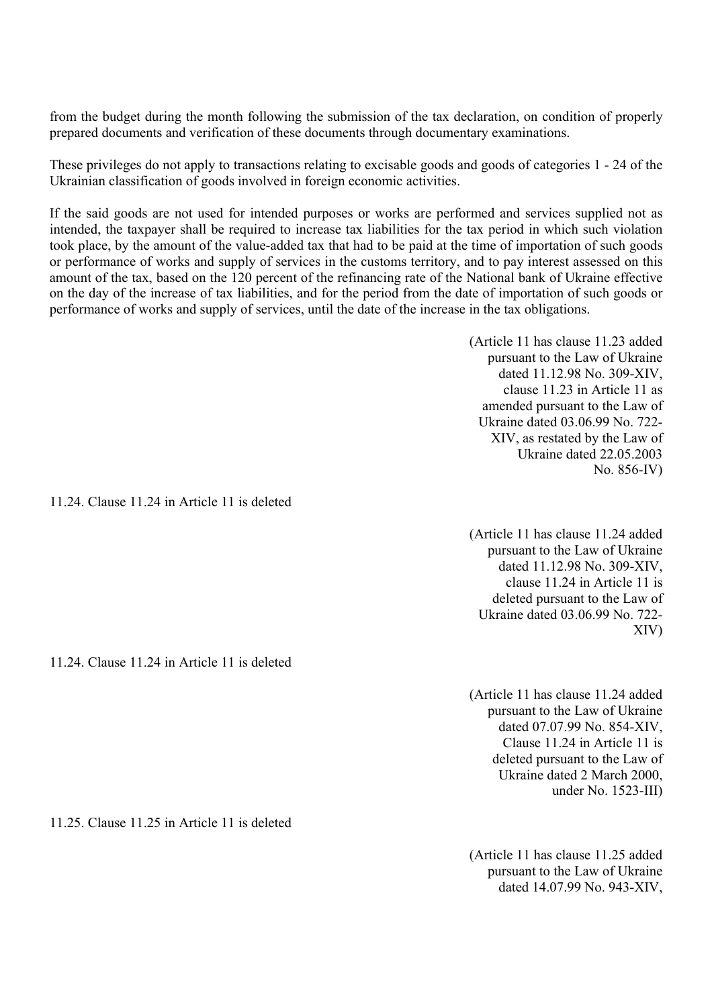from the budget during the month following the submission of the tax declaration, on condition of properly prepared documents and verification of these documents through documentary examinations.

These privileges do not apply to transactions relating to excisable goods and goods of categories 1 - 24 of the Ukrainian classification of goods involved in foreign economic activities.

If the said goods are not used for intended purposes or works are performed and services supplied not as intended, the taxpayer shall be required to increase tax liabilities for the tax period in which such violation took place, by the amount of the value-added tax that had to be paid at the time of importation of such goods or performance of works and supply of services in the customs territory, and to pay interest assessed on this amount of the tax, based on the 120 percent of the refinancing rate of the National bank of Ukraine effective on the day of the increase of tax liabilities, and for the period from the date of importation of such goods or performance of works and supply of services, until the date of the increase in the tax obligations.

> (Article 11 has clause 11.23 added pursuant to the Law of Ukraine dated 11.12.98 No. 309-XIV, clause 11.23 in Article 11 as amended pursuant to the Law of Ukraine dated 03.06.99 No. 722- XIV, as restated by the Law of Ukraine dated 22.05.2003 No. 856-IV)

11.24. Clause 11.24 in Article 11 is deleted

(Article 11 has clause 11.24 added pursuant to the Law of Ukraine dated 11.12.98 No. 309-XIV, clause 11.24 in Article 11 is deleted pursuant to the Law of Ukraine dated 03.06.99 No. 722- XIV)

(Article 11 has clause 11.24 added pursuant to the Law of Ukraine dated 07.07.99 No. 854-XIV, Clause 11.24 in Article 11 is deleted pursuant to the Law of Ukraine dated 2 March 2000, under No. 1523-III)

11.25. Clause 11.25 in Article 11 is deleted

11.24. Clause 11.24 in Article 11 is deleted

(Article 11 has clause 11.25 added pursuant to the Law of Ukraine dated 14.07.99 No. 943-XIV,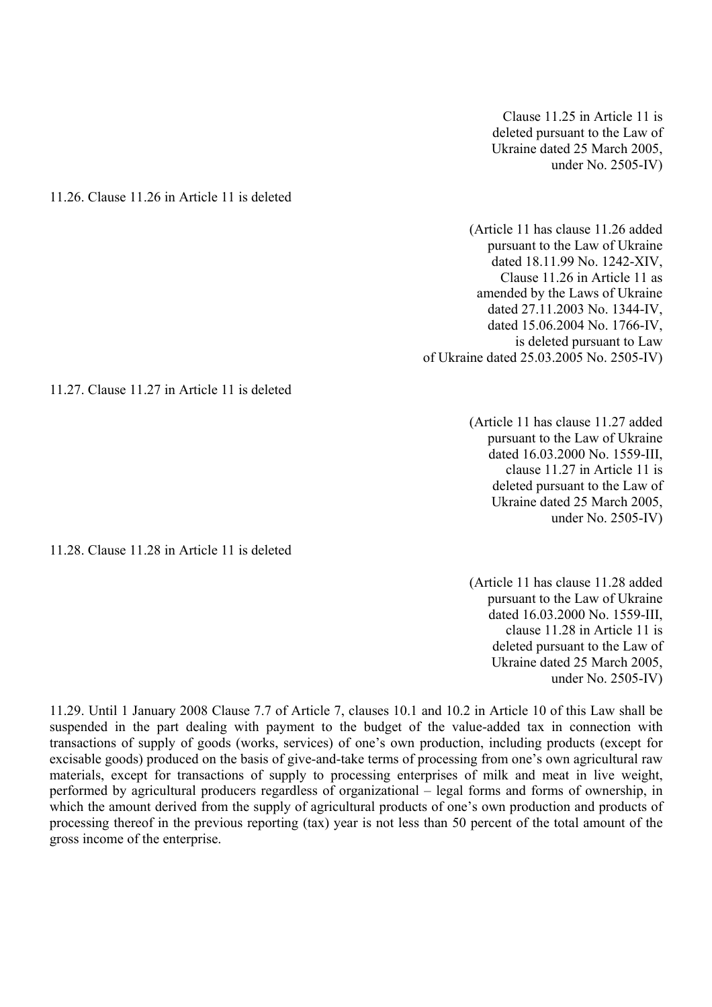Clause 11.25 in Article 11 is deleted pursuant to the Law of Ukraine dated 25 March 2005, under No. 2505-IV)

11.26. Clause 11.26 in Article 11 is deleted

(Article 11 has clause 11.26 added pursuant to the Law of Ukraine dated 18.11.99 No. 1242-XIV, Clause 11.26 in Article 11 as amended by the Laws of Ukraine dated 27.11.2003 No. 1344-IV, dated 15.06.2004 No. 1766-IV, is deleted pursuant to Law of Ukraine dated 25.03.2005 No. 2505-IV)

11.27. Clause 11.27 in Article 11 is deleted

(Article 11 has clause 11.27 added pursuant to the Law of Ukraine dated 16.03.2000 No. 1559-III, clause 11.27 in Article 11 is deleted pursuant to the Law of Ukraine dated 25 March 2005, under No. 2505-IV)

11.28. Clause 11.28 in Article 11 is deleted

(Article 11 has clause 11.28 added pursuant to the Law of Ukraine dated 16.03.2000 No. 1559-III, clause 11.28 in Article 11 is deleted pursuant to the Law of Ukraine dated 25 March 2005, under No. 2505-IV)

11.29. Until 1 January 2008 Clause 7.7 of Article 7, clauses 10.1 and 10.2 in Article 10 of this Law shall be suspended in the part dealing with payment to the budget of the value-added tax in connection with transactions of supply of goods (works, services) of one's own production, including products (except for excisable goods) produced on the basis of give-and-take terms of processing from one's own agricultural raw materials, except for transactions of supply to processing enterprises of milk and meat in live weight, performed by agricultural producers regardless of organizational – legal forms and forms of ownership, in which the amount derived from the supply of agricultural products of one's own production and products of processing thereof in the previous reporting (tax) year is not less than 50 percent of the total amount of the gross income of the enterprise.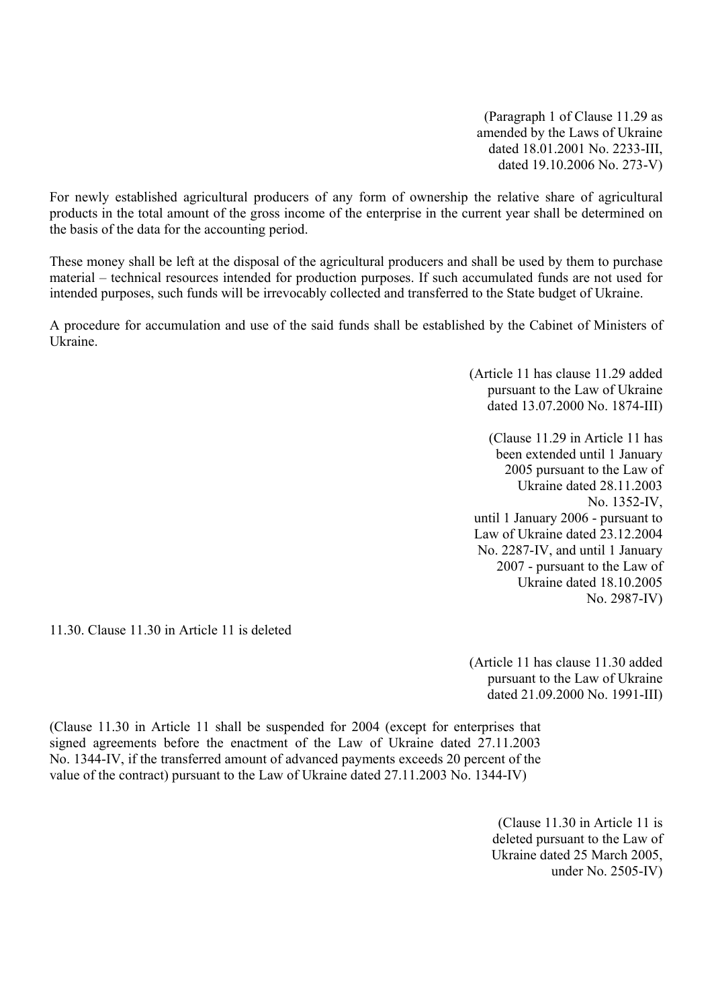(Paragraph 1 of Clause 11.29 as amended by the Laws of Ukraine dated 18.01.2001 No. 2233-III, dated 19.10.2006 No. 273-V)

For newly established agricultural producers of any form of ownership the relative share of agricultural products in the total amount of the gross income of the enterprise in the current year shall be determined on the basis of the data for the accounting period.

These money shall be left at the disposal of the agricultural producers and shall be used by them to purchase material – technical resources intended for production purposes. If such accumulated funds are not used for intended purposes, such funds will be irrevocably collected and transferred to the State budget of Ukraine.

A procedure for accumulation and use of the said funds shall be established by the Cabinet of Ministers of Ukraine.

> (Article 11 has clause 11.29 added pursuant to the Law of Ukraine dated 13.07.2000 No. 1874-III)

(Clause 11.29 in Article 11 has been extended until 1 January 2005 pursuant to the Law of Ukraine dated 28.11.2003 No. 1352-IV, until 1 January 2006 - pursuant to Law of Ukraine dated 23.12.2004 No. 2287-IV, and until 1 January 2007 - pursuant to the Law of Ukraine dated 18.10.2005 No. 2987-IV)

11.30. Clause 11.30 in Article 11 is deleted

(Article 11 has clause 11.30 added pursuant to the Law of Ukraine dated 21.09.2000 No. 1991-III)

(Clause 11.30 in Article 11 shall be suspended for 2004 (except for enterprises that signed agreements before the enactment of the Law of Ukraine dated 27.11.2003 No. 1344-IV, if the transferred amount of advanced payments exceeds 20 percent of the value of the contract) pursuant to the Law of Ukraine dated 27.11.2003 No. 1344-IV)

> (Clause 11.30 in Article 11 is deleted pursuant to the Law of Ukraine dated 25 March 2005, under No. 2505-IV)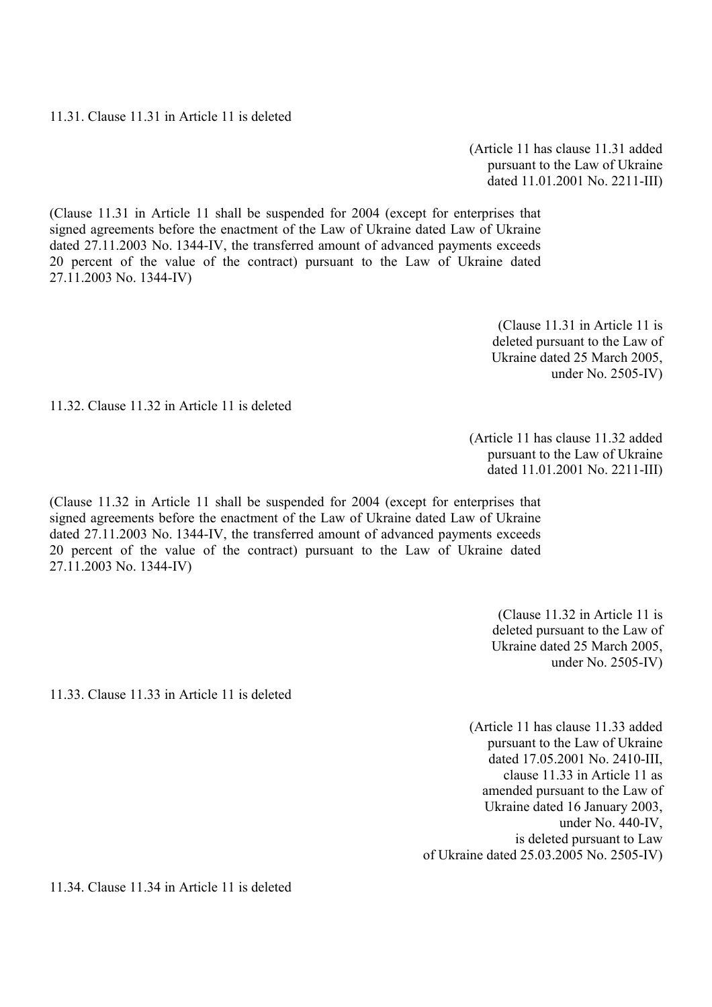11.31. Clause 11.31 in Article 11 is deleted

(Article 11 has clause 11.31 added pursuant to the Law of Ukraine dated 11.01.2001 No. 2211-III)

(Clause 11.31 in Article 11 shall be suspended for 2004 (except for enterprises that signed agreements before the enactment of the Law of Ukraine dated Law of Ukraine dated 27.11.2003 No. 1344-IV, the transferred amount of advanced payments exceeds 20 percent of the value of the contract) pursuant to the Law of Ukraine dated 27.11.2003 No. 1344-IV)

> (Clause 11.31 in Article 11 is deleted pursuant to the Law of Ukraine dated 25 March 2005, under No. 2505-IV)

11.32. Clause 11.32 in Article 11 is deleted

(Article 11 has clause 11.32 added pursuant to the Law of Ukraine dated 11.01.2001 No. 2211-III)

(Clause 11.32 in Article 11 shall be suspended for 2004 (except for enterprises that signed agreements before the enactment of the Law of Ukraine dated Law of Ukraine dated 27.11.2003 No. 1344-IV, the transferred amount of advanced payments exceeds 20 percent of the value of the contract) pursuant to the Law of Ukraine dated 27.11.2003 No. 1344-IV)

> (Clause 11.32 in Article 11 is deleted pursuant to the Law of Ukraine dated 25 March 2005, under No. 2505-IV)

11.33. Clause 11.33 in Article 11 is deleted

(Article 11 has clause 11.33 added pursuant to the Law of Ukraine dated 17.05.2001 No. 2410-III, clause 11.33 in Article 11 as amended pursuant to the Law of Ukraine dated 16 January 2003, under No. 440-IV, is deleted pursuant to Law of Ukraine dated 25.03.2005 No. 2505-IV)

11.34. Clause 11.34 in Article 11 is deleted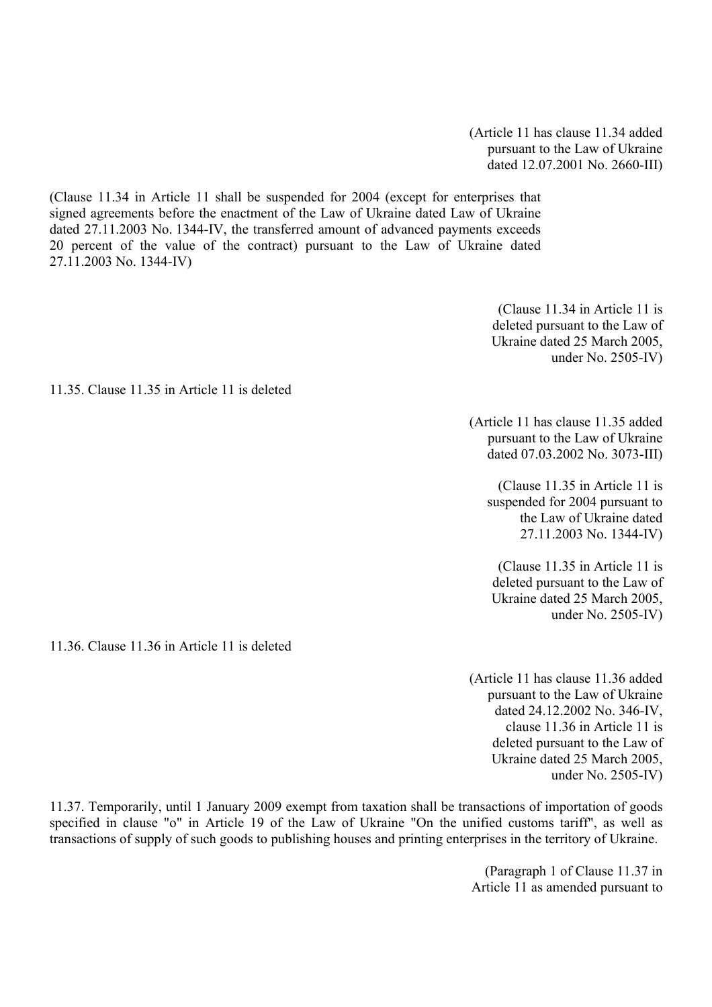(Article 11 has clause 11.34 added pursuant to the Law of Ukraine dated 12.07.2001 No. 2660-III)

(Clause 11.34 in Article 11 shall be suspended for 2004 (except for enterprises that signed agreements before the enactment of the Law of Ukraine dated Law of Ukraine dated 27.11.2003 No. 1344-IV, the transferred amount of advanced payments exceeds 20 percent of the value of the contract) pursuant to the Law of Ukraine dated 27.11.2003 No. 1344-IV)

> (Clause 11.34 in Article 11 is deleted pursuant to the Law of Ukraine dated 25 March 2005, under No. 2505-IV)

11.35. Clause 11.35 in Article 11 is deleted

(Article 11 has clause 11.35 added pursuant to the Law of Ukraine dated 07.03.2002 No. 3073-III)

(Clause 11.35 in Article 11 is suspended for 2004 pursuant to the Law of Ukraine dated 27.11.2003 No. 1344-IV)

(Clause 11.35 in Article 11 is deleted pursuant to the Law of Ukraine dated 25 March 2005, under No. 2505-IV)

11.36. Clause 11.36 in Article 11 is deleted

(Article 11 has clause 11.36 added pursuant to the Law of Ukraine dated 24.12.2002 No. 346-IV, clause 11.36 in Article 11 is deleted pursuant to the Law of Ukraine dated 25 March 2005, under No. 2505-IV)

11.37. Temporarily, until 1 January 2009 exempt from taxation shall be transactions of importation of goods specified in clause "o" in Article 19 of the Law of Ukraine "On the unified customs tariff", as well as transactions of supply of such goods to publishing houses and printing enterprises in the territory of Ukraine.

> (Paragraph 1 of Clause 11.37 in Article 11 as amended pursuant to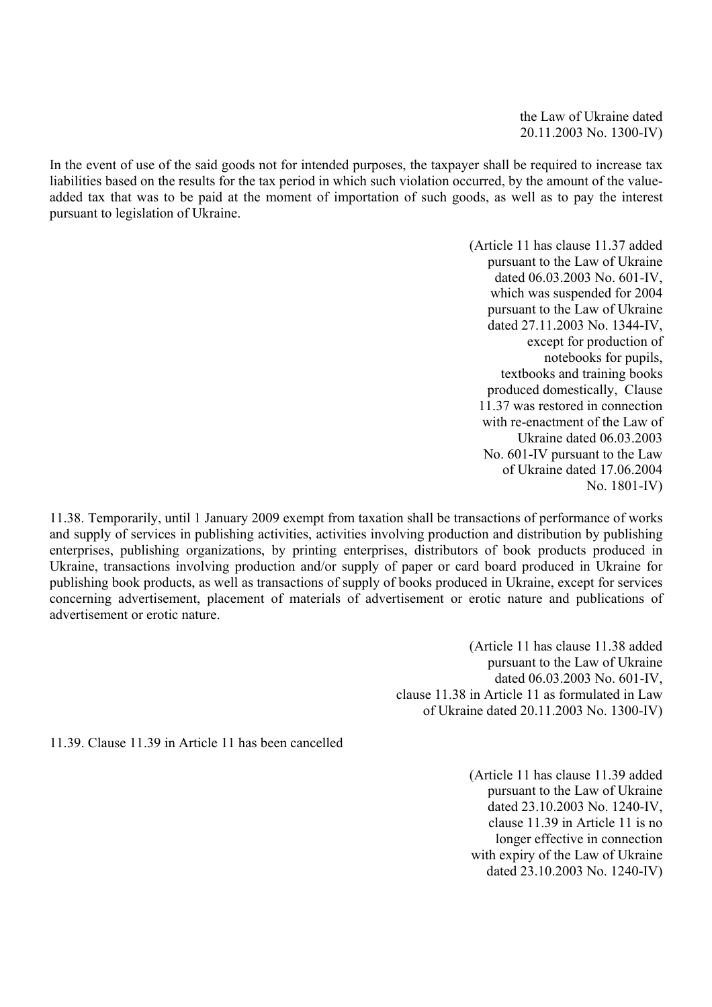the Law of Ukraine dated 20.11.2003 No. 1300-IV)

In the event of use of the said goods not for intended purposes, the taxpayer shall be required to increase tax liabilities based on the results for the tax period in which such violation occurred, by the amount of the valueadded tax that was to be paid at the moment of importation of such goods, as well as to pay the interest pursuant to legislation of Ukraine.

> (Article 11 has clause 11.37 added pursuant to the Law of Ukraine dated 06.03.2003 No. 601-IV, which was suspended for 2004 pursuant to the Law of Ukraine dated 27.11.2003 No. 1344-IV, except for production of notebooks for pupils, textbooks and training books produced domestically, Clause 11.37 was restored in connection with re-enactment of the Law of Ukraine dated 06.03.2003 No. 601-IV pursuant to the Law of Ukraine dated 17.06.2004 No. 1801-IV)

11.38. Temporarily, until 1 January 2009 exempt from taxation shall be transactions of performance of works and supply of services in publishing activities, activities involving production and distribution by publishing enterprises, publishing organizations, by printing enterprises, distributors of book products produced in Ukraine, transactions involving production and/or supply of paper or card board produced in Ukraine for publishing book products, as well as transactions of supply of books produced in Ukraine, except for services concerning advertisement, placement of materials of advertisement or erotic nature and publications of advertisement or erotic nature.

> (Article 11 has clause 11.38 added pursuant to the Law of Ukraine dated 06.03.2003 No. 601-IV, clause 11.38 in Article 11 as formulated in Law of Ukraine dated 20.11.2003 No. 1300-IV)

11.39. Clause 11.39 in Article 11 has been cancelled

(Article 11 has clause 11.39 added pursuant to the Law of Ukraine dated 23.10.2003 No. 1240-IV, clause 11.39 in Article 11 is no longer effective in connection with expiry of the Law of Ukraine dated 23.10.2003 No. 1240-IV)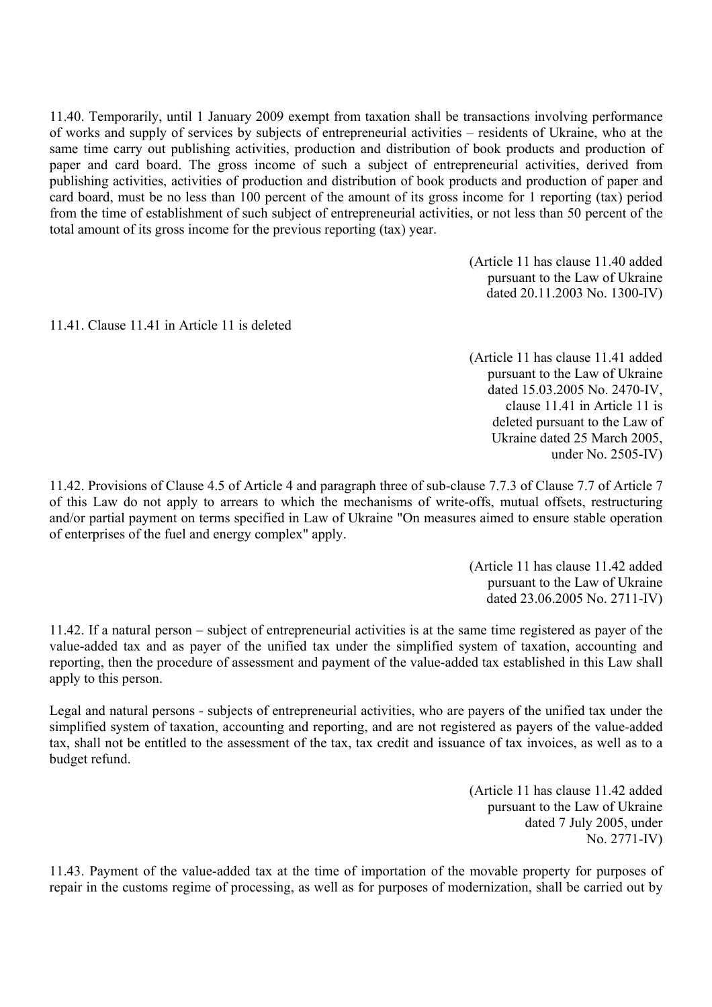11.40. Temporarily, until 1 January 2009 exempt from taxation shall be transactions involving performance of works and supply of services by subjects of entrepreneurial activities – residents of Ukraine, who at the same time carry out publishing activities, production and distribution of book products and production of paper and card board. The gross income of such a subject of entrepreneurial activities, derived from publishing activities, activities of production and distribution of book products and production of paper and card board, must be no less than 100 percent of the amount of its gross income for 1 reporting (tax) period from the time of establishment of such subject of entrepreneurial activities, or not less than 50 percent of the total amount of its gross income for the previous reporting (tax) year.

> (Article 11 has clause 11.40 added pursuant to the Law of Ukraine dated 20.11.2003 No. 1300-IV)

11.41. Clause 11.41 in Article 11 is deleted

(Article 11 has clause 11.41 added pursuant to the Law of Ukraine dated 15.03.2005 No. 2470-IV, clause 11.41 in Article 11 is deleted pursuant to the Law of Ukraine dated 25 March 2005, under No. 2505-IV)

11.42. Provisions of Clause 4.5 of Article 4 and paragraph three of sub-clause 7.7.3 of Clause 7.7 of Article 7 of this Law do not apply to arrears to which the mechanisms of write-offs, mutual offsets, restructuring and/or partial payment on terms specified in Law of Ukraine "On measures aimed to ensure stable operation of enterprises of the fuel and energy complex" apply.

> (Article 11 has clause 11.42 added pursuant to the Law of Ukraine dated 23.06.2005 No. 2711-IV)

11.42. If a natural person – subject of entrepreneurial activities is at the same time registered as payer of the value-added tax and as payer of the unified tax under the simplified system of taxation, accounting and reporting, then the procedure of assessment and payment of the value-added tax established in this Law shall apply to this person.

Legal and natural persons - subjects of entrepreneurial activities, who are payers of the unified tax under the simplified system of taxation, accounting and reporting, and are not registered as payers of the value-added tax, shall not be entitled to the assessment of the tax, tax credit and issuance of tax invoices, as well as to a budget refund.

> (Article 11 has clause 11.42 added pursuant to the Law of Ukraine dated 7 July 2005, under No. 2771-IV)

11.43. Payment of the value-added tax at the time of importation of the movable property for purposes of repair in the customs regime of processing, as well as for purposes of modernization, shall be carried out by